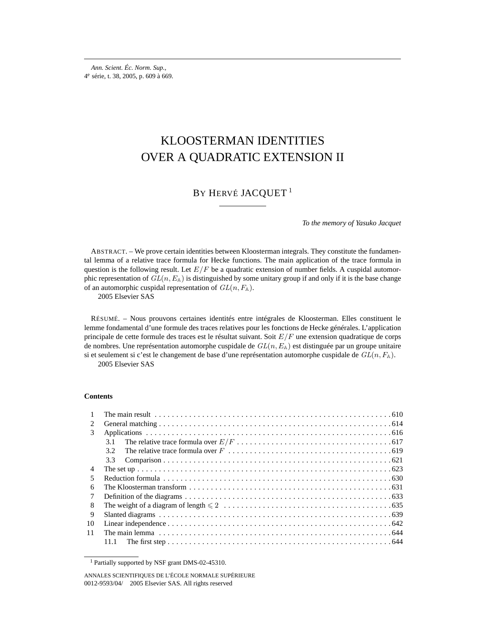# KLOOSTERMAN IDENTITIES OVER A QUADRATIC EXTENSION II

## BY HERVÉ JACQUET<sup>1</sup>

*To the memory of Yasuko Jacquet*

ABSTRACT. – We prove certain identities between Kloosterman integrals. They constitute the fundamental lemma of a relative trace formula for Hecke functions. The main application of the trace formula in question is the following result. Let  $E/F$  be a quadratic extension of number fields. A cuspidal automorphic representation of  $GL(n, E<sub>A</sub>)$  is distinguished by some unitary group if and only if it is the base change of an automorphic cuspidal representation of  $GL(n, F<sub>A</sub>)$ .

2005 Elsevier SAS

RÉSUMÉ. – Nous prouvons certaines identités entre intégrales de Kloosterman. Elles constituent le lemme fondamental d'une formule des traces relatives pour les fonctions de Hecke générales. L'application principale de cette formule des traces est le résultat suivant. Soit  $E/F$  une extension quadratique de corps de nombres. Une représentation automorphe cuspidale de  $GL(n, E<sub>A</sub>)$  est distinguée par un groupe unitaire si et seulement si c'est le changement de base d'une représentation automorphe cuspidale de  $GL(n, F_A)$ .

2005 Elsevier SAS

#### **Contents**

| 2              |     |
|----------------|-----|
| 3              |     |
|                | 3.1 |
|                | 3.2 |
|                | 3.3 |
| $\overline{4}$ |     |
| 5              |     |
| 6              |     |
| 7              |     |
| 8              |     |
| 9              |     |
| 10             |     |
| 11             |     |
|                |     |

<sup>1</sup> Partially supported by NSF grant DMS-02-45310.

ANNALES SCIENTIFIQUES DE L'ÉCOLE NORMALE SUPÉRIEURE 0012-9593/04/© 2005 Elsevier SAS. All rights reserved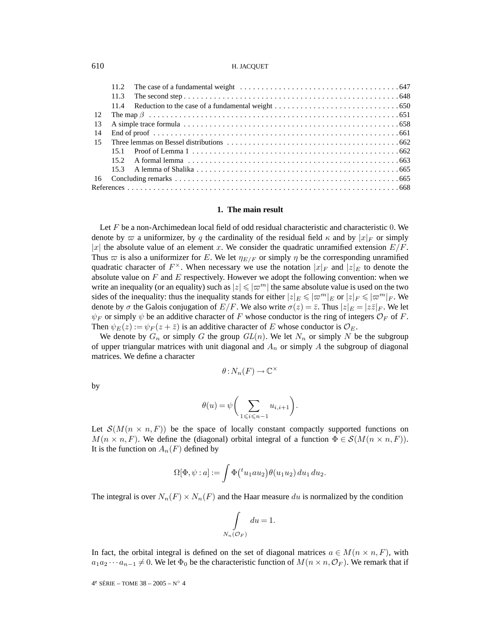#### 610 H. JACQUET

|                 | 11.2 | The case of a fundamental weight entertainment is not interested as the case of a fundamental weight |
|-----------------|------|------------------------------------------------------------------------------------------------------|
|                 | 11.3 |                                                                                                      |
|                 |      |                                                                                                      |
| 12 <sup>°</sup> |      |                                                                                                      |
| -13             |      |                                                                                                      |
| 14              |      |                                                                                                      |
| 15              |      |                                                                                                      |
|                 |      |                                                                                                      |
|                 |      |                                                                                                      |
|                 |      |                                                                                                      |
| 16              |      |                                                                                                      |
|                 |      |                                                                                                      |

#### **1. The main result**

Let  $F$  be a non-Archimedean local field of odd residual characteristic and characteristic 0. We denote by  $\varpi$  a uniformizer, by q the cardinality of the residual field  $\kappa$  and by  $|x|_F$  or simply |x| the absolute value of an element x. We consider the quadratic unramified extension  $E/F$ . Thus  $\varpi$  is also a uniformizer for E. We let  $\eta_{E/F}$  or simply  $\eta$  be the corresponding unramified quadratic character of  $F^{\times}$ . When necessary we use the notation  $|x|_F$  and  $|z|_E$  to denote the absolute value on  $F$  and  $E$  respectively. However we adopt the following convention: when we write an inequality (or an equality) such as  $|z| \leq \left|\varpi^m\right|$  the same absolute value is used on the two sides of the inequality: thus the inequality stands for either  $|z|_E \leq |\varpi^m|_E$  or  $|z|_F \leq |\varpi^m|_F$ . We denote by  $\sigma$  the Galois conjugation of  $E/F$ . We also write  $\sigma(z)=\bar{z}$ . Thus  $|z|_E = |z\bar{z}|_F$ . We let  $\psi_F$  or simply  $\psi$  be an additive character of F whose conductor is the ring of integers  $\mathcal{O}_F$  of F. Then  $\psi_E(z) := \psi_F(z + \bar{z})$  is an additive character of E whose conductor is  $\mathcal{O}_E$ .

We denote by  $G_n$  or simply G the group  $GL(n)$ . We let  $N_n$  or simply N be the subgroup of upper triangular matrices with unit diagonal and  $A_n$  or simply A the subgroup of diagonal matrices. We define a character

$$
\theta : N_n(F) \to \mathbb{C}^\times
$$

by

$$
\theta(u) = \psi\bigg(\sum_{1\leqslant i\leqslant n-1} u_{i,i+1}\bigg).
$$

Let  $\mathcal{S}(M(n \times n, F))$  be the space of locally constant compactly supported functions on  $M(n \times n, F)$ . We define the (diagonal) orbital integral of a function  $\Phi \in \mathcal{S}(M(n \times n, F))$ . It is the function on  $A_n(F)$  defined by

$$
\Omega[\Phi,\psi:a] := \int \Phi({}^t u_1au_2)\theta(u_1u_2)\,du_1\,du_2.
$$

The integral is over  $N_n(F) \times N_n(F)$  and the Haar measure du is normalized by the condition

$$
\int_{N_n(\mathcal{O}_F)} du = 1.
$$

In fact, the orbital integral is defined on the set of diagonal matrices  $a \in M(n \times n, F)$ , with  $a_1a_2 \cdots a_{n-1} \neq 0$ . We let  $\Phi_0$  be the characteristic function of  $M(n \times n, \mathcal{O}_F)$ . We remark that if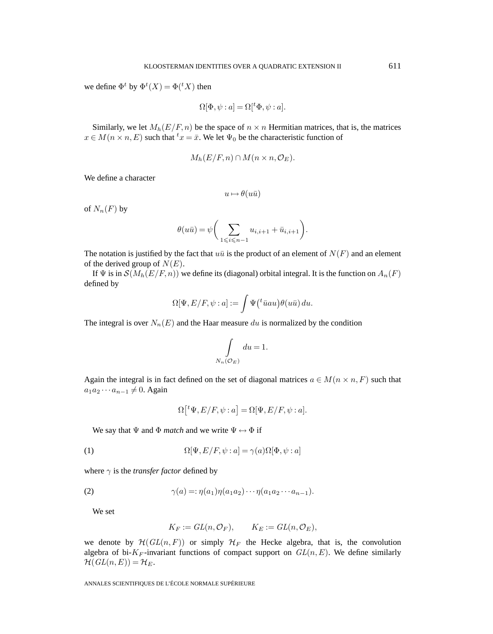we define  $\Phi^t$  by  $\Phi^t(X) = \Phi({}^t X)$  then

$$
\Omega[\Phi, \psi : a] = \Omega[^t \Phi, \psi : a].
$$

Similarly, we let  $M_h(E/F, n)$  be the space of  $n \times n$  Hermitian matrices, that is, the matrices  $x \in M(n \times n, E)$  such that  ${}^t x = \bar{x}$ . We let  $\Psi_0$  be the characteristic function of

$$
M_h(E/F, n) \cap M(n \times n, \mathcal{O}_E).
$$

We define a character

$$
u\mapsto \theta(u\bar{u})
$$

of  $N_n(F)$  by

$$
\theta(u\bar{u}) = \psi \bigg(\sum_{1 \leqslant i \leqslant n-1} u_{i,i+1} + \bar{u}_{i,i+1}\bigg).
$$

The notation is justified by the fact that  $u\bar{u}$  is the product of an element of  $N(F)$  and an element of the derived group of  $N(E)$ .

If  $\Psi$  is in  $\mathcal{S}(M_h(E/F, n))$  we define its (diagonal) orbital integral. It is the function on  $A_n(F)$ defined by

$$
\Omega[\Psi, E/F, \psi : a] := \int \Psi({}^t \bar{u}au) \theta(u\bar{u}) du.
$$

The integral is over  $N_n(E)$  and the Haar measure du is normalized by the condition

$$
\int_{N_n(\mathcal{O}_E)} du = 1.
$$

Again the integral is in fact defined on the set of diagonal matrices  $a \in M(n \times n, F)$  such that  $a_1a_2\cdots a_{n-1}\neq 0$ . Again

$$
\Omega\big[{}^t\Psi,E/F,\psi:a\big] = \Omega[\Psi,E/F,\psi:a].
$$

We say that  $\Psi$  and  $\Phi$  *match* and we write  $\Psi \leftrightarrow \Phi$  if

(1) 
$$
\Omega[\Psi, E/F, \psi : a] = \gamma(a)\Omega[\Phi, \psi : a]
$$

where  $\gamma$  is the *transfer factor* defined by

(2) 
$$
\gamma(a) =: \eta(a_1)\eta(a_1a_2)\cdots\eta(a_1a_2\cdots a_{n-1}).
$$

We set

$$
K_F := GL(n, \mathcal{O}_F), \qquad K_E := GL(n, \mathcal{O}_E),
$$

we denote by  $\mathcal{H}(GL(n, F))$  or simply  $\mathcal{H}_F$  the Hecke algebra, that is, the convolution algebra of bi-K<sub>F</sub>-invariant functions of compact support on  $GL(n, E)$ . We define similarly  $\mathcal{H}(GL(n,E)) = \mathcal{H}_E.$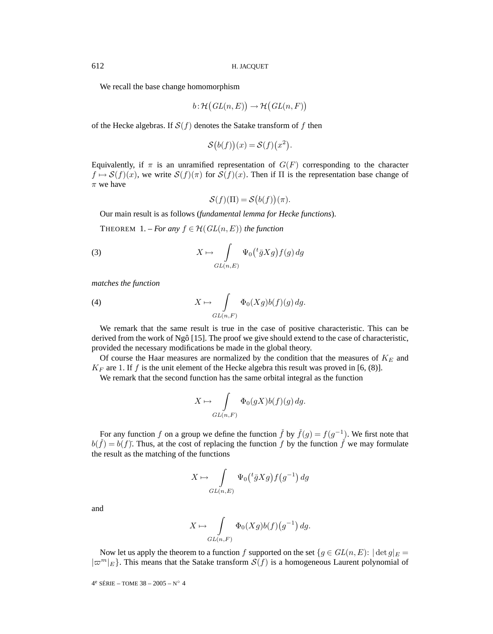We recall the base change homomorphism

$$
b: \mathcal{H}(GL(n,E)) \to \mathcal{H}(GL(n,F))
$$

of the Hecke algebras. If  $S(f)$  denotes the Satake transform of f then

$$
\mathcal{S}(b(f))(x) = \mathcal{S}(f)(x^2).
$$

Equivalently, if  $\pi$  is an unramified representation of  $G(F)$  corresponding to the character  $f \mapsto S(f)(x)$ , we write  $S(f)(\pi)$  for  $S(f)(x)$ . Then if  $\Pi$  is the representation base change of  $\pi$  we have

$$
\mathcal{S}(f)(\Pi) = \mathcal{S}(b(f))(\pi).
$$

Our main result is as follows (*fundamental lemma for Hecke functions*).

THEOREM 1. – *For any*  $f \in H(GL(n, E))$  *the function* 

(3) 
$$
X \mapsto \int_{GL(n,E)} \Psi_0\left( {}^t\bar{g}Xg\right) f(g) \, dg
$$

*matches the function*

(4) 
$$
X \mapsto \int_{GL(n,F)} \Phi_0(Xg)b(f)(g) dg.
$$

We remark that the same result is true in the case of positive characteristic. This can be derived from the work of Ngô [15]. The proof we give should extend to the case of characteristic, provided the necessary modifications be made in the global theory.

Of course the Haar measures are normalized by the condition that the measures of  $K_E$  and  $K_F$  are 1. If f is the unit element of the Hecke algebra this result was proved in [6, (8)].

We remark that the second function has the same orbital integral as the function

$$
X \mapsto \int\limits_{GL(n,F)} \Phi_0(gX)b(f)(g) dg.
$$

For any function f on a group we define the function  $\check{f}$  by  $\check{f}(g) = f(g^{-1})$ . We first note that  $b(f) = b(f)$ . Thus, at the cost of replacing the function f by the function f we may formulate the result as the matching of the functions

$$
X \mapsto \int\limits_{GL(n,E)} \Psi_0\left(^t\bar{g}Xg\right) f\left(g^{-1}\right) dg
$$

and

$$
X \mapsto \int\limits_{GL(n,F)} \Phi_0(Xg)b(f)(g^{-1})\,dg.
$$

Now let us apply the theorem to a function f supported on the set  $\{g \in GL(n, E): |\det g|_E =$  $|\varpi^{m}|_{E}$ . This means that the Satake transform  $\mathcal{S}(f)$  is a homogeneous Laurent polynomial of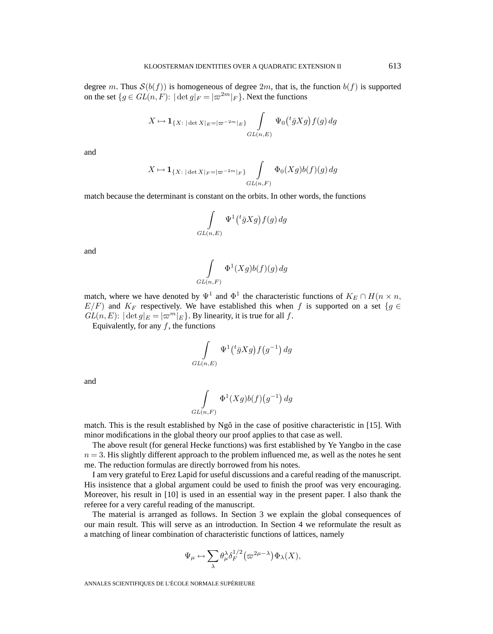degree m. Thus  $S(b(f))$  is homogeneous of degree  $2m$ , that is, the function  $b(f)$  is supported on the set  $\{g \in GL(n, F): |\det g|_F = |\varpi^{2m}|_F\}$ . Next the functions

$$
X \mapsto \mathbf{1}_{\{X: \; |\det X|_E = |\varpi^{-2m}|_E\}} \int\limits_{GL(n,E)} \Psi_0\big( {}^t\bar{g}Xg\big) f(g) \, dg
$$

and

$$
X \mapsto \mathbf{1}_{\{X: \; |\det X|_F = |\varpi^{-2m}|_F\}} \int\limits_{GL(n,F)} \Phi_0(Xg)b(f)(g) \, dg
$$

match because the determinant is constant on the orbits. In other words, the functions

$$
\int\limits_{GL(n,E)}\Psi^1\big({}^t\bar gXg\big)f(g)\,dg
$$

and

$$
\int\limits_{GL(n,F)} \Phi^1(Xg)b(f)(g)\,dg
$$

match, where we have denoted by  $\Psi^1$  and  $\Phi^1$  the characteristic functions of  $K_E \cap H(n \times n, \mathbb{Z})$  $E/F$ ) and  $K_F$  respectively. We have established this when f is supported on a set {g ∈  $GL(n, E)$ :  $|\det g|_E = |\varpi^m|_E$ . By linearity, it is true for all f.

Equivalently, for any  $f$ , the functions

$$
\int_{GL(n,E)} \Psi^1({}^t\bar{g}Xg) f(g^{-1}) dg
$$

and

$$
\int_{GL(n,F)} \Phi^1(Xg)b(f)(g^{-1})\,dg
$$

match. This is the result established by Ngô in the case of positive characteristic in [15]. With minor modifications in the global theory our proof applies to that case as well.

The above result (for general Hecke functions) was first established by Ye Yangbo in the case  $n = 3$ . His slightly different approach to the problem influenced me, as well as the notes he sent me. The reduction formulas are directly borrowed from his notes.

I am very grateful to Erez Lapid for useful discussions and a careful reading of the manuscript. His insistence that a global argument could be used to finish the proof was very encouraging. Moreover, his result in [10] is used in an essential way in the present paper. I also thank the referee for a very careful reading of the manuscript.

The material is arranged as follows. In Section 3 we explain the global consequences of our main result. This will serve as an introduction. In Section 4 we reformulate the result as a matching of linear combination of characteristic functions of lattices, namely

$$
\Psi_{\mu} \leftrightarrow \sum_{\lambda} \theta_{\mu}^{\lambda} \delta_F^{1/2} (\varpi^{2\mu-\lambda}) \Phi_{\lambda}(X),
$$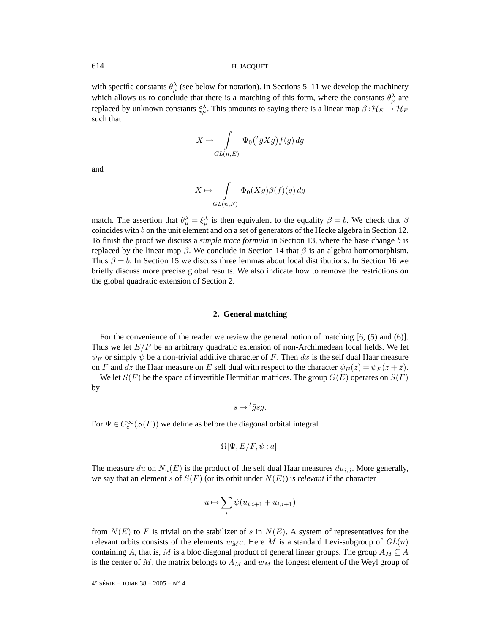with specific constants  $\theta_{\mu}^{\lambda}$  (see below for notation). In Sections 5–11 we develop the machinery which allows us to conclude that there is a matching of this form, where the constants  $\theta_{\mu}^{\lambda}$  are replaced by unknown constants  $\xi^{\lambda}_{\mu}$ . This amounts to saying there is a linear map  $\beta:\mathcal{H}_E\to\mathcal{H}_F$ such that

$$
X \mapsto \int\limits_{GL(n,E)} \Psi_0\big( {}^t\bar{g} X g \big) f(g) \, dg
$$

and

$$
X \mapsto \int\limits_{GL(n,F)} \Phi_0(Xg)\beta(f)(g) \, dg
$$

match. The assertion that  $\theta_{\mu}^{\lambda} = \xi_{\mu}^{\lambda}$  is then equivalent to the equality  $\beta = b$ . We check that  $\beta$ coincides with b on the unit element and on a set of generators of the Hecke algebra in Section 12. To finish the proof we discuss a *simple trace formula* in Section 13, where the base change b is replaced by the linear map  $\beta$ . We conclude in Section 14 that  $\beta$  is an algebra homomorphism. Thus  $\beta = b$ . In Section 15 we discuss three lemmas about local distributions. In Section 16 we briefly discuss more precise global results. We also indicate how to remove the restrictions on the global quadratic extension of Section 2.

#### **2. General matching**

For the convenience of the reader we review the general notion of matching [6,  $(5)$  and  $(6)$ ]. Thus we let  $E/F$  be an arbitrary quadratic extension of non-Archimedean local fields. We let  $\psi_F$  or simply  $\psi$  be a non-trivial additive character of F. Then dx is the self dual Haar measure on F and dz the Haar measure on E self dual with respect to the character  $\psi_E(z) = \psi_F(z + \bar{z})$ .

We let  $S(F)$  be the space of invertible Hermitian matrices. The group  $G(E)$  operates on  $S(F)$ by

$$
s \mapsto {}^t \bar{g}sg.
$$

For  $\Psi \in C_c^{\infty}(S(F))$  we define as before the diagonal orbital integral

$$
\Omega[\Psi, E/F, \psi : a].
$$

The measure du on  $N_n(E)$  is the product of the self dual Haar measures  $du_{i,j}$ . More generally, we say that an element s of  $S(F)$  (or its orbit under  $N(E)$ ) is *relevant* if the character

$$
u \mapsto \sum_{i} \psi(u_{i,i+1} + \bar{u}_{i,i+1})
$$

from  $N(E)$  to F is trivial on the stabilizer of s in  $N(E)$ . A system of representatives for the relevant orbits consists of the elements  $w_Ma$ . Here M is a standard Levi-subgroup of  $GL(n)$ containing A, that is, M is a bloc diagonal product of general linear groups. The group  $A_M \subseteq A$ is the center of M, the matrix belongs to  $A_M$  and  $w_M$  the longest element of the Weyl group of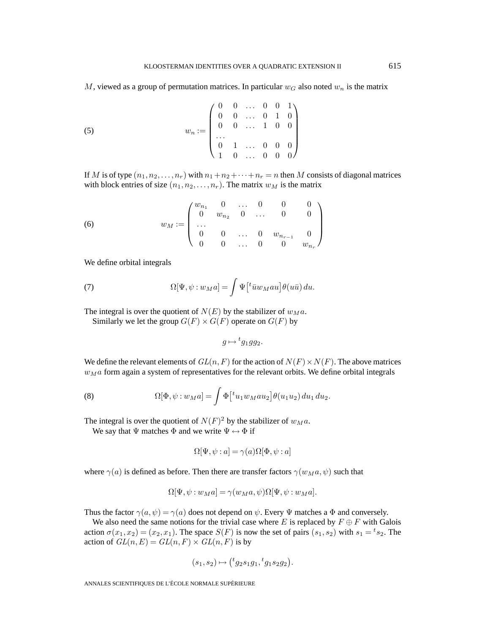M, viewed as a group of permutation matrices. In particular  $w_G$  also noted  $w_n$  is the matrix

(5) 
$$
w_n := \begin{pmatrix} 0 & 0 & \dots & 0 & 0 & 1 \\ 0 & 0 & \dots & 0 & 1 & 0 \\ 0 & 0 & \dots & 1 & 0 & 0 \\ \dots & \dots & \dots & \dots & 0 & 0 & 0 \\ 1 & 0 & \dots & 0 & 0 & 0 \end{pmatrix}
$$

If M is of type  $(n_1, n_2, \ldots, n_r)$  with  $n_1+n_2+\cdots+n_r = n$  then M consists of diagonal matrices with block entries of size  $(n_1, n_2, \ldots, n_r)$ . The matrix  $w_M$  is the matrix

(6) 
$$
w_M := \begin{pmatrix} w_{n_1} & 0 & \dots & 0 & 0 & 0 \\ 0 & w_{n_2} & 0 & \dots & 0 & 0 \\ \dots & \dots & \dots & 0 & w_{n_{r-1}} & 0 \\ 0 & 0 & \dots & 0 & 0 & w_{n_r} \end{pmatrix}
$$

We define orbital integrals

(7) 
$$
\Omega[\Psi, \psi : w_M a] = \int \Psi[t \bar{u} w_M a u] \theta(u \bar{u}) du.
$$

The integral is over the quotient of  $N(E)$  by the stabilizer of  $w_Ma$ .

Similarly we let the group  $G(F) \times G(F)$  operate on  $G(F)$  by

$$
g \mapsto {}^t g_1 g g_2.
$$

We define the relevant elements of  $GL(n, F)$  for the action of  $N(F) \times N(F)$ . The above matrices  $w_M$ a form again a system of representatives for the relevant orbits. We define orbital integrals

(8) 
$$
\Omega[\Phi,\psi:w_Ma] = \int \Phi[tu_1w_Mau_2]\theta(u_1u_2) du_1 du_2.
$$

The integral is over the quotient of  $N(F)^2$  by the stabilizer of  $w_Ma$ .

We say that  $\Psi$  matches  $\Phi$  and we write  $\Psi \leftrightarrow \Phi$  if

$$
\Omega[\Psi, \psi : a] = \gamma(a)\Omega[\Phi, \psi : a]
$$

where  $\gamma(a)$  is defined as before. Then there are transfer factors  $\gamma(w_M a, \psi)$  such that

$$
\Omega[\Psi, \psi : w_M a] = \gamma(w_M a, \psi) \Omega[\Psi, \psi : w_M a].
$$

Thus the factor  $\gamma(a, \psi) = \gamma(a)$  does not depend on  $\psi$ . Every  $\Psi$  matches a  $\Phi$  and conversely.

We also need the same notions for the trivial case where E is replaced by  $F \oplus F$  with Galois action  $\sigma(x_1, x_2) = (x_2, x_1)$ . The space  $S(F)$  is now the set of pairs  $(s_1, s_2)$  with  $s_1 = {}^t s_2$ . The action of  $GL(n, E) = GL(n, F) \times GL(n, F)$  is by

$$
(s_1, s_2) \mapsto ({}^t g_2 s_1 g_1, {}^t g_1 s_2 g_2).
$$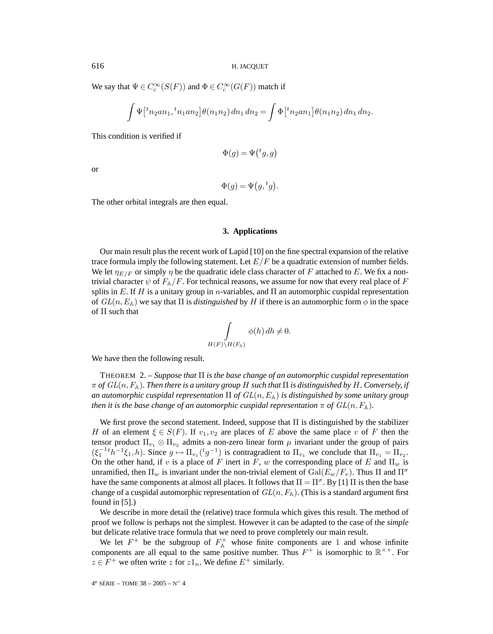We say that  $\Psi \in C_c^{\infty}(S(F))$  and  $\Phi \in C_c^{\infty}(G(F))$  match if

$$
\int \Psi[t_{n_2an_1}, t_{n_1an_2}]\theta(n_1n_2) \, dn_1 \, dn_2 = \int \Phi[t_{n_2an_1}]\theta(n_1n_2) \, dn_1 \, dn_2.
$$

This condition is verified if

$$
\Phi(g) = \Psi({}^tg,g)
$$

or

$$
\Phi(g) = \Psi(g, {}^tg).
$$

The other orbital integrals are then equal.

#### **3. Applications**

Our main result plus the recent work of Lapid [10] on the fine spectral expansion of the relative trace formula imply the following statement. Let  $E/F$  be a quadratic extension of number fields. We let  $\eta_{E/F}$  or simply  $\eta$  be the quadratic idele class character of F attached to E. We fix a nontrivial character  $\psi$  of  $F_{\mathbb{A}}/F$ . For technical reasons, we assume for now that every real place of F splits in E. If H is a unitary group in n-variables, and  $\Pi$  an automorphic cuspidal representation of  $GL(n, E<sub>A</sub>)$  we say that  $\Pi$  is *distinguished* by H if there is an automorphic form  $\phi$  in the space of Π such that

$$
\int\limits_{H(F)\backslash H(F_{\mathbb{A}})} \phi(h) \, dh \neq 0.
$$

We have then the following result.

THEOREM 2. – *Suppose that* Π *is the base change of an automorphic cuspidal representation*  $\pi$  *of*  $GL(n, F_A)$ *. Then there is a unitary group* H *such that*  $\Pi$  *is distinguished by* H. Conversely, *if an automorphic cuspidal representation*  $\Pi$  *of*  $GL(n, E<sub>A</sub>)$  *is distinguished by some unitary group then it is the base change of an automorphic cuspidal representation*  $\pi$  *of*  $GL(n, F_{\mathbb{A}})$ *.* 

We first prove the second statement. Indeed, suppose that  $\Pi$  is distinguished by the stabilizer H of an element  $\xi \in S(F)$ . If  $v_1, v_2$  are places of E above the same place v of F then the tensor product  $\Pi_{v_1} \otimes \Pi_{v_2}$  admits a non-zero linear form  $\mu$  invariant under the group of pairs  $(\xi_1^{-1}{}^t h^{-1}\xi_1, h)$ . Since  $g \mapsto \Pi_{v_1}({}^t g^{-1})$  is contragradient to  $\Pi_{v_1}$  we conclude that  $\Pi_{v_1} = \Pi_{v_2}$ . On the other hand, if v is a place of F inert in F, w the corresponding place of E and  $\Pi_w$  is unramified, then  $\Pi_w$  is invariant under the non-trivial element of  $Gal(E_w/F_v)$ . Thus  $\Pi$  and  $\Pi^{\sigma}$ have the same components at almost all places. It follows that  $\Pi = \Pi^{\sigma}$ . By [1]  $\Pi$  is then the base change of a cuspidal automorphic representation of  $GL(n, F<sub>A</sub>)$ . (This is a standard argument first found in [5].)

We describe in more detail the (relative) trace formula which gives this result. The method of proof we follow is perhaps not the simplest. However it can be adapted to the case of the *simple* but delicate relative trace formula that we need to prove completely our main result.

We let  $F^+$  be the subgroup of  $F^{\times}_{A}$  whose finite components are 1 and whose infinite components are all equal to the same positive number. Thus  $F^+$  is isomorphic to  $\mathbb{R}^{\times +}$ . For  $z \in F^+$  we often write z for  $z1_n$ . We define  $E^+$  similarly.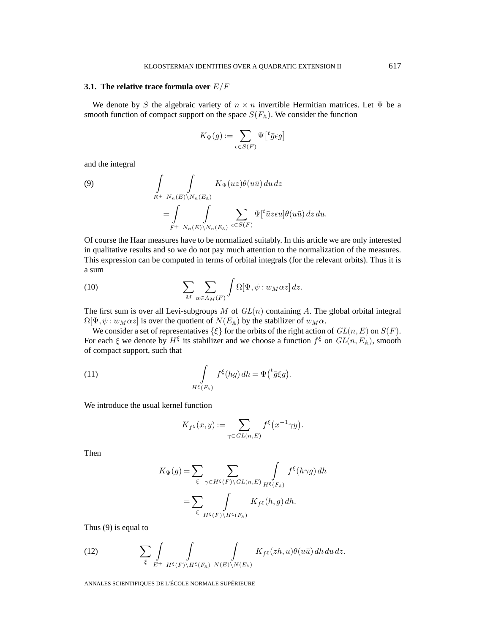#### **3.1. The relative trace formula over** E/F

We denote by S the algebraic variety of  $n \times n$  invertible Hermitian matrices. Let  $\Psi$  be a smooth function of compact support on the space  $S(F_A)$ . We consider the function

$$
K_\Psi(g):=\sum_{\epsilon\in S(F)}\Psi\big[{^t\bar{g}\epsilon g}\big]
$$

and the integral

(9) 
$$
\int_{E^+} \int_{N_n(E)\backslash N_n(E_{\mathbb{A}})} K_{\Psi}(uz) \theta(u\bar{u}) du dz
$$

$$
= \int_{F^+} \int_{N_n(E)\backslash N_n(E_{\mathbb{A}})} \sum_{\epsilon \in S(F)} \Psi[^t \bar{u} z \epsilon u] \theta(u\bar{u}) dz du.
$$

Of course the Haar measures have to be normalized suitably. In this article we are only interested in qualitative results and so we do not pay much attention to the normalization of the measures. This expression can be computed in terms of orbital integrals (for the relevant orbits). Thus it is a sum

(10) 
$$
\sum_{M} \sum_{\alpha \in A_{M}(F)} \int \Omega[\Psi, \psi : w_{M} \alpha z] dz.
$$

The first sum is over all Levi-subgroups M of  $GL(n)$  containing A. The global orbital integral  $\Omega[\Psi, \psi : w_M \alpha z]$  is over the quotient of  $N(E_A)$  by the stabilizer of  $w_M \alpha$ .

We consider a set of representatives  $\{\xi\}$  for the orbits of the right action of  $GL(n, E)$  on  $S(F)$ . For each  $\xi$  we denote by  $H^{\xi}$  its stabilizer and we choose a function  $f^{\xi}$  on  $GL(n, E_{\mathbb{A}})$ , smooth of compact support, such that

(11) 
$$
\int\limits_{H^{\xi}(F_{\mathbb{A}})} f^{\xi}(hg) dh = \Psi\left(\frac{t}{g\xi}g\right).
$$

We introduce the usual kernel function

$$
K_{f^{\xi}}(x,y):=\sum_{\gamma\in GL(n,E)}f^{\xi}\big(x^{-1}\gamma y\big).
$$

Then

$$
K_{\Psi}(g) = \sum_{\xi} \sum_{\gamma \in H^{\xi}(F) \backslash GL(n,E)} \int_{H^{\xi}(F_{\mathbb{A}})} f^{\xi}(h\gamma g) dh
$$

$$
= \sum_{\xi} \int_{H^{\xi}(F) \backslash H^{\xi}(F_{\mathbb{A}})} K_{f^{\xi}}(h,g) dh.
$$

Thus (9) is equal to

(12) 
$$
\sum_{\xi} \int_{E^+} \int_{H^{\xi}(F) \backslash H^{\xi}(F_{\mathbb{A}})} \int_{N(E) \backslash N(E_{\mathbb{A}})} K_{f^{\xi}}(zh, u) \theta(u\bar{u}) dh du dz.
$$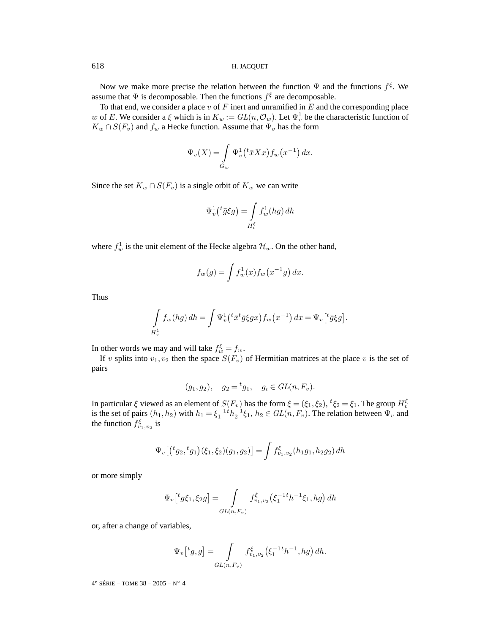Now we make more precise the relation between the function  $\Psi$  and the functions  $f^{\xi}$ . We assume that  $\Psi$  is decomposable. Then the functions  $f^{\xi}$  are decomposable.

To that end, we consider a place  $v$  of  $F$  inert and unramified in  $E$  and the corresponding place w of E. We consider a  $\xi$  which is in  $K_w := GL(n, \mathcal{O}_w)$ . Let  $\Psi_v^1$  be the characteristic function of  $K_w \cap S(F_v)$  and  $f_w$  a Hecke function. Assume that  $\Psi_v$  has the form

$$
\Psi_v(X) = \int_{G_w} \Psi_v^1({}^t\bar{x}Xx) f_w(x^{-1}) dx.
$$

Since the set  $K_w \cap S(F_v)$  is a single orbit of  $K_w$  we can write

$$
\Psi_v^1({}^t\bar{g}\xi g) = \int\limits_{H_v^{\xi}} f_w^1(hg) dh
$$

where  $f_w^1$  is the unit element of the Hecke algebra  $\mathcal{H}_w$ . On the other hand,

$$
f_w(g) = \int f_w^1(x) f_w(x^{-1}g) dx.
$$

Thus

$$
\int\limits_{H_v^\xi} f_w(hg) dh = \int \Psi_v^1(t \bar{x}^t \bar{g} \xi gx) f_w(x^{-1}) dx = \Psi_v \left[{}^t \bar{g} \xi g\right].
$$

In other words we may and will take  $f_w^{\xi} = f_w$ .

If v splits into  $v_1, v_2$  then the space  $S(F_v)$  of Hermitian matrices at the place v is the set of pairs

$$
(g_1, g_2), \quad g_2 = {}^t g_1, \quad g_i \in GL(n, F_v).
$$

In particular  $\xi$  viewed as an element of  $S(F_v)$  has the form  $\xi = (\xi_1, \xi_2)$ ,  ${}^t\xi_2 = \xi_1$ . The group  $H_v^{\xi}$ is the set of pairs  $(h_1, h_2)$  with  $h_1 = \xi_1^{-1} h_2^{-1} \xi_1$ ,  $h_2 \in GL(n, F_v)$ . The relation between  $\Psi_v$  and the function  $f_{v_1,v_2}^{\xi}$  is

$$
\Psi_v[({}^tg_2,{}^tg_1)(\xi_1,\xi_2)(g_1,g_2)] = \int f^{\xi}_{v_1,v_2}(h_1g_1,h_2g_2) dh
$$

or more simply

$$
\Psi_v \left[ {}^t g \xi_1, \xi_2 g \right] = \int\limits_{GL(n, F_v)} f_{v_1, v_2}^{\xi} \left( \xi_1^{-1} h^{-1} \xi_1, hg \right) dh
$$

or, after a change of variables,

$$
\Psi_v[t_g, g] = \int\limits_{GL(n, F_v)} f_{v_1, v_2}^{\xi} (\xi_1^{-1} h^{-1}, hg) dh.
$$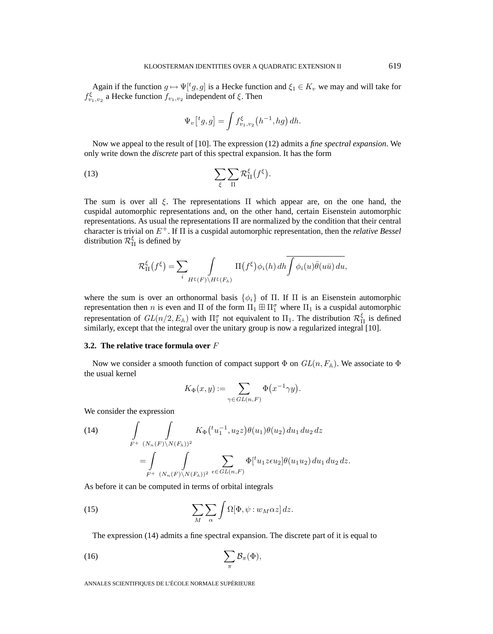Again if the function  $g \mapsto \Psi[t, g]$  is a Hecke function and  $\xi_1 \in K_v$  we may and will take for  $f_{v_1,v_2}^{\xi}$  a Hecke function  $f_{v_1,v_2}$  independent of  $\xi$ . Then

$$
\Psi_v[tg,g] = \int f^{\xi}_{v_1,v_2}(h^{-1},hg) dh.
$$

Now we appeal to the result of [10]. The expression (12) admits a *fine spectral expansion*. We only write down the *discrete* part of this spectral expansion. It has the form

(13) 
$$
\sum_{\xi} \sum_{\Pi} \mathcal{R}_{\Pi}^{\xi}(f^{\xi}).
$$

The sum is over all  $\xi$ . The representations  $\Pi$  which appear are, on the one hand, the cuspidal automorphic representations and, on the other hand, certain Eisenstein automorphic representations. As usual the representations Π are normalized by the condition that their central character is trivial on E<sup>+</sup>. If Π is a cuspidal automorphic representation, then the *relative Bessel* distribution  $\mathcal{R}^{\xi}_{\Pi}$  is defined by

$$
\mathcal{R}^{\xi}_{\Pi}(f^{\xi}) = \sum_{i} \int_{H^{\xi}(F)\backslash H^{\xi}(F_{\mathbb{A}})} \Pi(f^{\xi}) \phi_i(h) dh \overline{\int \phi_i(u) \overline{\theta}(u\overline{u}) du},
$$

where the sum is over an orthonormal basis  $\{\phi_i\}$  of Π. If Π is an Eisenstein automorphic representation then *n* is even and  $\Pi$  of the form  $\Pi_1 \boxplus \Pi_1^{\sigma}$  where  $\Pi_1$  is a cuspidal automorphic representation of  $GL(n/2, E_\mathbb{A})$  with  $\Pi_1^{\sigma}$  not equivalent to  $\Pi_1$ . The distribution  $\mathcal{R}^{\xi}_{\Pi}$  is defined similarly, except that the integral over the unitary group is now a regularized integral [10].

#### **3.2. The relative trace formula over** F

Now we consider a smooth function of compact support  $\Phi$  on  $GL(n, F<sub>A</sub>)$ . We associate to  $\Phi$ the usual kernel

$$
K_{\Phi}(x,y) := \sum_{\gamma \in GL(n,F)} \Phi(x^{-1}\gamma y).
$$

We consider the expression

(14) 
$$
\int\limits_{F^+} \int\limits_{(N_n(F)\backslash N(F_{\mathbb{A}}))^2} K_{\Phi}(t^u \mathbf{1}^1, u_2 z) \theta(u_1) \theta(u_2) du_1 du_2 dz
$$

$$
= \int\limits_{F^+} \int\limits_{(N_n(F)\backslash N(F_{\mathbb{A}}))^2} \sum_{\epsilon \in GL(n,F)} \Phi[tu_1 z \epsilon u_2] \theta(u_1 u_2) du_1 du_2 dz.
$$

As before it can be computed in terms of orbital integrals

(15) 
$$
\sum_{M} \sum_{\alpha} \int \Omega[\Phi, \psi : w_M \alpha z] dz.
$$

The expression (14) admits a fine spectral expansion. The discrete part of it is equal to

$$
(16)\qquad \qquad \sum_{\pi} \mathcal{B}_{\pi}(\Phi),
$$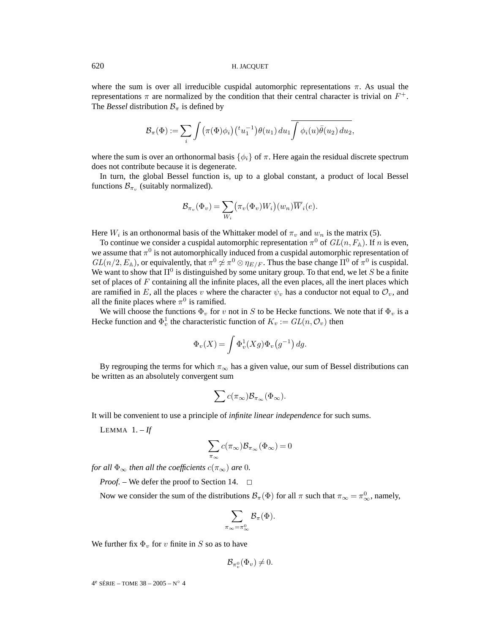#### 620 H. JACQUET

where the sum is over all irreducible cuspidal automorphic representations  $\pi$ . As usual the representations  $\pi$  are normalized by the condition that their central character is trivial on  $F^+$ . The *Bessel* distribution  $B_{\pi}$  is defined by

$$
\mathcal{B}_{\pi}(\Phi) := \sum_{i} \int (\pi(\Phi)\phi_i) \left( {}^t u_1^{-1} \right) \theta(u_1) \, du_1 \overline{\int \phi_i(u) \overline{\theta}(u_2) \, du_2},
$$

where the sum is over an orthonormal basis  $\{\phi_i\}$  of  $\pi$ . Here again the residual discrete spectrum does not contribute because it is degenerate.

In turn, the global Bessel function is, up to a global constant, a product of local Bessel functions  $\mathcal{B}_{\pi_v}$  (suitably normalized).

$$
\mathcal{B}_{\pi_v}(\Phi_v) = \sum_{W_i} \bigl(\pi_v(\Phi_v) W_i\bigr)(w_n) \overline{W}_i(e).
$$

Here  $W_i$  is an orthonormal basis of the Whittaker model of  $\pi_v$  and  $w_n$  is the matrix (5).

To continue we consider a cuspidal automorphic representation  $\pi^0$  of  $GL(n, F<sub>A</sub>)$ . If n is even, we assume that  $\pi^0$  is not automorphically induced from a cuspidal automorphic representation of  $GL(n/2, E_{\mathbb{A}})$ , or equivalently, that  $\pi^0 \not\simeq \pi^0 \otimes \eta_{E/F}$ . Thus the base change  $\Pi^0$  of  $\pi^0$  is cuspidal. We want to show that  $\Pi^0$  is distinguished by some unitary group. To that end, we let S be a finite set of places of  $F$  containing all the infinite places, all the even places, all the inert places which are ramified in E, all the places v where the character  $\psi_v$  has a conductor not equal to  $\mathcal{O}_v$ , and all the finite places where  $\pi^0$  is ramified.

We will choose the functions  $\Phi_v$  for v not in S to be Hecke functions. We note that if  $\Phi_v$  is a Hecke function and  $\Phi_v^1$  the characteristic function of  $K_v := GL(n, \mathcal{O}_v)$  then

$$
\Phi_v(X) = \int \Phi_v^1(Xg)\Phi_v(g^{-1})\,dg.
$$

By regrouping the terms for which  $\pi_{\infty}$  has a given value, our sum of Bessel distributions can be written as an absolutely convergent sum

$$
\sum c(\pi_{\infty}) \mathcal{B}_{\pi_{\infty}}(\Phi_{\infty}).
$$

It will be convenient to use a principle of *infinite linear independence* for such sums.

LEMMA  $1.-$ *If* 

$$
\sum_{\pi_{\infty}} c(\pi_{\infty}) \mathcal{B}_{\pi_{\infty}}(\Phi_{\infty}) = 0
$$

*for all*  $\Phi_{\infty}$  *then all the coefficients*  $c(\pi_{\infty})$  *are* 0*.* 

*Proof.* – We defer the proof to Section 14. <del>□</del>

Now we consider the sum of the distributions  $\mathcal{B}_{\pi}(\Phi)$  for all  $\pi$  such that  $\pi_{\infty} = \pi_{\infty}^0$ , namely,

$$
\sum_{\pi_\infty=\pi_\infty^0}\mathcal{B}_\pi(\Phi).
$$

We further fix  $\Phi_v$  for v finite in S so as to have

$$
\mathcal{B}_{\pi^0_v}(\Phi_v) \neq 0.
$$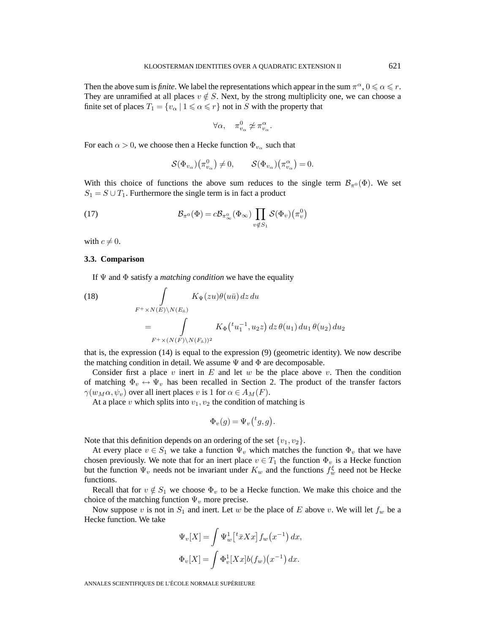Then the above sum is *finite*. We label the representations which appear in the sum  $\pi^{\alpha}$ ,  $0 \le \alpha \le r$ . They are unramified at all places  $v \notin S$ . Next, by the strong multiplicity one, we can choose a finite set of places  $T_1 = \{v_\alpha \mid 1 \leq \alpha \leq r\}$  not in S with the property that

$$
\forall \alpha, \quad \pi_{v_\alpha}^0 \not\simeq \pi_{v_\alpha}^\alpha.
$$

For each  $\alpha > 0$ , we choose then a Hecke function  $\Phi_{v_{\alpha}}$  such that

$$
\mathcal{S}(\Phi_{v_{\alpha}})(\pi_{v_{\alpha}}^0) \neq 0, \qquad \mathcal{S}(\Phi_{v_{\alpha}})(\pi_{v_{\alpha}}^{\alpha}) = 0.
$$

With this choice of functions the above sum reduces to the single term  $\mathcal{B}_{\pi^0}(\Phi)$ . We set  $S_1 = S \cup T_1$ . Furthermore the single term is in fact a product

(17) 
$$
\mathcal{B}_{\pi^0}(\Phi) = c \mathcal{B}_{\pi^0_{\infty}}(\Phi_{\infty}) \prod_{v \notin S_1} \mathcal{S}(\Phi_v) (\pi^0_v)
$$

with  $c \neq 0$ .

#### **3.3. Comparison**

If Ψ and Φ satisfy a *matching condition* we have the equality

(18)  
\n
$$
\int_{F^+ \times N(E) \backslash N(E_{\mathbb{A}})} K_{\Psi}(zu) \theta(u\bar{u}) dz du
$$
\n
$$
= \int_{F^+ \times (N(F) \backslash N(F_{\mathbb{A}}))^2} K_{\Phi}(t u_1^{-1}, u_2 z) dz \theta(u_1) du_1 \theta(u_2) du_2
$$

that is, the expression (14) is equal to the expression (9) (geometric identity). We now describe the matching condition in detail. We assume  $\Psi$  and  $\Phi$  are decomposable.

Consider first a place v inert in  $E$  and let  $w$  be the place above v. Then the condition of matching  $\Phi_v \leftrightarrow \Psi_v$  has been recalled in Section 2. The product of the transfer factors  $\gamma(w_M\alpha, \psi_v)$  over all inert places v is 1 for  $\alpha \in A_M(F)$ .

At a place  $v$  which splits into  $v_1, v_2$  the condition of matching is

$$
\Phi_v(g) = \Psi_v({}^tg,g).
$$

Note that this definition depends on an ordering of the set  $\{v_1, v_2\}$ .

At every place  $v \in S_1$  we take a function  $\Psi_v$  which matches the function  $\Phi_v$  that we have chosen previously. We note that for an inert place  $v \in T_1$  the function  $\Phi_v$  is a Hecke function but the function  $\Psi_v$  needs not be invariant under  $K_w$  and the functions  $f_w^{\xi}$  need not be Hecke functions.

Recall that for  $v \notin S_1$  we choose  $\Phi_v$  to be a Hecke function. We make this choice and the choice of the matching function  $\Psi_v$  more precise.

Now suppose v is not in  $S_1$  and inert. Let w be the place of E above v. We will let  $f_w$  be a Hecke function. We take

$$
\Psi_v[X] = \int \Psi_w^1[t\bar{x}Xx] f_w(x^{-1}) dx,
$$
  

$$
\Phi_v[X] = \int \Phi_v^1[Xx] b(f_w)(x^{-1}) dx.
$$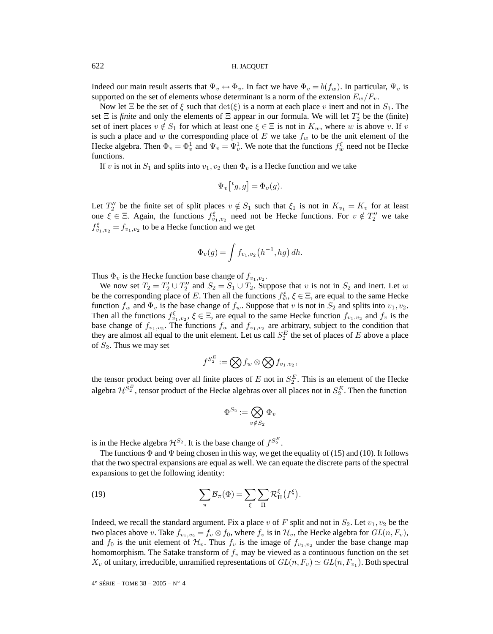#### 622 H. JACQUET

Indeed our main result asserts that  $\Psi_v \leftrightarrow \Phi_v$ . In fact we have  $\Phi_v = b(f_w)$ . In particular,  $\Psi_v$  is supported on the set of elements whose determinant is a norm of the extension  $E_w/F_v$ .

Now let  $\Xi$  be the set of  $\xi$  such that  $\det(\xi)$  is a norm at each place v inert and not in  $S_1$ . The set  $\Xi$  is *finite* and only the elements of  $\Xi$  appear in our formula. We will let  $T_2'$  be the (finite) set of inert places  $v \notin S_1$  for which at least one  $\xi \in \Xi$  is not in  $K_w$ , where w is above v. If v is such a place and w the corresponding place of  $E$  we take  $f_w$  to be the unit element of the Hecke algebra. Then  $\Phi_v = \Phi_v^1$  and  $\Psi_v = \Psi_v^1$ . We note that the functions  $f_w^{\xi}$  need not be Hecke functions.

If v is not in  $S_1$  and splits into  $v_1, v_2$  then  $\Phi_v$  is a Hecke function and we take

$$
\Psi_v\big[{}^tg,g\big] = \Phi_v(g).
$$

Let  $T_2''$  be the finite set of split places  $v \notin S_1$  such that  $\xi_1$  is not in  $K_{v_1} = K_v$  for at least one  $\xi \in \Xi$ . Again, the functions  $f_{v_1,v_2}^{\xi}$  need not be Hecke functions. For  $v \notin T''_2$  we take  $f_{v_1,v_2}^{\xi} = f_{v_1,v_2}$  to be a Hecke function and we get

$$
\Phi_v(g) = \int f_{v_1, v_2} (h^{-1}, hg) \, dh.
$$

Thus  $\Phi_v$  is the Hecke function base change of  $f_{v_1,v_2}$ .

We now set  $T_2 = T_2' \cup T_2''$  and  $S_2 = S_1 \cup T_2$ . Suppose that v is not in  $S_2$  and inert. Let w be the corresponding place of E. Then all the functions  $f_w^{\xi}$ ,  $\xi \in \Xi$ , are equal to the same Hecke function  $f_w$  and  $\Phi_v$  is the base change of  $f_w$ . Suppose that v is not in  $S_2$  and splits into  $v_1, v_2$ . Then all the functions  $f_{v_1,v_2}^{\xi}$ ,  $\xi \in \Xi$ , are equal to the same Hecke function  $f_{v_1,v_2}$  and  $f_v$  is the base change of  $f_{v_1,v_2}$ . The functions  $f_w$  and  $f_{v_1,v_2}$  are arbitrary, subject to the condition that they are almost all equal to the unit element. Let us call  $S_2^E$  the set of places of E above a place of  $S_2$ . Thus we may set

$$
f^{S_2^E} := \bigotimes f_w \otimes \bigotimes f_{v_1,v_2},
$$

the tensor product being over all finite places of  $E$  not in  $S_2^E$ . This is an element of the Hecke algebra  $\mathcal{H}^{S_2^E}$  , tensor product of the Hecke algebras over all places not in  $S_2^E$  . Then the function

$$
\Phi^{S_2}:=\bigotimes_{v\notin S_2} \Phi_v
$$

is in the Hecke algebra  $\mathcal{H}^{S_2}$ . It is the base change of  $f^{S_2^E}$ .

The functions  $\Phi$  and  $\Psi$  being chosen in this way, we get the equality of (15) and (10). It follows that the two spectral expansions are equal as well. We can equate the discrete parts of the spectral expansions to get the following identity:

(19) 
$$
\sum_{\pi} \mathcal{B}_{\pi}(\Phi) = \sum_{\xi} \sum_{\Pi} \mathcal{R}^{\xi}_{\Pi}(f^{\xi}).
$$

Indeed, we recall the standard argument. Fix a place v of F split and not in  $S_2$ . Let  $v_1, v_2$  be the two places above v. Take  $f_{v_1,v_2} = f_v \otimes f_0$ , where  $f_v$  is in  $\mathcal{H}_v$ , the Hecke algebra for  $GL(n, F_v)$ , and  $f_0$  is the unit element of  $\mathcal{H}_v$ . Thus  $f_v$  is the image of  $f_{v_1,v_2}$  under the base change map homomorphism. The Satake transform of  $f_v$  may be viewed as a continuous function on the set  $X_v$  of unitary, irreducible, unramified representations of  $GL(n, F_v) \simeq GL(n, F_{v_1})$ . Both spectral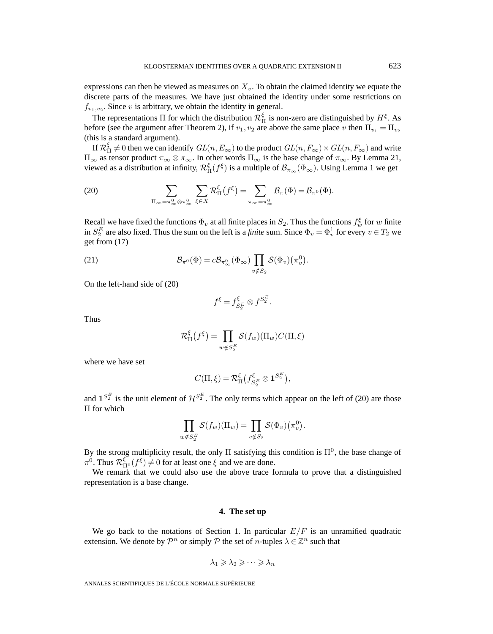expressions can then be viewed as measures on  $X_v$ . To obtain the claimed identity we equate the discrete parts of the measures. We have just obtained the identity under some restrictions on  $f_{v_1,v_2}$ . Since v is arbitrary, we obtain the identity in general.

The representations  $\Pi$  for which the distribution  $\mathcal{R}_{\Pi}^{\xi}$  is non-zero are distinguished by  $H^{\xi}$ . As before (see the argument after Theorem 2), if  $v_1, v_2$  are above the same place v then  $\Pi_{v_1} = \Pi_{v_2}$ (this is a standard argument).

If  $\mathcal{R}^{\xi}_{\Pi} \neq 0$  then we can identify  $GL(n, E_{\infty})$  to the product  $GL(n, F_{\infty}) \times GL(n, F_{\infty})$  and write  $\Pi_{\infty}$  as tensor product  $\pi_{\infty} \otimes \pi_{\infty}$ . In other words  $\Pi_{\infty}$  is the base change of  $\pi_{\infty}$ . By Lemma 21, viewed as a distribution at infinity,  $\mathcal{R}^{\xi}_{\Pi}(f^{\xi})$  is a multiple of  $\mathcal{B}_{\pi_{\infty}}(\Phi_{\infty})$ . Using Lemma 1 we get

(20) 
$$
\sum_{\Pi_{\infty}=\pi_{\infty}^{0}\otimes\pi_{\infty}^{0}}\sum_{\xi\in X}\mathcal{R}_{\Pi}^{\xi}(f^{\xi})=\sum_{\pi_{\infty}=\pi_{\infty}^{0}}\mathcal{B}_{\pi}(\Phi)=\mathcal{B}_{\pi^{0}}(\Phi).
$$

Recall we have fixed the functions  $\Phi_v$  at all finite places in  $S_2$ . Thus the functions  $f_w^{\xi}$  for w finite in  $S_2^E$  are also fixed. Thus the sum on the left is a *finite* sum. Since  $\Phi_v = \Phi_v^1$  for every  $v \in T_2$  we get from (17)

(21) 
$$
\mathcal{B}_{\pi^0}(\Phi) = c\mathcal{B}_{\pi^0_{\infty}}(\Phi_{\infty}) \prod_{v \notin S_2} \mathcal{S}(\Phi_v)(\pi^0_v).
$$

On the left-hand side of (20)

$$
f^{\xi} = f_{S_2^E}^{\xi} \otimes f^{S_2^E}.
$$

Thus

$$
\mathcal{R}^{\xi}_{\Pi}(f^{\xi}) = \prod_{w \notin S_{2}^{E}} \mathcal{S}(f_{w})(\Pi_{w})C(\Pi, \xi)
$$

where we have set

$$
C(\Pi,\xi)=\mathcal{R}^{\xi}_{\Pi}\big(f_{S_2^E}^{\xi}\otimes\mathbf{1}^{S_2^E}\big),
$$

and  $1^{S_2^E}$  is the unit element of  $\mathcal{H}^{S_2^E}$ . The only terms which appear on the left of (20) are those Π for which

$$
\prod_{w \notin S_2^E} \mathcal{S}(f_w)(\Pi_w) = \prod_{v \notin S_2} \mathcal{S}(\Phi_v)(\pi_v^0).
$$

By the strong multiplicity result, the only  $\Pi$  satisfying this condition is  $\Pi^0$ , the base change of  $\pi^0$ . Thus  $\mathcal{R}_{\Pi^0}^{\xi^0}(f^{\xi}) \neq 0$  for at least one  $\xi$  and we are done.

We remark that we could also use the above trace formula to prove that a distinguished representation is a base change.

#### **4. The set up**

We go back to the notations of Section 1. In particular  $E/F$  is an unramified quadratic extension. We denote by  $\mathcal{P}^n$  or simply  $\mathcal P$  the set of *n*-tuples  $\lambda \in \mathbb{Z}^n$  such that

$$
\lambda_1 \geqslant \lambda_2 \geqslant \cdots \geqslant \lambda_n
$$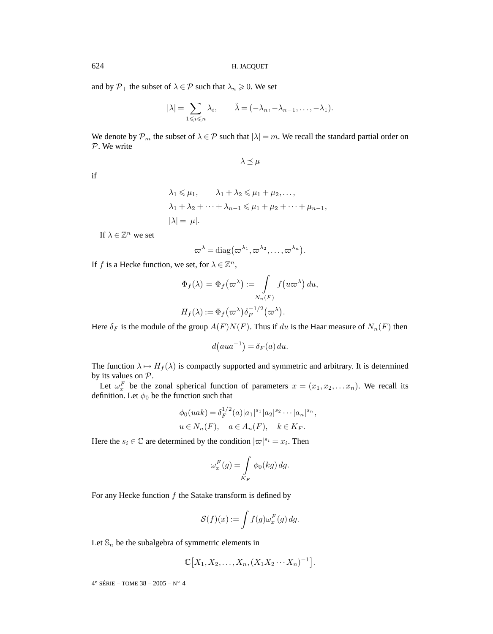and by  $P_+$  the subset of  $\lambda \in \mathcal{P}$  such that  $\lambda_n \geq 0$ . We set

$$
|\lambda| = \sum_{1 \leq i \leq n} \lambda_i, \qquad \tilde{\lambda} = (-\lambda_n, -\lambda_{n-1}, \dots, -\lambda_1).
$$

We denote by  $\mathcal{P}_m$  the subset of  $\lambda \in \mathcal{P}$  such that  $|\lambda| = m$ . We recall the standard partial order on P. We write

 $\lambda \preceq \mu$ 

if

$$
\lambda_1 \le \mu_1, \qquad \lambda_1 + \lambda_2 \le \mu_1 + \mu_2, \dots,
$$
  
\n
$$
\lambda_1 + \lambda_2 + \dots + \lambda_{n-1} \le \mu_1 + \mu_2 + \dots + \mu_{n-1},
$$
  
\n
$$
|\lambda| = |\mu|.
$$

If  $\lambda \in \mathbb{Z}^n$  we set

$$
\varpi^{\lambda} = \mathrm{diag}(\varpi^{\lambda_1}, \varpi^{\lambda_2}, \ldots, \varpi^{\lambda_n}).
$$

If f is a Hecke function, we set, for  $\lambda \in \mathbb{Z}^n$ ,

$$
\Phi_f(\lambda) = \Phi_f(\varpi^{\lambda}) := \int_{N_n(F)} f(u\varpi^{\lambda}) du,
$$
  

$$
H_f(\lambda) := \Phi_f(\varpi^{\lambda}) \delta_F^{-1/2}(\varpi^{\lambda}).
$$

Here  $\delta_F$  is the module of the group  $A(F)N(F)$ . Thus if du is the Haar measure of  $N_n(F)$  then

$$
d(aua^{-1}) = \delta_F(a) du.
$$

The function  $\lambda \mapsto H_f(\lambda)$  is compactly supported and symmetric and arbitrary. It is determined by its values on P.

Let  $\omega_x^F$  be the zonal spherical function of parameters  $x = (x_1, x_2, \dots x_n)$ . We recall its definition. Let  $\phi_0$  be the function such that

$$
\phi_0( uak) = \delta_F^{1/2}(a)|a_1|^{s_1}|a_2|^{s_2} \cdots |a_n|^{s_n},
$$
  
 
$$
u \in N_n(F), \quad a \in A_n(F), \quad k \in K_F.
$$

 $1/2$ 

Here the  $s_i \in \mathbb{C}$  are determined by the condition  $|\varpi|^{s_i} = x_i$ . Then

$$
\omega_x^F(g) = \int\limits_{K_F} \phi_0(kg) \, dg.
$$

For any Hecke function  $f$  the Satake transform is defined by

$$
\mathcal{S}(f)(x) := \int f(g) \omega_x^F(g) \, dg.
$$

Let  $\mathbb{S}_n$  be the subalgebra of symmetric elements in

$$
\mathbb{C}[X_1,X_2,\ldots,X_n,(X_1X_2\cdots X_n)^{-1}].
$$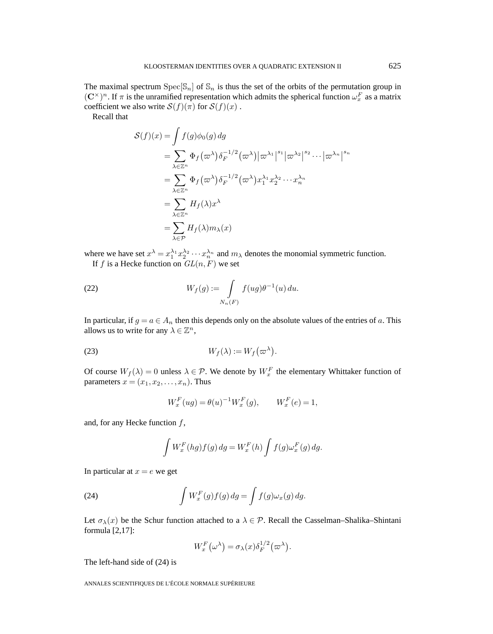The maximal spectrum  $\text{Spec}[\mathbb{S}_n]$  of  $\mathbb{S}_n$  is thus the set of the orbits of the permutation group in  $({\bf C}^{\times})^n$ . If  $\pi$  is the unramified representation which admits the spherical function  $\omega_x^F$  as a matrix coefficient we also write  $S(f)(\pi)$  for  $S(f)(x)$ .

Recall that

$$
\mathcal{S}(f)(x) = \int f(g)\phi_0(g) dg
$$
  
= 
$$
\sum_{\lambda \in \mathbb{Z}^n} \Phi_f(\omega^{\lambda}) \delta_F^{-1/2}(\omega^{\lambda}) |\omega^{\lambda_1}|^{s_1} |\omega^{\lambda_2}|^{s_2} \cdots |\omega^{\lambda_n}|^{s_n}
$$
  
= 
$$
\sum_{\lambda \in \mathbb{Z}^n} \Phi_f(\omega^{\lambda}) \delta_F^{-1/2}(\omega^{\lambda}) x_1^{\lambda_1} x_2^{\lambda_2} \cdots x_n^{\lambda_n}
$$
  
= 
$$
\sum_{\lambda \in \mathbb{Z}^n} H_f(\lambda) x^{\lambda}
$$
  
= 
$$
\sum_{\lambda \in \mathcal{P}} H_f(\lambda) m_{\lambda}(x)
$$

where we have set  $x^{\lambda} = x_1^{\lambda_1} x_2^{\lambda_2} \cdots x_n^{\lambda_n}$  and  $m_{\lambda}$  denotes the monomial symmetric function. If f is a Hecke function on  $GL(n, F)$  we set

(22) 
$$
W_f(g) := \int_{N_n(F)} f(ug) \theta^{-1}(u) du.
$$

In particular, if  $g = a \in A_n$  then this depends only on the absolute values of the entries of a. This allows us to write for any  $\lambda \in \mathbb{Z}^n$ ,

(23) 
$$
W_f(\lambda) := W_f(\varpi^{\lambda}).
$$

Of course  $W_f(\lambda) = 0$  unless  $\lambda \in \mathcal{P}$ . We denote by  $W^F_x$  the elementary Whittaker function of parameters  $x = (x_1, x_2, \ldots, x_n)$ . Thus

$$
W_x^F(ug) = \theta(u)^{-1} W_x^F(g), \qquad W_x^F(e) = 1,
$$

and, for any Hecke function  $f$ ,

$$
\int W_x^F(hg)f(g) dg = W_x^F(h) \int f(g)\omega_x^F(g) dg.
$$

In particular at  $x = e$  we get

(24) 
$$
\int W_x^F(g)f(g) \, dg = \int f(g)\omega_x(g) \, dg.
$$

Let  $\sigma_{\lambda}(x)$  be the Schur function attached to a  $\lambda \in \mathcal{P}$ . Recall the Casselman–Shalika–Shintani formula [2,17]:

$$
W_x^F(\omega^{\lambda}) = \sigma_{\lambda}(x)\delta_F^{1/2}(\varpi^{\lambda}).
$$

The left-hand side of (24) is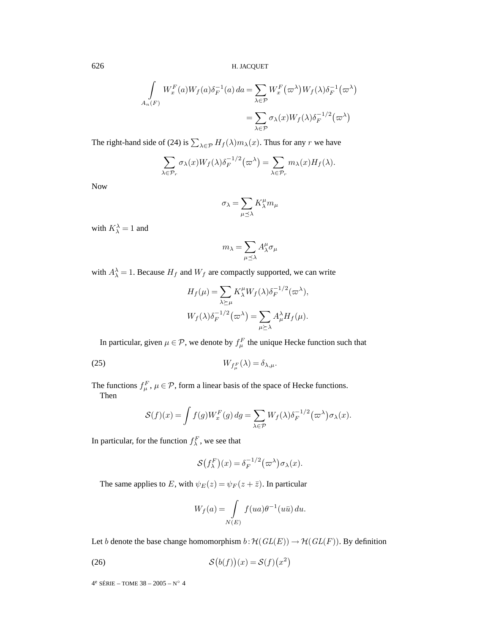626 H. JACQUET

$$
\int_{A_n(F)} W_x^F(a)W_f(a)\delta_F^{-1}(a) da = \sum_{\lambda \in \mathcal{P}} W_x^F(\varpi^{\lambda})W_f(\lambda)\delta_F^{-1}(\varpi^{\lambda})
$$

$$
= \sum_{\lambda \in \mathcal{P}} \sigma_{\lambda}(x)W_f(\lambda)\delta_F^{-1/2}(\varpi^{\lambda})
$$

The right-hand side of (24) is  $\sum_{\lambda \in \mathcal{P}} H_f(\lambda) m_\lambda(x)$ . Thus for any r we have

$$
\sum_{\lambda \in \mathcal{P}_r} \sigma_{\lambda}(x) W_f(\lambda) \delta_F^{-1/2}(\varpi^{\lambda}) = \sum_{\lambda \in \mathcal{P}_r} m_{\lambda}(x) H_f(\lambda).
$$

Now

$$
\sigma_\lambda = \sum_{\mu \preceq \lambda} K_\lambda^\mu m_\mu
$$

with  $K_{\lambda}^{\lambda} = 1$  and

$$
m_\lambda = \sum_{\mu \preceq \lambda} A^\mu_\lambda \sigma_\mu
$$

with  $A_{\lambda}^{\lambda} = 1$ . Because  $H_f$  and  $W_f$  are compactly supported, we can write

$$
H_f(\mu) = \sum_{\lambda \succeq \mu} K_{\lambda}^{\mu} W_f(\lambda) \delta_F^{-1/2} (\varpi^{\lambda}),
$$
  

$$
W_f(\lambda) \delta_F^{-1/2} (\varpi^{\lambda}) = \sum_{\mu \succeq \lambda} A_{\mu}^{\lambda} H_f(\mu).
$$

In particular, given  $\mu \in \mathcal{P}$ , we denote by  $f_{\mu}^F$  the unique Hecke function such that

$$
(25) \t\t W_{f^F_\mu}(\lambda) = \delta_{\lambda,\mu}.
$$

The functions  $f_{\mu}^F$ ,  $\mu \in \mathcal{P}$ , form a linear basis of the space of Hecke functions. Then

$$
\mathcal{S}(f)(x) = \int f(g)W_x^F(g) dg = \sum_{\lambda \in \mathcal{P}} W_f(\lambda) \delta_F^{-1/2}(\varpi^{\lambda}) \sigma_{\lambda}(x).
$$

In particular, for the function  $f_{\lambda}^{F}$ , we see that

$$
\mathcal{S}(f^F_\lambda)(x) = \delta_F^{-1/2}(\varpi^\lambda)\sigma_\lambda(x).
$$

The same applies to E, with  $\psi_E(z) = \psi_F(z + \bar{z})$ . In particular

$$
W_f(a) = \int_{N(E)} f(ua)\theta^{-1}(u\bar{u}) du.
$$

Let b denote the base change homomorphism  $b: \mathcal{H}(GL(E)) \to \mathcal{H}(GL(F))$ . By definition

(26) 
$$
\mathcal{S}(b(f))(x) = \mathcal{S}(f)(x^2)
$$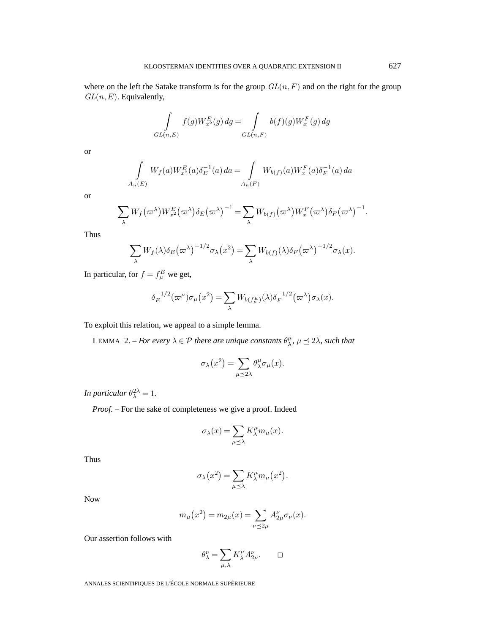where on the left the Satake transform is for the group  $GL(n, F)$  and on the right for the group  $GL(n, E)$ . Equivalently,

$$
\int_{GL(n,E)} f(g)W_x^E(g) dg = \int_{GL(n,F)} b(f)(g)W_x^F(g) dg
$$

or

$$
\int_{A_n(E)} W_f(a) W_{x^2}^E(a) \delta_E^{-1}(a) da = \int_{A_n(F)} W_{b(f)}(a) W_x^F(a) \delta_F^{-1}(a) da
$$

or

$$
\sum_{\lambda} W_f(\varpi^{\lambda}) W_{x^2}^E(\varpi^{\lambda}) \delta_E(\varpi^{\lambda})^{-1} = \sum_{\lambda} W_{b(f)}(\varpi^{\lambda}) W_x^F(\varpi^{\lambda}) \delta_F(\varpi^{\lambda})^{-1}.
$$

Thus

$$
\sum_{\lambda} W_f(\lambda) \delta_E(\varpi^{\lambda})^{-1/2} \sigma_{\lambda}(x^2) = \sum_{\lambda} W_{b(f)}(\lambda) \delta_F(\varpi^{\lambda})^{-1/2} \sigma_{\lambda}(x).
$$

In particular, for  $f = f^E_\mu$  we get,

$$
\delta_E^{-1/2}(\varpi^{\mu})\sigma_{\mu}(x^2) = \sum_{\lambda} W_{b(f^E_{\mu})}(\lambda)\delta_F^{-1/2}(\varpi^{\lambda})\sigma_{\lambda}(x).
$$

To exploit this relation, we appeal to a simple lemma.

LEMMA 2. – *For every*  $\lambda \in \mathcal{P}$  *there are unique constants*  $\theta^{\mu}_{\lambda}$ ,  $\mu \leq 2\lambda$ , *such that* 

$$
\sigma_{\lambda}(x^2) = \sum_{\mu \le 2\lambda} \theta_{\lambda}^{\mu} \sigma_{\mu}(x).
$$

*In particular*  $\theta_{\lambda}^{2\lambda} = 1$ .

*Proof. –* For the sake of completeness we give a proof. Indeed

$$
\sigma_{\lambda}(x) = \sum_{\mu \preceq \lambda} K_{\lambda}^{\mu} m_{\mu}(x).
$$

Thus

$$
\sigma_{\lambda}(x^2) = \sum_{\mu \preceq \lambda} K_{\lambda}^{\mu} m_{\mu}(x^2).
$$

Now

$$
m_{\mu}(x^{2}) = m_{2\mu}(x) = \sum_{\nu \leq 2\mu} A_{2\mu}^{\nu} \sigma_{\nu}(x).
$$

Our assertion follows with

$$
\theta^\nu_\lambda = \sum_{\mu,\lambda} K^\mu_\lambda A^\nu_{2\mu} . \qquad \Box
$$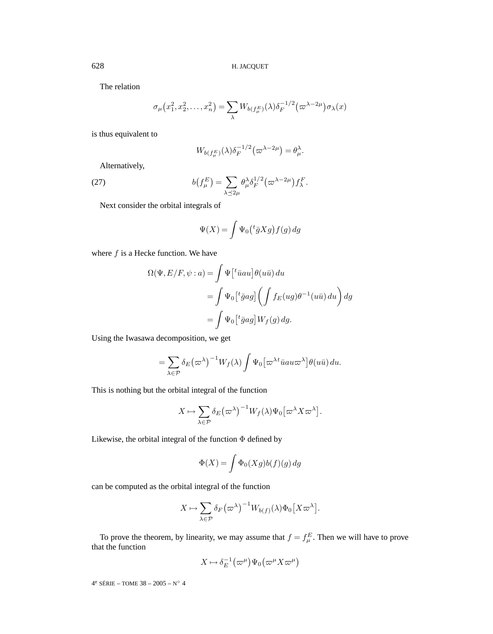The relation

$$
\sigma_{\mu}(x_1^2, x_2^2, \dots, x_n^2) = \sum_{\lambda} W_{b(f_{\mu}^E)}(\lambda) \delta_F^{-1/2}(\varpi^{\lambda - 2\mu}) \sigma_{\lambda}(x)
$$

is thus equivalent to

$$
W_{b(f^E_\mu)}(\lambda)\delta_F^{-1/2}(\varpi^{\lambda-2\mu})=\theta^\lambda_\mu.
$$

Alternatively,

(27) 
$$
b(f^E_\mu) = \sum_{\lambda \preceq 2\mu} \theta^{\lambda}_{\mu} \delta^{1/2}_F (\varpi^{\lambda - 2\mu}) f^F_{\lambda}.
$$

Next consider the orbital integrals of

$$
\Psi(X) = \int \Psi_0\left(^t\bar{g}Xg\right) f(g) \, dg
$$

where  $f$  is a Hecke function. We have

$$
\Omega(\Psi, E/F, \psi : a) = \int \Psi[t \bar{u}au] \theta(u\bar{u}) du
$$
  
= 
$$
\int \Psi_0[t \bar{g}ag] \left( \int f_E(ug) \theta^{-1}(u\bar{u}) du \right) dg
$$
  
= 
$$
\int \Psi_0[t \bar{g}ag] W_f(g) dg.
$$

Using the Iwasawa decomposition, we get

$$
= \sum_{\lambda \in \mathcal{P}} \delta_E(\varpi^{\lambda})^{-1} W_f(\lambda) \int \Psi_0 \big[ \varpi^{\lambda t} \bar{u}au \varpi^{\lambda} \big] \theta(u\bar{u}) du.
$$

This is nothing but the orbital integral of the function

$$
X \mapsto \sum_{\lambda \in \mathcal{P}} \delta_E (\varpi^{\lambda})^{-1} W_f(\lambda) \Psi_0 \big[ \varpi^{\lambda} X \varpi^{\lambda} \big].
$$

Likewise, the orbital integral of the function Φ defined by

$$
\Phi(X) = \int \Phi_0(Xg)b(f)(g) \, dg
$$

can be computed as the orbital integral of the function

$$
X \mapsto \sum_{\lambda \in \mathcal{P}} \delta_F (\varpi^{\lambda})^{-1} W_{b(f)}(\lambda) \Phi_0 \big[ X \varpi^{\lambda} \big].
$$

To prove the theorem, by linearity, we may assume that  $f = f^E_\mu$ . Then we will have to prove that the function

$$
X\mapsto \delta_E^{-1}\big(\varpi^\mu\big)\Psi_0\big(\varpi^\mu X\varpi^\mu\big)
$$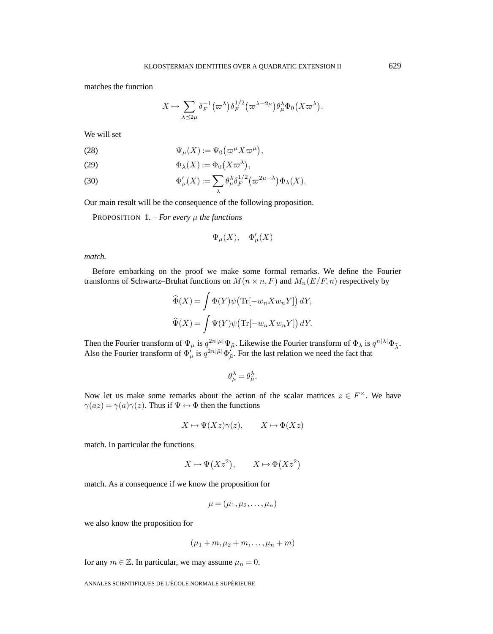matches the function

$$
X \mapsto \sum_{\lambda \preceq 2\mu} \delta_F^{-1}(\varpi^\lambda) \delta_F^{1/2}(\varpi^{\lambda-2\mu}) \theta_\mu^\lambda \Phi_0\big(X \varpi^\lambda\big).
$$

We will set

(28) 
$$
\Psi_{\mu}(X) := \Psi_0(\varpi^{\mu}X\varpi^{\mu}),
$$

(29) 
$$
\Phi_{\lambda}(X) := \Phi_0(X\varpi^{\lambda}),
$$

(30) 
$$
\Phi'_{\mu}(X) := \sum_{\lambda} \theta_{\mu}^{\lambda} \delta_F^{1/2} (\varpi^{2\mu - \lambda}) \Phi_{\lambda}(X).
$$

Our main result will be the consequence of the following proposition.

PROPOSITION  $1.-$  *For every*  $\mu$  *the functions* 

$$
\Psi_{\mu}(X), \quad \Phi'_{\mu}(X)
$$

*match.*

Before embarking on the proof we make some formal remarks. We define the Fourier transforms of Schwartz–Bruhat functions on  $M(n \times n, F)$  and  $M_n(E/F, n)$  respectively by

$$
\widehat{\Phi}(X) = \int \Phi(Y)\psi(\text{Tr}[-w_n X w_n Y]) dY,
$$
  

$$
\widehat{\Psi}(X) = \int \Psi(Y)\psi(\text{Tr}[-w_n X w_n Y]) dY.
$$

Then the Fourier transform of  $\Psi_{\mu}$  is  $q^{2n|\mu|}\Psi_{\tilde{\mu}}$ . Likewise the Fourier transform of  $\Phi_{\lambda}$  is  $q^{n|\lambda|}\Phi_{\tilde{\lambda}}$ . Also the Fourier transform of  $\Phi'_\mu$  is  $q^{2n|\tilde{\mu}|}\Phi'_{\tilde{\mu}}$ . For the last relation we need the fact that

$$
\theta^\lambda_\mu=\theta^{\tilde\lambda}_{\tilde\mu}.
$$

Now let us make some remarks about the action of the scalar matrices  $z \in F^{\times}$ . We have  $\gamma(az) = \gamma(a)\gamma(z)$ . Thus if  $\Psi \leftrightarrow \Phi$  then the functions

$$
X \mapsto \Psi(Xz)\gamma(z), \qquad X \mapsto \Phi(Xz)
$$

match. In particular the functions

$$
X \mapsto \Psi(Xz^2), \qquad X \mapsto \Phi(Xz^2)
$$

match. As a consequence if we know the proposition for

$$
\mu = (\mu_1, \mu_2, \dots, \mu_n)
$$

we also know the proposition for

$$
(\mu_1+m,\mu_2+m,\ldots,\mu_n+m)
$$

for any  $m \in \mathbb{Z}$ . In particular, we may assume  $\mu_n = 0$ .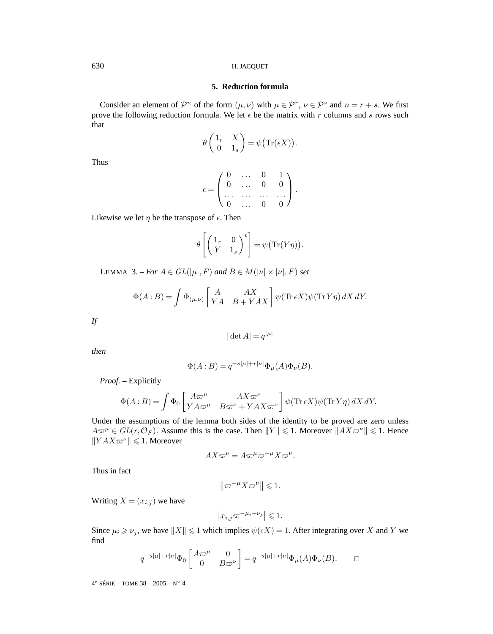#### **5. Reduction formula**

Consider an element of  $\mathcal{P}^n$  of the form  $(\mu, \nu)$  with  $\mu \in \mathcal{P}^r$ ,  $\nu \in \mathcal{P}^s$  and  $n = r + s$ . We first prove the following reduction formula. We let  $\epsilon$  be the matrix with r columns and s rows such that

$$
\theta\begin{pmatrix}1_r & X\\0 & 1_s\end{pmatrix} = \psi\big(\text{Tr}(\epsilon X)\big).
$$

Thus

$$
\epsilon = \left(\begin{array}{cccc} 0 & \ldots & 0 & 1 \\ 0 & \ldots & 0 & 0 \\ \ldots & \ldots & \ldots & \ldots \\ 0 & \ldots & 0 & 0 \end{array}\right).
$$

Likewise we let  $\eta$  be the transpose of  $\epsilon$ . Then

$$
\theta\left[\begin{pmatrix}1_r & 0\\ Y & 1_s\end{pmatrix}^t\right] = \psi\big(\text{Tr}(Y\eta)\big).
$$

LEMMA 3. – *For*  $A \in GL(|\mu|, F)$  and  $B \in M(|\nu| \times |\nu|, F)$  *set* 

$$
\Phi(A:B) = \int \Phi_{(\mu,\nu)} \begin{bmatrix} A & AX \\ YA & B+YAX \end{bmatrix} \psi(\text{Tr } \epsilon X) \psi(\text{Tr } Y\eta) dX dY.
$$

*If*

$$
|\det A| = q^{|\mu|}
$$

*then*

$$
\Phi(A:B) = q^{-s|\mu|+r|\nu|} \Phi_{\mu}(A)\Phi_{\nu}(B).
$$

*Proof. –* Explicitly

$$
\Phi(A:B) = \int \Phi_0 \begin{bmatrix} A\varpi^{\mu} & AX\varpi^{\nu} \\ YA\varpi^{\mu} & B\varpi^{\nu} + YAX\varpi^{\nu} \end{bmatrix} \psi(\text{Tr } \epsilon X)\psi(\text{Tr } Y\eta) dX dY.
$$

Under the assumptions of the lemma both sides of the identity to be proved are zero unless  $A\varpi^{\mu} \in GL(r, \mathcal{O}_F)$ . Assume this is the case. Then  $||Y|| \leq 1$ . Moreover  $||AX\varpi^{\nu}|| \leq 1$ . Hence  $||YAX\varpi^{\nu}|| \leq 1$ . Moreover

$$
AX\varpi^{\nu} = A\varpi^{\mu}\varpi^{-\mu}X\varpi^{\nu}.
$$

Thus in fact

$$
\left\|\varpi^{-\mu}X\varpi^{\nu}\right\|\leqslant 1.
$$

Writing  $X = (x_{i,j})$  we have

$$
\left|x_{i,j}\varpi^{-\mu_i+\nu_j}\right| \leqslant 1.
$$

Since  $\mu_i \geq \nu_j$ , we have  $||X|| \leq 1$  which implies  $\psi(\epsilon X) = 1$ . After integrating over X and Y we find

$$
q^{-s|\mu|+r|\nu|}\Phi_0\begin{bmatrix} A\varpi^{\mu} & 0\\ 0 & B\varpi^{\nu} \end{bmatrix} = q^{-s|\mu|+r|\nu|}\Phi_{\mu}(A)\Phi_{\nu}(B). \qquad \Box
$$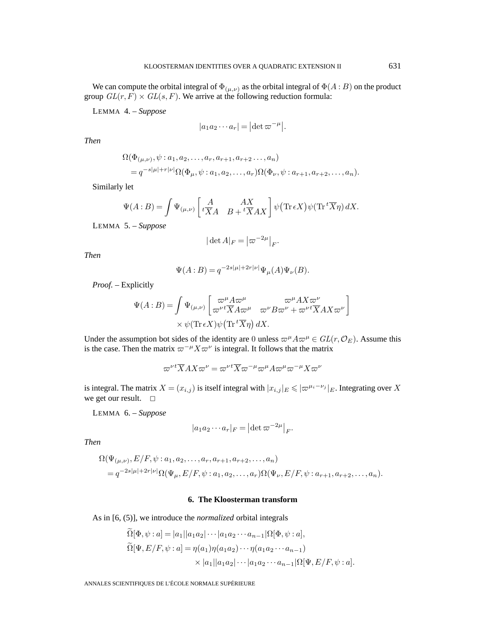We can compute the orbital integral of  $\Phi_{(\mu,\nu)}$  as the orbital integral of  $\Phi(A:B)$  on the product group  $GL(r, F) \times GL(s, F)$ . We arrive at the following reduction formula:

LEMMA 4. – *Suppose*

$$
|a_1 a_2 \cdots a_r| = |\det \varpi^{-\mu}|.
$$

*Then*

$$
\Omega(\Phi_{(\mu,\nu)}, \psi : a_1, a_2, \dots, a_r, a_{r+1}, a_{r+2}, \dots, a_n)
$$
  
=  $q^{-s|\mu|+r|\nu|}\Omega(\Phi_\mu, \psi : a_1, a_2, \dots, a_r)\Omega(\Phi_\nu, \psi : a_{r+1}, a_{r+2}, \dots, a_n).$ 

Similarly let

$$
\Psi(A:B) = \int \Psi_{(\mu,\nu)} \left[ t \frac{A}{XA} - \frac{AX}{B + t \overline{X}AX} \right] \psi(\text{Tr} \epsilon X) \psi(\text{Tr} t \overline{X} \eta) dX.
$$

LEMMA 5. – *Suppose*

$$
|\det A|_F = |\varpi^{-2\mu}|_F.
$$

*Then*

$$
\Psi(A:B) = q^{-2s|\mu|+2r|\nu|}\Psi_{\mu}(A)\Psi_{\nu}(B).
$$

*Proof. –* Explicitly

$$
\Psi(A:B) = \int \Psi_{(\mu,\nu)} \left[ \begin{array}{cc} \varpi^{\mu} A \varpi^{\mu} & \varpi^{\mu} A X \varpi^{\nu} \\ \varpi^{\nu \, t} \overline{X} A \varpi^{\mu} & \varpi^{\nu} B \varpi^{\nu} + \varpi^{\nu \, t} \overline{X} A X \varpi^{\nu} \end{array} \right] \times \psi(\text{Tr} \, \epsilon X) \psi(\text{Tr} \, t \overline{X} \eta) dX.
$$

Under the assumption bot sides of the identity are 0 unless  $\varpi^{\mu}A\varpi^{\mu} \in GL(r, \mathcal{O}_E)$ . Assume this is the case. Then the matrix  $\varpi^{-\mu} X \varpi^{\nu}$  is integral. It follows that the matrix

$$
\varpi^{\nu t}\overline{X}AX\varpi^{\nu}=\varpi^{\nu t}\overline{X}\varpi^{-\mu}\varpi^{\mu}A\varpi^{\mu}\varpi^{-\mu}X\varpi^{\nu}
$$

is integral. The matrix  $X = (x_{i,j})$  is itself integral with  $|x_{i,j}|_E \leq \left|\varpi^{\mu_i - \nu_j}\right|_E$ . Integrating over X we get our result.  $\square$ 

LEMMA 6. – *Suppose*

$$
|a_1 a_2 \cdots a_r|_F = |\det \varpi^{-2\mu}|_F.
$$

*Then*

$$
\Omega(\Psi_{(\mu,\nu)}, E/F, \psi : a_1, a_2, \dots, a_r, a_{r+1}, a_{r+2}, \dots, a_n)
$$
  
=  $q^{-2s|\mu|+2r|\nu|} \Omega(\Psi_\mu, E/F, \psi : a_1, a_2, \dots, a_r) \Omega(\Psi_\nu, E/F, \psi : a_{r+1}, a_{r+2}, \dots, a_n).$ 

#### **6. The Kloosterman transform**

As in [6, (5)], we introduce the *normalized* orbital integrals

$$
\widetilde{\Omega}[\Phi,\psi:a] = |a_1||a_1a_2|\cdots|a_1a_2\cdots a_{n-1}|\Omega[\Phi,\psi:a],
$$
  
\n
$$
\widetilde{\Omega}[\Psi,E/F,\psi:a] = \eta(a_1)\eta(a_1a_2)\cdots\eta(a_1a_2\cdots a_{n-1})
$$
  
\n
$$
\times |a_1||a_1a_2|\cdots|a_1a_2\cdots a_{n-1}|\Omega[\Psi,E/F,\psi:a].
$$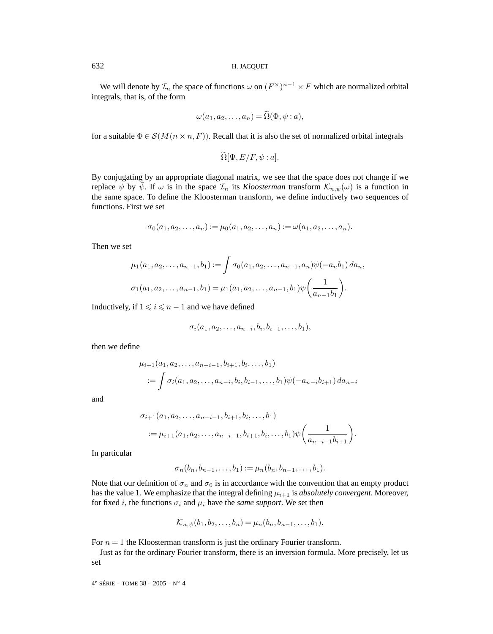#### 632 H. JACQUET

We will denote by  $\mathcal{I}_n$  the space of functions  $\omega$  on  $(F^{\times})^{n-1} \times F$  which are normalized orbital integrals, that is, of the form

$$
\omega(a_1, a_2, \dots, a_n) = \widetilde{\Omega}(\Phi, \psi : a),
$$

for a suitable  $\Phi \in \mathcal{S}(M(n \times n, F))$ . Recall that it is also the set of normalized orbital integrals

$$
\Omega[\Psi, E/F, \psi : a].
$$

By conjugating by an appropriate diagonal matrix, we see that the space does not change if we replace  $\psi$  by  $\bar{\psi}$ . If  $\omega$  is in the space  $\mathcal{I}_n$  its *Kloosterman* transform  $\mathcal{K}_{n,\psi}(\omega)$  is a function in the same space. To define the Kloosterman transform, we define inductively two sequences of functions. First we set

$$
\sigma_0(a_1, a_2, \ldots, a_n) := \mu_0(a_1, a_2, \ldots, a_n) := \omega(a_1, a_2, \ldots, a_n).
$$

Then we set

$$
\mu_1(a_1, a_2, \dots, a_{n-1}, b_1) := \int \sigma_0(a_1, a_2, \dots, a_{n-1}, a_n) \psi(-a_n b_1) da_n,
$$
  

$$
\sigma_1(a_1, a_2, \dots, a_{n-1}, b_1) = \mu_1(a_1, a_2, \dots, a_{n-1}, b_1) \psi\left(\frac{1}{a_{n-1} b_1}\right).
$$

Inductively, if  $1 \leq i \leq n - 1$  and we have defined

$$
\sigma_i(a_1, a_2, \ldots, a_{n-i}, b_i, b_{i-1}, \ldots, b_1),
$$

then we define

$$
\mu_{i+1}(a_1, a_2, \dots, a_{n-i-1}, b_{i+1}, b_i, \dots, b_1)
$$
  
:=  $\int \sigma_i(a_1, a_2, \dots, a_{n-i}, b_i, b_{i-1}, \dots, b_1) \psi(-a_{n-i}b_{i+1}) da_{n-i}$ 

and

$$
\sigma_{i+1}(a_1, a_2, \dots, a_{n-i-1}, b_{i+1}, b_i, \dots, b_1)
$$
  

$$
:= \mu_{i+1}(a_1, a_2, \dots, a_{n-i-1}, b_{i+1}, b_i, \dots, b_1) \psi\left(\frac{1}{a_{n-i-1}b_{i+1}}\right).
$$

In particular

$$
\sigma_n(b_n, b_{n-1}, \ldots, b_1) := \mu_n(b_n, b_{n-1}, \ldots, b_1).
$$

Note that our definition of  $\sigma_n$  and  $\sigma_0$  is in accordance with the convention that an empty product has the value 1. We emphasize that the integral defining  $\mu_{i+1}$  is *absolutely convergent*. Moreover, for fixed i, the functions  $\sigma_i$  and  $\mu_i$  have the *same support*. We set then

$$
\mathcal{K}_{n,\psi}(b_1,b_2,\ldots,b_n) = \mu_n(b_n,b_{n-1},\ldots,b_1).
$$

For  $n = 1$  the Kloosterman transform is just the ordinary Fourier transform.

Just as for the ordinary Fourier transform, there is an inversion formula. More precisely, let us set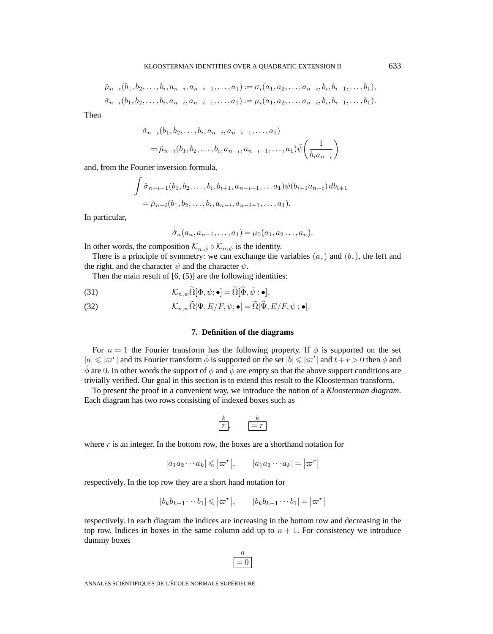$$
\tilde{\mu}_{n-i}(b_1, b_2, \ldots, b_i, a_{n-i}, a_{n-i-1}, \ldots, a_1) := \sigma_i(a_1, a_2, \ldots, a_{n-i}, b_i, b_{i-1}, \ldots, b_1),
$$
  

$$
\tilde{\sigma}_{n-i}(b_1, b_2, \ldots, b_i, a_{n-i}, a_{n-i-1}, \ldots, a_1) := \mu_i(a_1, a_2, \ldots, a_{n-i}, b_i, b_{i-1}, \ldots, b_1).
$$

Then

$$
\check{\sigma}_{n-i}(b_1, b_2, \dots, b_i, a_{n-i}, a_{n-i-1}, \dots, a_1) \n= \check{\mu}_{n-i}(b_1, b_2, \dots, b_i, a_{n-i}, a_{n-i-1}, \dots, a_1) \overline{\psi} \left( \frac{1}{b_i a_{n-i}} \right)
$$

and, from the Fourier inversion formula,

$$
\int \check{\sigma}_{n-i-1}(b_1, b_2, \dots, b_i, b_{i+1}, a_{n-i-1}, \dots, a_1) \psi(b_{i+1}a_{n-i}) db_{i+1}
$$
  
=  $\check{\mu}_{n-i}(b_1, b_2, \dots, b_i, a_{n-i}, a_{n-i-1}, \dots, a_1).$ 

In particular,

$$
\check{\sigma}_n(a_n, a_{n-1}, \ldots, a_1) = \mu_0(a_1, a_2 \ldots, a_n).
$$

In other words, the composition  $\mathcal{K}_{n,\bar{\psi}} \circ \mathcal{K}_{n,\psi}$  is the identity.

There is a principle of symmetry: we can exchange the variables  $(a_*)$  and  $(b_*)$ , the left and the right, and the character  $\psi$  and the character  $\psi$ .

Then the main result of  $[6, (5)]$  are the following identities:

(31) 
$$
\mathcal{K}_{n,\psi}\widetilde{\Omega}[\Phi,\psi;\bullet] = \widetilde{\Omega}[\widehat{\Phi},\bar{\psi}:\bullet],
$$

(32) 
$$
\mathcal{K}_{n,\psi} \widetilde{\Omega}[\Psi, E/F, \psi; \bullet] = \widetilde{\Omega}[\widehat{\Psi}, E/F, \bar{\psi} : \bullet].
$$

### **7. Definition of the diagrams**

For  $n = 1$  the Fourier transform has the following property. If  $\phi$  is supported on the set  $|a| \le |\varpi^r|$  and its Fourier transform  $\hat{\phi}$  is supported on the set  $|b| \le |\varpi^t|$  and  $t + r > 0$  then  $\phi$  and  $\hat{\phi}$  are 0. In other words the support of  $\phi$  and  $\hat{\phi}$  are empty so that the above support conditions are trivially verified. Our goal in this section is to extend this result to the Kloosterman transform.

To present the proof in a convenient way, we introduce the notion of a *Kloosterman diagram*. Each diagram has two rows consisting of indexed boxes such as

$$
\frac{k}{r}, \qquad \frac{k}{r}
$$

where  $r$  is an integer. In the bottom row, the boxes are a shorthand notation for

$$
|a_1 a_2 \cdots a_k| \leq |\varpi^r|, \qquad |a_1 a_2 \cdots a_k| = |\varpi^r|
$$

respectively. In the top row they are a short hand notation for

$$
|b_k b_{k-1} \cdots b_1| \leqslant |\varpi^r|, \qquad |b_k b_{k-1} \cdots b_1| = |\varpi^r|
$$

respectively. In each diagram the indices are increasing in the bottom row and decreasing in the top row. Indices in boxes in the same column add up to  $n + 1$ . For consistency we introduce dummy boxes

> 0  $= 0$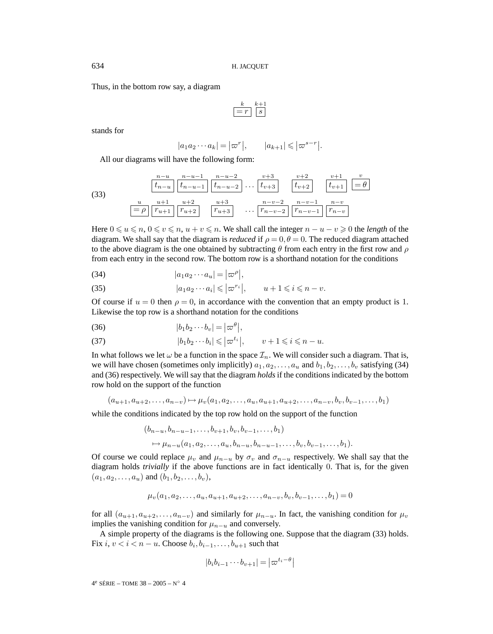Thus, in the bottom row say, a diagram

$$
\frac{k}{\lfloor =r\rfloor} \frac{k+1}{\lfloor s\rfloor}
$$

stands for

$$
|a_1 a_2 \cdots a_k| = |\varpi^r|, \qquad |a_{k+1}| \leq |\varpi^{s-r}|.
$$

All our diagrams will have the following form:

(33)  

$$
\frac{u}{t_{n-u}} \left[ \frac{n-u-1}{t_{n-u-1}} \right] \frac{n-u-2}{t_{n-u-2}} \dots \frac{v+3}{t_{v+3}} \quad \frac{v+2}{t_{v+2}} \quad \frac{v+1}{t_{v+1}} \left[ \frac{v}{t_{v+1}} \right] = \theta
$$
  

$$
\frac{u}{t_{v+1}} \left[ \frac{v+1}{t_{v+1}} \right] \frac{u+2}{t_{v+2}} \quad \frac{u+3}{t_{v+3}} \quad \dots \quad \frac{n-v-2}{r_{n-v-2}} \frac{n-v-1}{r_{n-v-1}} \frac{n-v}{r_{n-v}}
$$

Here  $0 \leq u \leq n$ ,  $0 \leq v \leq n$ ,  $u + v \leq n$ . We shall call the integer  $n - u - v \geq 0$  the *length* of the diagram. We shall say that the diagram is *reduced* if  $\rho = 0, \theta = 0$ . The reduced diagram attached to the above diagram is the one obtained by subtracting  $\theta$  from each entry in the first row and  $\rho$ from each entry in the second row. The bottom row is a shorthand notation for the conditions

(34) 
$$
|a_1 a_2 \cdots a_u| = |\varpi^{\rho}|,
$$

(35) 
$$
|a_1 a_2 \cdots a_i| \leqslant |\varpi^{r_i}|, \qquad u+1 \leqslant i \leqslant n-v.
$$

Of course if  $u = 0$  then  $\rho = 0$ , in accordance with the convention that an empty product is 1. Likewise the top row is a shorthand notation for the conditions

(36) 
$$
|b_1b_2\cdots b_v| = |\varpi^{\theta}|,
$$

(37) 
$$
|b_1b_2\cdots b_i|\leqslant |\varpi^{t_i}|, \qquad v+1\leqslant i\leqslant n-u.
$$

In what follows we let  $\omega$  be a function in the space  $\mathcal{I}_n$ . We will consider such a diagram. That is, we will have chosen (sometimes only implicitly)  $a_1, a_2, \ldots, a_u$  and  $b_1, b_2, \ldots, b_v$  satisfying (34) and (36) respectively. We will say that the diagram *holds* if the conditions indicated by the bottom row hold on the support of the function

$$
(a_{u+1}, a_{u+2}, \ldots, a_{n-v}) \mapsto \mu_v(a_1, a_2, \ldots, a_u, a_{u+1}, a_{u+2}, \ldots, a_{n-v}, b_v, b_{v-1}, \ldots, b_1)
$$

while the conditions indicated by the top row hold on the support of the function

$$
(b_{n-u}, b_{n-u-1}, \ldots, b_{v+1}, b_v, b_{v-1}, \ldots, b_1) \n \mapsto \mu_{n-u}(a_1, a_2, \ldots, a_u, b_{n-u}, b_{n-u-1}, \ldots, b_v, b_{v-1}, \ldots, b_1).
$$

Of course we could replace  $\mu_v$  and  $\mu_{n-u}$  by  $\sigma_v$  and  $\sigma_{n-u}$  respectively. We shall say that the diagram holds *trivially* if the above functions are in fact identically 0. That is, for the given  $(a_1, a_2,..., a_u)$  and  $(b_1, b_2,..., b_v)$ ,

$$
\mu_v(a_1, a_2, \dots, a_u, a_{u+1}, a_{u+2}, \dots, a_{n-v}, b_v, b_{v-1}, \dots, b_1) = 0
$$

for all  $(a_{u+1}, a_{u+2},...,a_{n-v})$  and similarly for  $\mu_{n-u}$ . In fact, the vanishing condition for  $\mu_v$ implies the vanishing condition for  $\mu_{n-u}$  and conversely.

A simple property of the diagrams is the following one. Suppose that the diagram (33) holds. Fix  $i, v < i < n - u$ . Choose  $b_i, b_{i-1}, \ldots, b_{u+1}$  such that

$$
|b_i b_{i-1} \cdots b_{v+1}| = \left| \varpi^{t_i - \theta} \right|
$$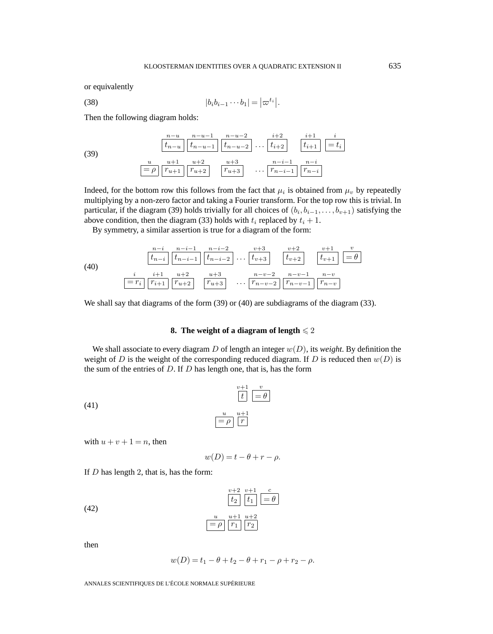or equivalently

$$
(38) \t\t\t |b_i b_{i-1} \cdots b_1| = |\varpi^{t_i}|.
$$

Then the following diagram holds:

(39)  

$$
\frac{n-u}{t_{n-u}} \frac{n-u-1}{t_{n-u-1}} \frac{n-u-2}{t_{n-u-2}} \dots \frac{i+2}{t_{i+2}} \frac{i+1}{t_{i+1}} \frac{i}{=t_i}
$$

$$
= \rho \frac{u+1}{r_{u+1}} \frac{u+2}{r_{u+2}} \frac{u+3}{r_{u+3}} \dots \frac{n-i-1}{r_{n-i-1}} \frac{n-i}{r_{n-i}}
$$

Indeed, for the bottom row this follows from the fact that  $\mu_i$  is obtained from  $\mu_v$  by repeatedly multiplying by a non-zero factor and taking a Fourier transform. For the top row this is trivial. In particular, if the diagram (39) holds trivially for all choices of  $(b_i, b_{i-1}, \ldots, b_{v+1})$  satisfying the above condition, then the diagram (33) holds with  $t_i$  replaced by  $t_i + 1$ .

By symmetry, a similar assertion is true for a diagram of the form:

(40)  

$$
\frac{n-i}{t_{n-i}} \frac{n-i-1}{t_{n-i-1}} \frac{n-i-2}{t_{n-i-2}} \dots \frac{v+3}{t_{v+3}} \frac{v+2}{t_{v+2}} \frac{v+1}{t_{v+1}} \equiv \theta
$$
  

$$
\frac{i}{t_{v+1}} \frac{i+1}{t_{v+1}} \frac{u+2}{t_{v+2}} \frac{u+3}{t_{v+3}} \dots \frac{n-v-2}{r_{n-v-2}} \frac{n-v-1}{r_{n-v-1}} \frac{n-v}{r_{n-v}}
$$

We shall say that diagrams of the form (39) or (40) are subdiagrams of the diagram (33).

#### **8.** The weight of a diagram of length  $\leq 2$

We shall associate to every diagram D of length an integer w(D), its *weight*. By definition the weight of D is the weight of the corresponding reduced diagram. If D is reduced then  $w(D)$  is the sum of the entries of  $D$ . If  $D$  has length one, that is, has the form

(41) 
$$
\frac{v+1}{t} \frac{v}{\left| = \theta \right|}
$$

$$
\frac{u}{\left| = \rho \right|} \frac{u+1}{r}
$$

with  $u + v + 1 = n$ , then

$$
w(D) = t - \theta + r - \rho.
$$

If  $D$  has length  $2$ , that is, has the form:

(42) 
$$
\frac{v+2}{t_2} \frac{v+1}{t_1} = \theta
$$

$$
\frac{u}{\left| \frac{u+1}{r_1} \right| \frac{u+2}{r_2}}
$$

then

$$
w(D) = t_1 - \theta + t_2 - \theta + r_1 - \rho + r_2 - \rho.
$$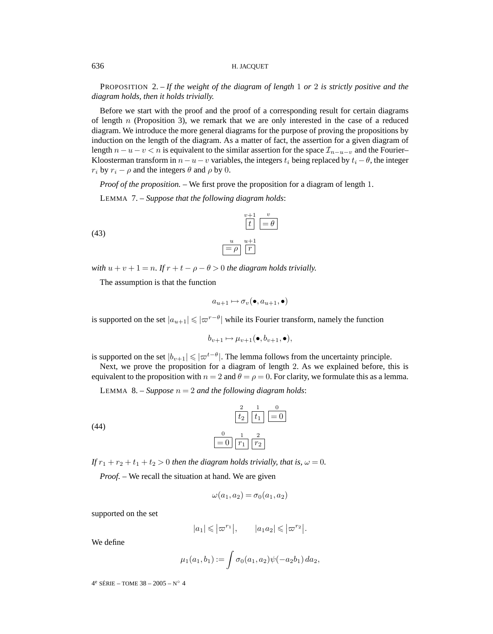#### 636 H. JACQUET

PROPOSITION 2. – *If the weight of the diagram of length* 1 *or* 2 *is strictly positive and the diagram holds, then it holds trivially.*

Before we start with the proof and the proof of a corresponding result for certain diagrams of length  $n$  (Proposition 3), we remark that we are only interested in the case of a reduced diagram. We introduce the more general diagrams for the purpose of proving the propositions by induction on the length of the diagram. As a matter of fact, the assertion for a given diagram of length  $n-u-v<\infty$  is equivalent to the similar assertion for the space  $\mathcal{I}_{n-u-v}$  and the Fourier– Kloosterman transform in  $n-u-v$  variables, the integers  $t_i$  being replaced by  $t_i - \theta$ , the integer  $r_i$  by  $r_i - \rho$  and the integers  $\theta$  and  $\rho$  by 0.

*Proof of the proposition. –* We first prove the proposition for a diagram of length 1.

LEMMA 7. – *Suppose that the following diagram holds*:



*with*  $u + v + 1 = n$ *. If*  $r + t - \rho - \theta > 0$  *the diagram holds trivially.* 

The assumption is that the function

$$
a_{u+1} \mapsto \sigma_v(\bullet, a_{u+1}, \bullet)
$$

is supported on the set  $|a_{u+1}| \leqslant |\varpi^{r-\theta}|$  while its Fourier transform, namely the function

$$
b_{v+1} \mapsto \mu_{v+1}(\bullet, b_{v+1}, \bullet),
$$

is supported on the set  $|b_{v+1}| \leq \vert \varpi^{t-\theta} \vert$ . The lemma follows from the uncertainty principle.

Next, we prove the proposition for a diagram of length 2. As we explained before, this is equivalent to the proposition with  $n = 2$  and  $\theta = \rho = 0$ . For clarity, we formulate this as a lemma.

LEMMA 8. – *Suppose*  $n = 2$  *and the following diagram holds*:

(44) 
$$
\frac{\frac{2}{t_2} \left[ \frac{1}{t_1} \right] = 0}{\frac{0}{t_1} \left[ \frac{2}{r_2} \right]}
$$

*If*  $r_1 + r_2 + t_1 + t_2 > 0$  *then the diagram holds trivially, that is,*  $\omega = 0$ *.* 

*Proof. –* We recall the situation at hand. We are given

$$
\omega(a_1, a_2) = \sigma_0(a_1, a_2)
$$

supported on the set

$$
|a_1| \leqslant |\varpi^{r_1}|, \qquad |a_1 a_2| \leqslant |\varpi^{r_2}|.
$$

We define

$$
\mu_1(a_1, b_1) := \int \sigma_0(a_1, a_2) \psi(-a_2 b_1) \, da_2,
$$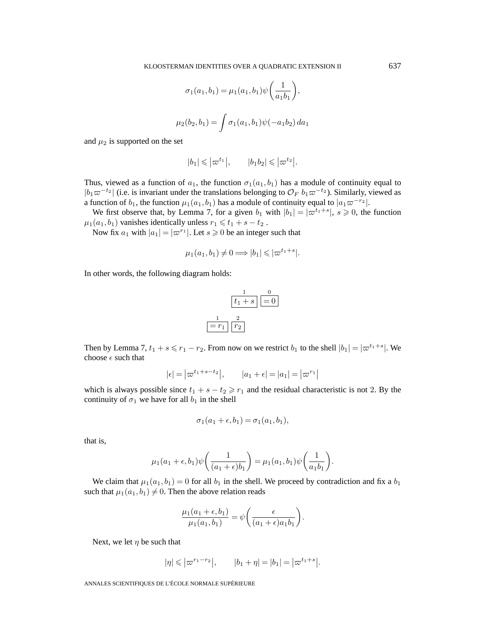$$
\sigma_1(a_1, b_1) = \mu_1(a_1, b_1) \psi\left(\frac{1}{a_1 b_1}\right),
$$
  

$$
\mu_2(b_2, b_1) = \int \sigma_1(a_1, b_1) \psi(-a_1 b_2) da_1
$$

and  $\mu_2$  is supported on the set

$$
|b_1| \leqslant |\varpi^{t_1}|, \qquad |b_1b_2| \leqslant |\varpi^{t_2}|.
$$

Thus, viewed as a function of  $a_1$ , the function  $\sigma_1(a_1, b_1)$  has a module of continuity equal to  $|b_1\varpi^{-t_2}|$  (i.e. is invariant under the translations belonging to  $\mathcal{O}_F$   $b_1\varpi^{-t_2}$ ). Similarly, viewed as a function of  $b_1$ , the function  $\mu_1(a_1, b_1)$  has a module of continuity equal to  $|a_1\varpi^{-r_2}|$ .

We first observe that, by Lemma 7, for a given  $b_1$  with  $|b_1| = |\varpi^{t_1+s}|, s \geq 0$ , the function  $\mu_1(a_1, b_1)$  vanishes identically unless  $r_1 \leq t_1 + s - t_2$ .

Now fix  $a_1$  with  $|a_1| = |\varpi^{r_1}|$ . Let  $s \ge 0$  be an integer such that

$$
\mu_1(a_1, b_1) \neq 0 \Longrightarrow |b_1| \leqslant |\varpi^{t_1+s}|.
$$

In other words, the following diagram holds:

$$
\frac{1}{|t_1 + s|} = 0
$$
  

$$
\frac{1}{|t_1 + s|} = 0
$$
  

$$
\frac{1}{|t_1 + s|} = 0
$$

Then by Lemma 7,  $t_1 + s \le r_1 - r_2$ . From now on we restrict  $b_1$  to the shell  $|b_1| = |\varpi^{t_1+s}|$ . We choose  $\epsilon$  such that

$$
|\epsilon| = |\varpi^{t_1+s-t_2}|,
$$
  $|a_1 + \epsilon| = |a_1| = |\varpi^{r_1}|$ 

which is always possible since  $t_1 + s - t_2 \ge r_1$  and the residual characteristic is not 2. By the continuity of  $\sigma_1$  we have for all  $b_1$  in the shell

$$
\sigma_1(a_1+\epsilon,b_1)=\sigma_1(a_1,b_1),
$$

that is,

$$
\mu_1(a_1+\epsilon,b_1)\psi\bigg(\frac{1}{(a_1+\epsilon)b_1}\bigg)=\mu_1(a_1,b_1)\psi\bigg(\frac{1}{a_1b_1}\bigg).
$$

We claim that  $\mu_1(a_1, b_1)=0$  for all  $b_1$  in the shell. We proceed by contradiction and fix a  $b_1$ such that  $\mu_1(a_1, b_1) \neq 0$ . Then the above relation reads

$$
\frac{\mu_1(a_1+\epsilon,b_1)}{\mu_1(a_1,b_1)} = \psi\bigg(\frac{\epsilon}{(a_1+\epsilon)a_1b_1}\bigg).
$$

Next, we let  $\eta$  be such that

$$
|\eta| \le |\varpi^{r_1 - r_2}|,
$$
  $|b_1 + \eta| = |b_1| = |\varpi^{t_1 + s}|.$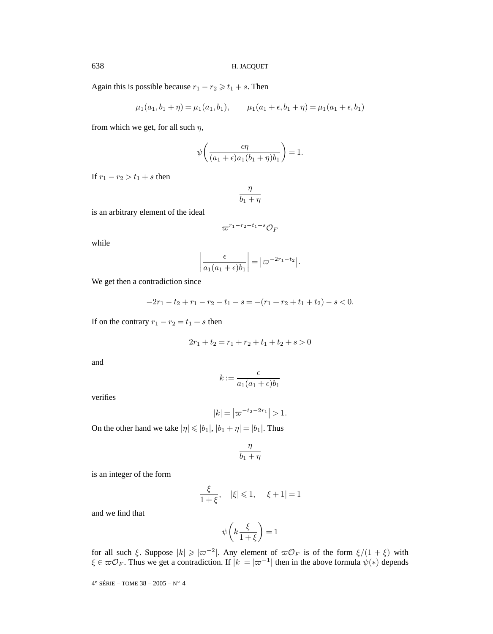Again this is possible because  $r_1 - r_2 \geq t_1 + s$ . Then

$$
\mu_1(a_1, b_1 + \eta) = \mu_1(a_1, b_1),
$$
  $\mu_1(a_1 + \epsilon, b_1 + \eta) = \mu_1(a_1 + \epsilon, b_1)$ 

from which we get, for all such  $\eta$ ,

$$
\psi\bigg(\frac{\epsilon\eta}{(a_1+\epsilon)a_1(b_1+\eta)b_1}\bigg)=1.
$$

If  $r_1 - r_2 > t_1 + s$  then

$$
\frac{\eta}{b_1+\eta}
$$

is an arbitrary element of the ideal

$$
\varpi^{r_1-r_2-t_1-s}\mathcal{O}_F
$$

while

$$
\left|\frac{\epsilon}{a_1(a_1+\epsilon)b_1}\right| = \left|\varpi^{-2r_1-t_2}\right|.
$$

We get then a contradiction since

$$
-2r_1 - t_2 + r_1 - r_2 - t_1 - s = -(r_1 + r_2 + t_1 + t_2) - s < 0.
$$

If on the contrary  $r_1 - r_2 = t_1 + s$  then

$$
2r_1 + t_2 = r_1 + r_2 + t_1 + t_2 + s > 0
$$

and

$$
k := \frac{\epsilon}{a_1(a_1 + \epsilon)b_1}
$$

verifies

$$
|k| = \left| \varpi^{-t_2 - 2r_1} \right| > 1.
$$

On the other hand we take  $|\eta| \leq b_1$ ,  $|b_1 + \eta| = |b_1|$ . Thus

$$
\frac{\eta}{b_1+\eta}
$$

is an integer of the form

$$
\frac{\xi}{1+\xi}, \quad |\xi| \leqslant 1, \quad |\xi+1| = 1
$$

and we find that

$$
\psi\!\left(k\frac{\xi}{1+\xi}\right)=1
$$

for all such ξ. Suppose  $|k| \geqslant |\varpi^{-2}|$ . Any element of  $\varpi \mathcal{O}_F$  is of the form  $\xi/(1+\xi)$  with  $\xi \in \varpi \mathcal{O}_F$ . Thus we get a contradiction. If  $|k| = |\varpi^{-1}|$  then in the above formula  $\psi(*)$  depends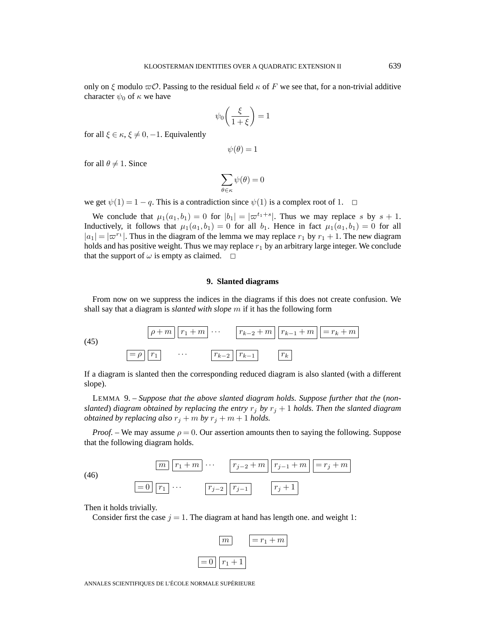only on  $\xi$  modulo  $\varpi O$ . Passing to the residual field  $\kappa$  of F we see that, for a non-trivial additive character  $\psi_0$  of  $\kappa$  we have

$$
\psi_0\bigg(\frac{\xi}{1+\xi}\bigg) = 1
$$

for all  $\xi \in \kappa$ ,  $\xi \neq 0, -1$ . Equivalently

 $\psi(\theta)=1$ 

for all  $\theta \neq 1$ . Since

$$
\sum_{\theta\in\kappa}\psi(\theta)=0
$$

we get  $\psi(1) = 1 - q$ . This is a contradiction since  $\psi(1)$  is a complex root of 1.  $\Box$ 

We conclude that  $\mu_1(a_1, b_1) = 0$  for  $|b_1| = |\varpi^{t_1+s}|$ . Thus we may replace s by  $s + 1$ . Inductively, it follows that  $\mu_1(a_1, b_1) = 0$  for all  $b_1$ . Hence in fact  $\mu_1(a_1, b_1) = 0$  for all  $|a_1| = |\varpi^{r_1}|$ . Thus in the diagram of the lemma we may replace  $r_1$  by  $r_1 + 1$ . The new diagram holds and has positive weight. Thus we may replace  $r_1$  by an arbitrary large integer. We conclude that the support of  $\omega$  is empty as claimed.  $\square$ 

#### **9. Slanted diagrams**

From now on we suppress the indices in the diagrams if this does not create confusion. We shall say that a diagram is *slanted with slope* m if it has the following form

(45)  

$$
\frac{\boxed{\rho+m}\boxed{r_1+m}\cdots\boxed{r_{k-2}+m}\boxed{r_{k-1}+m}\boxed{=r_k+m}}{\boxed{= \rho \boxed{r_1}}\cdots\boxed{r_{k-2}\boxed{r_{k-1}}\boxed{r_k}}
$$

If a diagram is slanted then the corresponding reduced diagram is also slanted (with a different slope).

LEMMA 9. – *Suppose that the above slanted diagram holds. Suppose further that the* (*nonslanted*) *diagram obtained by replacing the entry*  $r_j$  *by*  $r_j + 1$  *holds. Then the slanted diagram obtained by replacing also*  $r_j + m$  *by*  $r_j + m + 1$  *holds.* 

*Proof.* – We may assume  $\rho = 0$ . Our assertion amounts then to saying the following. Suppose that the following diagram holds.



Then it holds trivially.

Consider first the case  $j = 1$ . The diagram at hand has length one. and weight 1:

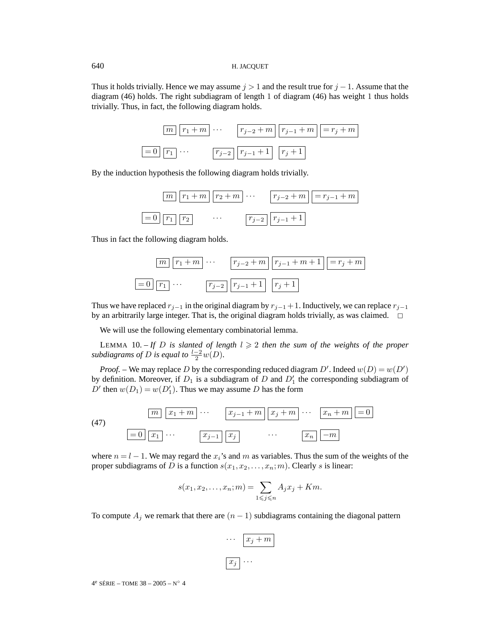#### 640 H. JACQUET

Thus it holds trivially. Hence we may assume  $j > 1$  and the result true for  $j - 1$ . Assume that the diagram (46) holds. The right subdiagram of length 1 of diagram (46) has weight 1 thus holds trivially. Thus, in fact, the following diagram holds.



By the induction hypothesis the following diagram holds trivially.

$$
\boxed{m} \boxed{r_1 + m} \boxed{r_2 + m} \cdots \boxed{r_{j-2} + m} \boxed{= r_{j-1} + m}
$$

$$
= 0 \boxed{r_1} \boxed{r_2} \cdots \boxed{r_{j-2}} \boxed{r_{j-1} + 1}
$$

Thus in fact the following diagram holds.

$$
\boxed{m} \boxed{r_1 + m} \cdots \boxed{r_{j-2} + m} \boxed{r_{j-1} + m + 1} = r_j + m
$$
  
= 0 
$$
\boxed{r_1} \cdots \boxed{r_{j-2}} \boxed{r_{j-1} + 1} \boxed{r_j + 1}
$$

Thus we have replaced  $r_{j-1}$  in the original diagram by  $r_{j-1}+1$ . Inductively, we can replace  $r_{j-1}$ by an arbitrarily large integer. That is, the original diagram holds trivially, as was claimed.  $\Box$ 

We will use the following elementary combinatorial lemma.

LEMMA 10.  $-FD$  *is slanted of length*  $l \geq 2$  *then the sum of the weights of the proper subdiagrams of* D *is equal to*  $\frac{l-2}{2}w(D)$ *.* 

*Proof.* – We may replace D by the corresponding reduced diagram  $D'$ . Indeed  $w(D) = w(D')$ by definition. Moreover, if  $D_1$  is a subdiagram of D and  $D'_1$  the corresponding subdiagram of D' then  $w(D_1) = w(D'_1)$ . Thus we may assume D has the form



where  $n = l - 1$ . We may regard the  $x_i$ 's and m as variables. Thus the sum of the weights of the proper subdiagrams of D is a function  $s(x_1, x_2,...,x_n;m)$ . Clearly s is linear:

$$
s(x_1, x_2, \dots, x_n; m) = \sum_{1 \leq j \leq n} A_j x_j + Km.
$$

To compute  $A_j$  we remark that there are  $(n - 1)$  subdiagrams containing the diagonal pattern

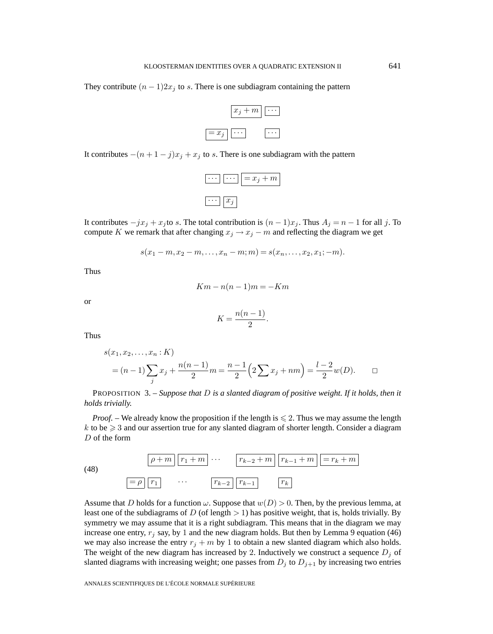They contribute  $(n - 1)2x_j$  to s. There is one subdiagram containing the pattern



It contributes  $-(n+1-j)x_j + x_j$  to s. There is one subdiagram with the pattern



It contributes  $-jx_j + x_j$  to s. The total contribution is  $(n-1)x_j$ . Thus  $A_j = n-1$  for all j. To compute K we remark that after changing  $x_j \rightarrow x_j - m$  and reflecting the diagram we get

$$
s(x_1 - m, x_2 - m, \dots, x_n - m; m) = s(x_n, \dots, x_2, x_1; -m).
$$

Thus

$$
Km - n(n-1)m = -Km
$$

or

$$
K = \frac{n(n-1)}{2}.
$$

Thus

$$
s(x_1, x_2,..., x_n : K)
$$
  
=  $(n-1)\sum_j x_j + \frac{n(n-1)}{2}m = \frac{n-1}{2}\left(2\sum x_j + nm\right) = \frac{l-2}{2}w(D).$ 

PROPOSITION 3. – *Suppose that* D *is a slanted diagram of positive weight. If it holds, then it holds trivially.*

*Proof.* – We already know the proposition if the length is  $\leq 2$ . Thus we may assume the length  $k$  to be  $\geqslant 3$  and our assertion true for any slanted diagram of shorter length. Consider a diagram D of the form

(48)  

$$
\frac{\rho+m}{\rho+m}\frac{r_1+m}{r_{k-2}+m}\frac{r_{k-2}+m}{r_{k-1}} = r_k+m
$$

$$
\frac{\rho+m}{\rho+m}\frac{r_1+m}{r_{k-2}} = r_k+m
$$

Assume that D holds for a function  $\omega$ . Suppose that  $w(D) > 0$ . Then, by the previous lemma, at least one of the subdiagrams of D (of length  $> 1$ ) has positive weight, that is, holds trivially. By symmetry we may assume that it is a right subdiagram. This means that in the diagram we may increase one entry,  $r_j$  say, by 1 and the new diagram holds. But then by Lemma 9 equation (46) we may also increase the entry  $r_j + m$  by 1 to obtain a new slanted diagram which also holds. The weight of the new diagram has increased by 2. Inductively we construct a sequence  $D_i$  of slanted diagrams with increasing weight; one passes from  $D_j$  to  $D_{j+1}$  by increasing two entries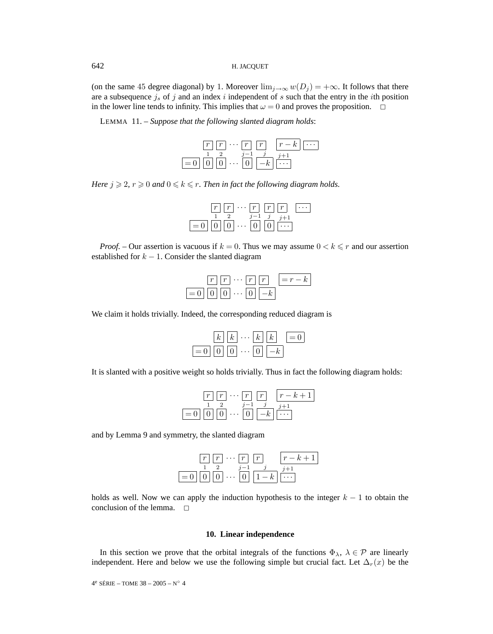#### 642 H. JACQUET

(on the same 45 degree diagonal) by 1. Moreover  $\lim_{j\to\infty} w(D_j) = +\infty$ . It follows that there are a subsequence  $j_s$  of j and an index i independent of s such that the entry in the ith position in the lower line tends to infinity. This implies that  $\omega = 0$  and proves the proposition.  $\Box$ 

LEMMA 11. – *Suppose that the following slanted diagram holds*:

|                                                                                                                    |  |  | $\boxed{r}$ $\boxed{r}$ $\cdots$ $\boxed{r}$ $\boxed{r}$ $\boxed{r-k}$ $\boxed{\cdots}$ |  |
|--------------------------------------------------------------------------------------------------------------------|--|--|-----------------------------------------------------------------------------------------|--|
|                                                                                                                    |  |  |                                                                                         |  |
| $\left[\begin{array}{c c} -0 & 0 & 0 \end{array}\right]$ $\left[\begin{array}{c c} 0 & -k & -k \end{array}\right]$ |  |  |                                                                                         |  |

*Here*  $j \ge 2$ ,  $r \ge 0$  *and*  $0 \le k \le r$ *. Then in fact the following diagram holds.* 

|                                                                         |  |  | $\boxed{r}$ $\boxed{r}$ $\cdots$ $\boxed{r}$ $\boxed{r}$ $\cdots$ |  |
|-------------------------------------------------------------------------|--|--|-------------------------------------------------------------------|--|
|                                                                         |  |  |                                                                   |  |
| $= 0$ $\boxed{0}$ $\boxed{0}$ $\cdots$ $\boxed{0}$ $\boxed{0}$ $\cdots$ |  |  |                                                                   |  |

*Proof.* – Our assertion is vacuous if  $k = 0$ . Thus we may assume  $0 < k \leq r$  and our assertion established for  $k - 1$ . Consider the slanted diagram

|                             |  |  | $\boxed{r}$ $\boxed{r}$ $\cdots$ $\boxed{r}$ $\boxed{r}$ |  |
|-----------------------------|--|--|----------------------------------------------------------|--|
| $=0$ 0 0 $\cdot\cdot$ 0 $-$ |  |  |                                                          |  |

We claim it holds trivially. Indeed, the corresponding reduced diagram is

|     |  | $k \mid k \mid \cdots \mid k \mid k \mid$ |  |  |
|-----|--|-------------------------------------------|--|--|
| $=$ |  |                                           |  |  |

It is slanted with a positive weight so holds trivially. Thus in fact the following diagram holds:

|                                | $\boxed{r}$ $\boxed{r}$ $\cdots$ $\boxed{r}$ $\boxed{r}$ |  |  |
|--------------------------------|----------------------------------------------------------|--|--|
|                                |                                                          |  |  |
| $= 0$ 0 0 $\cdot \cdot$ 0 $-k$ |                                                          |  |  |

and by Lemma 9 and symmetry, the slanted diagram

|                                | $\boxed{r}$ $\boxed{r}$ $\cdots$ $\boxed{r}$ $\boxed{r}$ |  | $r-k+1$ |
|--------------------------------|----------------------------------------------------------|--|---------|
|                                |                                                          |  |         |
| $=0$ 0 0 $\cdot \cdot$ 0 $1-k$ |                                                          |  |         |

holds as well. Now we can apply the induction hypothesis to the integer  $k - 1$  to obtain the conclusion of the lemma.  $\square$ 

#### **10. Linear independence**

In this section we prove that the orbital integrals of the functions  $\Phi_{\lambda}$ ,  $\lambda \in \mathcal{P}$  are linearly independent. Here and below we use the following simple but crucial fact. Let  $\Delta_r(x)$  be the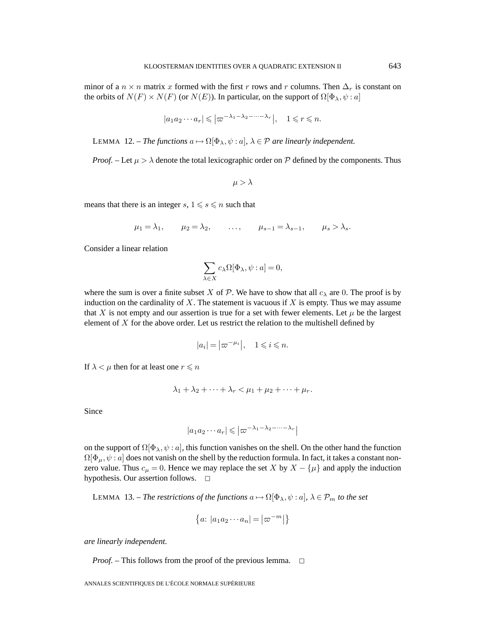minor of a  $n \times n$  matrix x formed with the first r rows and r columns. Then  $\Delta_r$  is constant on the orbits of  $N(F) \times N(F)$  (or  $N(E)$ ). In particular, on the support of  $\Omega[\Phi_{\lambda}, \psi : a]$ 

$$
|a_1 a_2 \cdots a_r| \leqslant |\varpi^{-\lambda_1 - \lambda_2 - \cdots - \lambda_r}|, \quad 1 \leqslant r \leqslant n.
$$

LEMMA 12. – *The functions*  $a \mapsto \Omega[\Phi_\lambda, \psi : a]$ ,  $\lambda \in \mathcal{P}$  *are linearly independent.* 

*Proof.* – Let  $\mu > \lambda$  denote the total lexicographic order on P defined by the components. Thus

 $\mu > \lambda$ 

means that there is an integer  $s, 1 \le s \le n$  such that

$$
\mu_1 = \lambda_1, \qquad \mu_2 = \lambda_2, \qquad \dots, \qquad \mu_{s-1} = \lambda_{s-1}, \qquad \mu_s > \lambda_s.
$$

Consider a linear relation

$$
\sum_{\lambda\in X}c_\lambda\Omega[\Phi_\lambda,\psi:a]=0,
$$

where the sum is over a finite subset X of P. We have to show that all  $c_{\lambda}$  are 0. The proof is by induction on the cardinality of  $X$ . The statement is vacuous if  $X$  is empty. Thus we may assume that X is not empty and our assertion is true for a set with fewer elements. Let  $\mu$  be the largest element of  $X$  for the above order. Let us restrict the relation to the multishell defined by

$$
|a_i| = |\varpi^{-\mu_i}|, \quad 1 \leq i \leq n.
$$

If  $\lambda < \mu$  then for at least one  $r \leq n$ 

$$
\lambda_1 + \lambda_2 + \cdots + \lambda_r < \mu_1 + \mu_2 + \cdots + \mu_r.
$$

Since

$$
|a_1 a_2 \cdots a_r| \leqslant |\varpi^{-\lambda_1 - \lambda_2 - \cdots - \lambda_r}|
$$

on the support of  $\Omega[\Phi_{\lambda}, \psi : a]$ , this function vanishes on the shell. On the other hand the function  $\Omega[\Phi_\mu, \psi : a]$  does not vanish on the shell by the reduction formula. In fact, it takes a constant nonzero value. Thus  $c_{\mu} = 0$ . Hence we may replace the set X by  $X - \{\mu\}$  and apply the induction hypothesis. Our assertion follows.  $\Box$ 

LEMMA 13. – *The restrictions of the functions*  $a \mapsto \Omega[\Phi_\lambda, \psi : a]$ ,  $\lambda \in \mathcal{P}_m$  *to the set* 

$$
\{a: |a_1a_2\cdots a_n| = |\varpi^{-m}|\}
$$

*are linearly independent.*

*Proof.* – This follows from the proof of the previous lemma.  $\Box$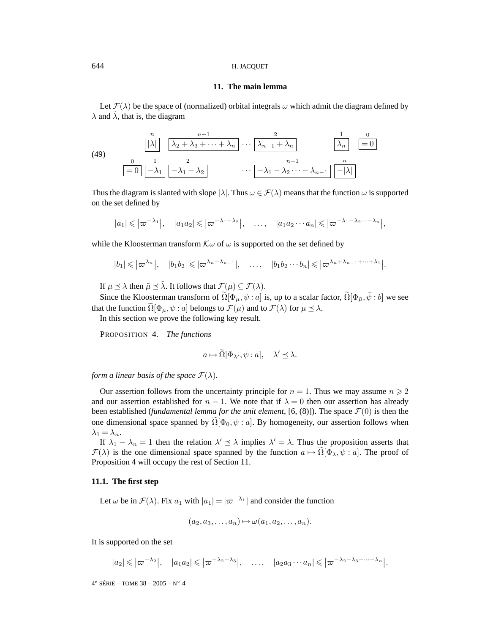#### 644 H. JACQUET

#### **11. The main lemma**

Let  $\mathcal{F}(\lambda)$  be the space of (normalized) orbital integrals  $\omega$  which admit the diagram defined by  $\lambda$  and  $\lambda$ , that is, the diagram

n |λ| n−1 λ<sup>2</sup> + λ<sup>3</sup> + ··· + λ<sup>n</sup> ··· 2 λn−<sup>1</sup> + λ<sup>n</sup> 1 λn 0 = 0 0 = 0 1 −λ<sup>1</sup> 2 −λ<sup>1</sup> − λ<sup>2</sup> ··· n−1 −λ<sup>1</sup> − λ<sup>2</sup> ···− λn−<sup>1</sup> n −|λ| (49)

Thus the diagram is slanted with slope  $|\lambda|$ . Thus  $\omega \in \mathcal{F}(\lambda)$  means that the function  $\omega$  is supported on the set defined by

$$
|a_1| \leqslant |\varpi^{-\lambda_1}|, \quad |a_1 a_2| \leqslant |\varpi^{-\lambda_1-\lambda_2}|, \quad \ldots, \quad |a_1 a_2 \cdots a_n| \leqslant |\varpi^{-\lambda_1-\lambda_2 \cdots -\lambda_n}|,
$$

while the Kloosterman transform  $\mathcal{K}\omega$  of  $\omega$  is supported on the set defined by

$$
|b_1| \leqslant |\varpi^{\lambda_n}|, \quad |b_1b_2| \leqslant |\varpi^{\lambda_n+\lambda_{n-1}}|, \quad \ldots, \quad |b_1b_2\cdots b_n| \leqslant |\varpi^{\lambda_n+\lambda_{n-1}+\cdots+\lambda_1}|.
$$

If  $\mu \leq \lambda$  then  $\tilde{\mu} \leq \tilde{\lambda}$ . It follows that  $\mathcal{F}(\mu) \subseteq \mathcal{F}(\lambda)$ .

Since the Kloosterman transform of  $\widetilde{\Omega}[\Phi_{\mu}, \psi : a]$  is, up to a scalar factor,  $\widetilde{\Omega}[\Phi_{\tilde{\mu}}, \bar{\psi} : b]$  we see that the function  $\tilde{\Omega}[\Phi_{\mu}, \psi : a]$  belongs to  $\mathcal{F}(\mu)$  and to  $\mathcal{F}(\lambda)$  for  $\mu \leq \lambda$ .

In this section we prove the following key result.

PROPOSITION 4. – *The functions*

$$
a \mapsto \widetilde{\Omega}[\Phi_{\lambda'}, \psi : a], \quad \lambda' \leq \lambda.
$$

*form a linear basis of the space*  $\mathcal{F}(\lambda)$ *.* 

Our assertion follows from the uncertainty principle for  $n = 1$ . Thus we may assume  $n \ge 2$ and our assertion established for  $n - 1$ . We note that if  $\lambda = 0$  then our assertion has already been established *(fundamental lemma for the unit element*, [6, (8)]). The space  $\mathcal{F}(0)$  is then the one dimensional space spanned by  $\Omega[\Phi_0, \psi : a]$ . By homogeneity, our assertion follows when  $\lambda_1 = \lambda_n$ .

If  $\lambda_1 - \lambda_n = 1$  then the relation  $\lambda' \leq \lambda$  implies  $\lambda' = \lambda$ . Thus the proposition asserts that  $\mathcal{F}(\lambda)$  is the one dimensional space spanned by the function  $a \mapsto \Omega[\Phi_{\lambda}, \psi : a]$ . The proof of Proposition 4 will occupy the rest of Section 11.

#### **11.1. The first step**

Let  $\omega$  be in  $\mathcal{F}(\lambda)$ . Fix  $a_1$  with  $|a_1| = |\varpi^{-\lambda_1}|$  and consider the function

$$
(a_2, a_3, \ldots, a_n) \mapsto \omega(a_1, a_2, \ldots, a_n).
$$

It is supported on the set

 $|a_2| \leqslant |\varpi^{-\lambda_2}|, \quad |a_1 a_2| \leqslant |\varpi^{-\lambda_2-\lambda_3}|, \quad \ldots, \quad |a_2 a_3 \cdots a_n| \leqslant |\varpi^{-\lambda_2-\lambda_3-\cdots-\lambda_n}|.$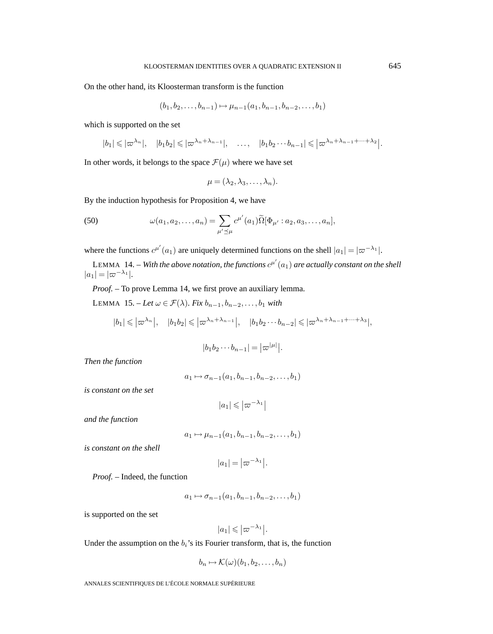On the other hand, its Kloosterman transform is the function

$$
(b_1, b_2, \ldots, b_{n-1}) \mapsto \mu_{n-1}(a_1, b_{n-1}, b_{n-2}, \ldots, b_1)
$$

which is supported on the set

$$
|b_1| \leq |\varpi^{\lambda_n}|, \quad |b_1b_2| \leq |\varpi^{\lambda_n+\lambda_{n-1}}|, \quad \ldots, \quad |b_1b_2\cdots b_{n-1}| \leq |\varpi^{\lambda_n+\lambda_{n-1}+\cdots+\lambda_2}|.
$$

In other words, it belongs to the space  $\mathcal{F}(\mu)$  where we have set

$$
\mu = (\lambda_2, \lambda_3, \ldots, \lambda_n).
$$

By the induction hypothesis for Proposition 4, we have

(50) 
$$
\omega(a_1, a_2,..., a_n) = \sum_{\mu' \preceq \mu} c^{\mu'}(a_1) \widetilde{\Omega}[\Phi_{\mu'}: a_2, a_3,..., a_n],
$$

where the functions  $c^{\mu'}(a_1)$  are uniquely determined functions on the shell  $|a_1| = |\varpi^{-\lambda_1}|$ .

LEMMA  $\,$  14. – With the above notation, the functions  $c^{\mu'}(a_1)$  are actually constant on the shell  $|a_1| = |\varpi^{-\lambda_1}|.$ 

*Proof. –* To prove Lemma 14, we first prove an auxiliary lemma.

LEMMA 15. – Let  $\omega \in \mathcal{F}(\lambda)$ . Fix  $b_{n-1}, b_{n-2}, \ldots, b_1$  with

$$
|b_1| \leq |\varpi^{\lambda_n}|, \quad |b_1b_2| \leq |\varpi^{\lambda_n+\lambda_{n-1}}|, \quad |b_1b_2\cdots b_{n-2}| \leq |\varpi^{\lambda_n+\lambda_{n-1}+\cdots+\lambda_3}|,
$$

$$
|b_1b_2\cdots b_{n-1}|=|\varpi^{|\mu|}|.
$$

*Then the function*

$$
a_1 \mapsto \sigma_{n-1}(a_1, b_{n-1}, b_{n-2}, \ldots, b_1)
$$

*is constant on the set*

 $|a_1| \leqslant |\varpi^{-\lambda_1}|$ 

*and the function*

$$
a_1 \mapsto \mu_{n-1}(a_1, b_{n-1}, b_{n-2}, \ldots, b_1)
$$

*is constant on the shell*

$$
|a_1| = |\varpi^{-\lambda_1}|.
$$

*Proof. –* Indeed, the function

$$
a_1 \mapsto \sigma_{n-1}(a_1, b_{n-1}, b_{n-2}, \dots, b_1)
$$

is supported on the set

$$
|a_1| \leqslant |\varpi^{-\lambda_1}|.
$$

Under the assumption on the  $b_i$ 's its Fourier transform, that is, the function

$$
b_n \mapsto \mathcal{K}(\omega)(b_1, b_2, \dots, b_n)
$$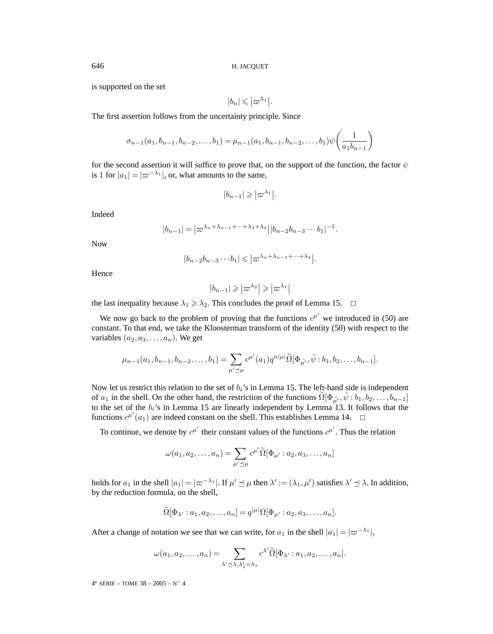is supported on the set

$$
|b_n| \leqslant \left|\varpi^{\lambda_1}\right|.
$$

The first assertion follows from the uncertainty principle. Since

$$
\sigma_{n-1}(a_1, b_{n-1}, b_{n-2}, \dots, b_1) = \mu_{n-1}(a_1, b_{n-1}, b_{n-2}, \dots, b_1) \psi\left(\frac{1}{a_1 b_{n-1}}\right)
$$

for the second assertion it will suffice to prove that, on the support of the function, the factor  $\psi$ is 1 for  $|a_1| = |\varpi^{-\lambda_1}|$ , or, what amounts to the same,

$$
|b_{n-1}|\geqslant \left|\varpi^{\lambda_1}\right|.
$$

Indeed

$$
|b_{n-1}| = |\varpi^{\lambda_n + \lambda_{n-1} + \dots + \lambda_3 + \lambda_2}||b_{n-2}b_{n-3}\cdots b_1|^{-1}.
$$

Now

$$
|b_{n-2}b_{n-3}\cdots b_1| \leqslant |\varpi^{\lambda_n+\lambda_{n-1}+\cdots+\lambda_3}|.
$$

Hence

$$
|b_{n-1}| \geqslant |\varpi^{\lambda_2}| \geqslant |\varpi^{\lambda_1}|
$$

the last inequality because  $\lambda_1 \geq \lambda_2$ . This concludes the proof of Lemma 15.  $\Box$ 

We now go back to the problem of proving that the functions  $c^{\mu'}$  we introduced in (50) are constant. To that end, we take the Kloosterman transform of the identity (50) with respect to the variables  $(a_2, a_3, \ldots, a_n)$ . We get

$$
\mu_{n-1}(a_1, b_{n-1}, b_{n-2}, \dots, b_1) = \sum_{\mu' \preceq \mu} c^{\mu'}(a_1) q^{n|\mu|} \widetilde{\Omega}[\Phi_{\tilde{\mu'}}, \bar{\psi}: b_1, b_2, \dots, b_{n-1}].
$$

Now let us restrict this relation to the set of  $b_i$ 's in Lemma 15. The left-hand side is independent of  $a_1$  in the shell. On the other hand, the restriction of the functions  $\Omega[\Phi_{\tilde{n}'}, \bar{\psi}: b_1, b_2, \ldots, b_{n-1}]$ to the set of the  $b_i$ 's in Lemma 15 are linearly independent by Lemma 13. It follows that the functions  $c^{\mu'}(a_1)$  are indeed constant on the shell. This establishes Lemma 14.  $\Box$ 

To continue, we denote by  $c^{\mu'}$  their constant values of the functions  $c^{\mu'}$ . Thus the relation

$$
\omega(a_1, a_2, \dots, a_n) = \sum_{\mu' \preceq \mu} c^{\mu'} \widetilde{\Omega}[\Phi_{\mu'} : a_2, a_3, \dots, a_n]
$$

holds for  $a_1$  in the shell  $|a_1| = |\varpi^{-\lambda_1}|$ . If  $\mu' \le \mu$  then  $\lambda' := (\lambda_1, \mu')$  satisfies  $\lambda' \le \lambda$ . In addition, by the reduction formula, on the shell,

$$
\widetilde{\Omega}[\Phi_{\lambda'}:a_1,a_2,\ldots,a_n]=q^{|\mu|}\Omega[\Phi_{\mu'}:a_2,a_3,\ldots,a_n].
$$

After a change of notation we see that we can write, for  $a_1$  in the shell  $|a_1| = |\varpi^{-\lambda_1}|$ ,

$$
\omega(a_1, a_2, \dots, a_n) = \sum_{\lambda' \preceq \lambda, \lambda'_1 = \lambda_1} c^{\lambda'} \widetilde{\Omega}[\Phi_{\lambda'} : a_1, a_2, \dots, a_n].
$$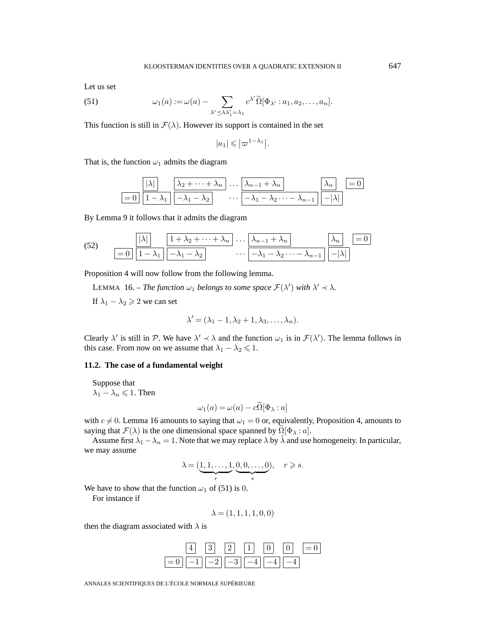Let us set

(51) 
$$
\omega_1(a) := \omega(a) - \sum_{\lambda' \preceq \lambda \lambda'_1 = \lambda_1} c^{\lambda'} \widetilde{\Omega}[\Phi_{\lambda'}: a_1, a_2, \dots, a_n].
$$

This function is still in  $\mathcal{F}(\lambda)$ . However its support is contained in the set

$$
|a_1| \leqslant |\varpi^{1-\lambda_1}|.
$$

That is, the function  $\omega_1$  admits the diagram

$$
\frac{|\lambda|}{\left| \frac{1-\lambda_1}{1-\lambda_1} \right| \frac{\lambda_2 + \dots + \lambda_n}{-\lambda_1 - \lambda_2} \dots \frac{\lambda_{n-1} + \lambda_n}{-\lambda_1 - \lambda_2 \dots - \lambda_{n-1}} \frac{\lambda_n}{\left| \frac{1}{1-\lambda_1} \right|} = 0
$$

By Lemma 9 it follows that it admits the diagram

(52) 
$$
\boxed{|\lambda|} \boxed{1 + \lambda_2 + \cdots + \lambda_n} \cdots \boxed{\lambda_{n-1} + \lambda_n} \boxed{\lambda_n} \boxed{= 0}
$$

Proposition 4 will now follow from the following lemma.

**LEMMA** 16. – *The function*  $\omega_1$  *belongs to some space*  $\mathcal{F}(\lambda')$  *with*  $\lambda' \prec \lambda$ *.* 

If  $\lambda_1 - \lambda_2 \geqslant 2$  we can set

$$
\lambda' = (\lambda_1 - 1, \lambda_2 + 1, \lambda_3, \dots, \lambda_n).
$$

Clearly  $\lambda'$  is still in P. We have  $\lambda' \prec \lambda$  and the function  $\omega_1$  is in  $\mathcal{F}(\lambda')$ . The lemma follows in this case. From now on we assume that  $\lambda_1 - \lambda_2 \leq 1$ .

#### **11.2. The case of a fundamental weight**

Suppose that  $\lambda_1 - \lambda_n \leqslant 1$ . Then

$$
\omega_1(a) = \omega(a) - c\Omega[\Phi_\lambda : a]
$$

with  $c \neq 0$ . Lemma 16 amounts to saying that  $\omega_1 = 0$  or, equivalently, Proposition 4, amounts to saying that  $\mathcal{F}(\lambda)$  is the one dimensional space spanned by  $\tilde{\Omega}[\Phi_{\lambda} : a]$ .

Assume first  $\lambda_1 - \lambda_n = 1$ . Note that we may replace  $\lambda$  by  $\tilde{\lambda}$  and use homogeneity. In particular, we may assume

$$
\lambda = (\underbrace{1,1,\ldots,1}_{r}, \underbrace{0,0,\ldots,0}_{s}), \quad r \geq s.
$$

We have to show that the function  $\omega_1$  of (51) is 0.

For instance if

$$
\lambda = (1, 1, 1, 1, 0, 0)
$$

then the diagram associated with  $\lambda$  is

|       |                                                                  | 1 | U | $\cup$ |  |
|-------|------------------------------------------------------------------|---|---|--------|--|
| $= 0$ | $\boxed{-1}$ $\boxed{-2}$ $\boxed{-3}$ $\boxed{-4}$ $\boxed{-4}$ |   |   |        |  |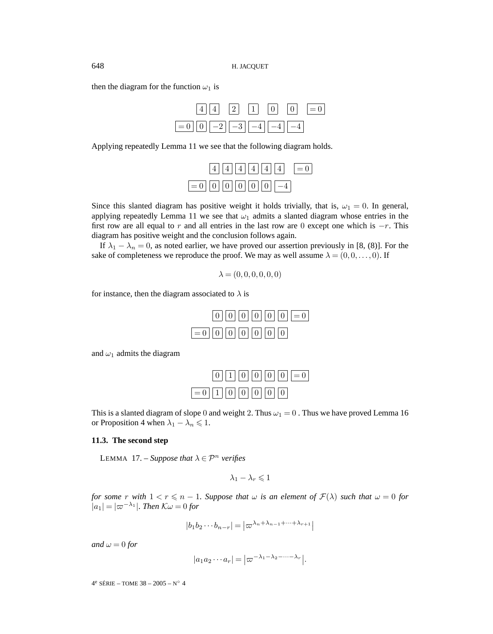then the diagram for the function  $\omega_1$  is

|                                                                                                            |  | $\vert 4 \vert \vert 2 \vert \vert 1 \vert$ | $\overline{0}$ | $\vert 0 \vert$ |  |
|------------------------------------------------------------------------------------------------------------|--|---------------------------------------------|----------------|-----------------|--|
| $\boxed{=} 0 \begin{array}{ c c c } \hline 0 & -2 \end{array} \boxed{-3} \boxed{-4} \boxed{-4} \boxed{-4}$ |  |                                             |                |                 |  |

Applying repeatedly Lemma 11 we see that the following diagram holds.



Since this slanted diagram has positive weight it holds trivially, that is,  $\omega_1 = 0$ . In general, applying repeatedly Lemma 11 we see that  $\omega_1$  admits a slanted diagram whose entries in the first row are all equal to r and all entries in the last row are 0 except one which is  $-r$ . This diagram has positive weight and the conclusion follows again.

If  $\lambda_1 - \lambda_n = 0$ , as noted earlier, we have proved our assertion previously in [8, (8)]. For the sake of completeness we reproduce the proof. We may as well assume  $\lambda = (0, 0, \dots, 0)$ . If

$$
\lambda = (0, 0, 0, 0, 0, 0)
$$

for instance, then the diagram associated to  $\lambda$  is

|                       |  |  |  | $\boxed{0}$ $\boxed{0}$ $\boxed{0}$ $\boxed{0}$ $\boxed{0}$ $\boxed{0}$ $\boxed{0}$ $\boxed{0}$ |
|-----------------------|--|--|--|-------------------------------------------------------------------------------------------------|
| $= 0 0 0 0 0 0 0 0 0$ |  |  |  |                                                                                                 |

and  $\omega_1$  admits the diagram

|  | $\boxed{0}$ $\boxed{1}$ $\boxed{0}$ $\boxed{0}$ $\boxed{0}$ $\boxed{0}$ $\boxed{0}$ $\boxed{0}$ |  |
|--|-------------------------------------------------------------------------------------------------|--|
|  | $= 0 \, \boxed{1} \, \boxed{0} \, \boxed{0} \, \boxed{0} \, \boxed{0} \, \boxed{0}$             |  |

This is a slanted diagram of slope 0 and weight 2. Thus  $\omega_1 = 0$ . Thus we have proved Lemma 16 or Proposition 4 when  $\lambda_1 - \lambda_n \leq 1$ .

#### **11.3. The second step**

LEMMA 17. – *Suppose that*  $\lambda \in \mathcal{P}^n$  *verifies* 

$$
\lambda_1 - \lambda_r \leqslant 1
$$

*for some* r *with*  $1 < r \leq n - 1$ *. Suppose that*  $\omega$  *is an element of*  $\mathcal{F}(\lambda)$  *such that*  $\omega = 0$  *for*  $|a_1| = |\varpi^{-\lambda_1}|$ *. Then*  $K\omega = 0$  for

$$
|b_1b_2\cdots b_{n-r}| = |\varpi^{\lambda_n+\lambda_{n-1}+\cdots+\lambda_{r+1}}|
$$

*and*  $\omega = 0$  *for* 

$$
|a_1 a_2 \cdots a_r| = |\varpi^{-\lambda_1 - \lambda_2 - \cdots - \lambda_r}|.
$$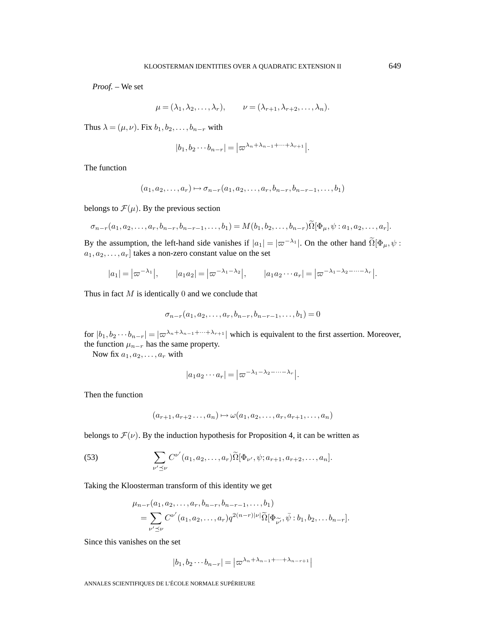*Proof. –* We set

$$
\mu = (\lambda_1, \lambda_2, \dots, \lambda_r), \qquad \nu = (\lambda_{r+1}, \lambda_{r+2}, \dots, \lambda_n).
$$

Thus  $\lambda = (\mu, \nu)$ . Fix  $b_1, b_2, \ldots, b_{n-r}$  with

$$
|b_1, b_2 \cdots b_{n-r}| = |\varpi^{\lambda_n + \lambda_{n-1} + \cdots + \lambda_{r+1}}|.
$$

The function

$$
(a_1, a_2, \ldots, a_r) \mapsto \sigma_{n-r}(a_1, a_2, \ldots, a_r, b_{n-r}, b_{n-r-1}, \ldots, b_1)
$$

belongs to  $\mathcal{F}(\mu)$ . By the previous section

$$
\sigma_{n-r}(a_1, a_2, \ldots, a_r, b_{n-r}, b_{n-r-1}, \ldots, b_1) = M(b_1, b_2, \ldots, b_{n-r}) \widetilde{\Omega}[\Phi_\mu, \psi : a_1, a_2, \ldots, a_r].
$$

By the assumption, the left-hand side vanishes if  $|a_1| = |\varpi^{-\lambda_1}|$ . On the other hand  $\Omega[\Phi_\mu, \psi$ :  $a_1, a_2, \ldots, a_r$  takes a non-zero constant value on the set

$$
|a_1| = |\varpi^{-\lambda_1}|,
$$
  $|a_1 a_2| = |\varpi^{-\lambda_1 - \lambda_2}|,$   $|a_1 a_2 \cdots a_r| = |\varpi^{-\lambda_1 - \lambda_2 - \cdots - \lambda_r}|.$ 

Thus in fact  $M$  is identically 0 and we conclude that

$$
\sigma_{n-r}(a_1, a_2, \dots, a_r, b_{n-r}, b_{n-r-1}, \dots, b_1) = 0
$$

for  $|b_1, b_2 \cdots b_{n-r}| = |\varpi^{\lambda_n+\lambda_{n-1}+\cdots+\lambda_{r+1}}|$  which is equivalent to the first assertion. Moreover, the function  $\mu_{n-r}$  has the same property.

Now fix  $a_1, a_2, \ldots, a_r$  with

$$
|a_1a_2\cdots a_r|=|\varpi^{-\lambda_1-\lambda_2-\cdots-\lambda_r}|.
$$

Then the function

$$
(a_{r+1},a_{r+2}\ldots,a_n)\mapsto \omega(a_1,a_2,\ldots,a_r,a_{r+1},\ldots,a_n)
$$

belongs to  $\mathcal{F}(\nu)$ . By the induction hypothesis for Proposition 4, it can be written as

(53) 
$$
\sum_{\nu' \preceq \nu} C^{\nu'}(a_1, a_2, \dots, a_r) \widetilde{\Omega}[\Phi_{\nu'}, \psi; a_{r+1}, a_{r+2}, \dots, a_n].
$$

Taking the Kloosterman transform of this identity we get

$$
\mu_{n-r}(a_1, a_2, \dots, a_r, b_{n-r}, b_{n-r-1}, \dots, b_1) = \sum_{\nu' \preceq \nu} C^{\nu'}(a_1, a_2, \dots, a_r) q^{2(n-r)|\nu|} \widetilde{\Omega}[\Phi_{\widetilde{\nu'}}, \bar{\psi}: b_1, b_2, \dots, b_{n-r}].
$$

Since this vanishes on the set

$$
|b_1, b_2 \cdots b_{n-r}| = \left| \varpi^{\lambda_n + \lambda_{n-1} + \cdots + \lambda_{n-r+1}} \right|
$$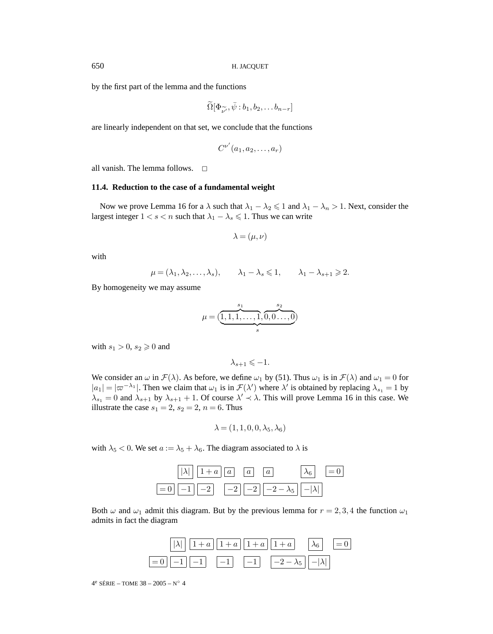by the first part of the lemma and the functions

$$
\widetilde{\Omega}[\Phi_{\widetilde{\nu'}},\bar{\psi}:b_1,b_2,\ldots b_{n-r}]
$$

are linearly independent on that set, we conclude that the functions

$$
C^{\nu'}(a_1,a_2,\ldots,a_r)
$$

all vanish. The lemma follows.  $\Box$ 

#### **11.4. Reduction to the case of a fundamental weight**

Now we prove Lemma 16 for a  $\lambda$  such that  $\lambda_1 - \lambda_2 \leq 1$  and  $\lambda_1 - \lambda_n > 1$ . Next, consider the largest integer  $1 < s < n$  such that  $\lambda_1 - \lambda_s \leq 1$ . Thus we can write

$$
\lambda = (\mu, \nu)
$$

with

$$
\mu = (\lambda_1, \lambda_2, \dots, \lambda_s), \qquad \lambda_1 - \lambda_s \leq 1, \qquad \lambda_1 - \lambda_{s+1} \geq 2.
$$

By homogeneity we may assume

$$
\mu = (\underbrace{1,1,1,\ldots,1}_{s},\underbrace{1,0,0\ldots,0}_{s})
$$

with  $s_1 > 0$ ,  $s_2 \geq 0$  and

 $\lambda_{s+1} \leqslant -1.$ 

We consider an  $\omega$  in  $\mathcal{F}(\lambda)$ . As before, we define  $\omega_1$  by (51). Thus  $\omega_1$  is in  $\mathcal{F}(\lambda)$  and  $\omega_1 = 0$  for  $|a_1| = |\varpi^{-\lambda_1}|$ . Then we claim that  $\omega_1$  is in  $\mathcal{F}(\lambda')$  where  $\lambda'$  is obtained by replacing  $\lambda_{s_1} = 1$  by  $\lambda_{s_1} = 0$  and  $\lambda_{s+1}$  by  $\lambda_{s+1} + 1$ . Of course  $\lambda' \prec \lambda$ . This will prove Lemma 16 in this case. We illustrate the case  $s_1 = 2$ ,  $s_2 = 2$ ,  $n = 6$ . Thus

$$
\lambda = (1, 1, 0, 0, \lambda_5, \lambda_6)
$$

with  $\lambda_5 < 0$ . We set  $a := \lambda_5 + \lambda_6$ . The diagram associated to  $\lambda$  is

|  | $ \lambda  \big  1 + a \big  \overline{a} \big  \overline{a} \big  \overline{a}$ |  |                                                                                                                                                                           | $\lambda_6$ = 0 |  |
|--|----------------------------------------------------------------------------------|--|---------------------------------------------------------------------------------------------------------------------------------------------------------------------------|-----------------|--|
|  |                                                                                  |  | $\boxed{=0}\left  \overline{-1}\right  \overline{-2}\left  \overline{-2}\right  \overline{-2}\left  \overline{-2-\lambda_5}\right  \left  -\left  \lambda\right  \right $ |                 |  |

Both  $\omega$  and  $\omega_1$  admit this diagram. But by the previous lemma for  $r = 2, 3, 4$  the function  $\omega_1$ admits in fact the diagram

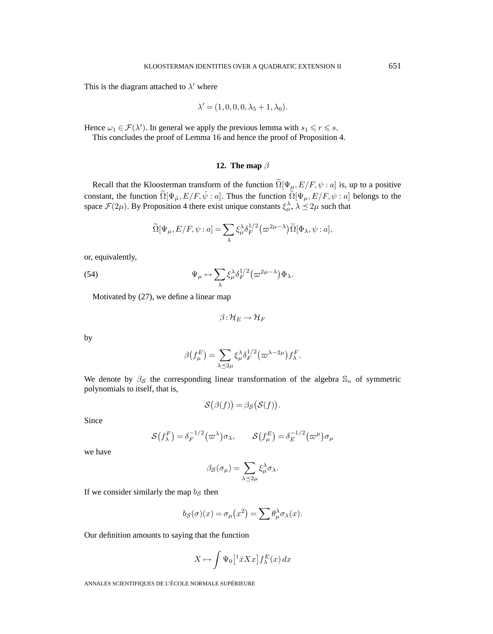This is the diagram attached to  $\lambda'$  where

$$
\lambda' = (1, 0, 0, 0, \lambda_5 + 1, \lambda_6).
$$

Hence  $\omega_1 \in \mathcal{F}(\lambda')$ . In general we apply the previous lemma with  $s_1 \leq r \leq s$ .

This concludes the proof of Lemma 16 and hence the proof of Proposition 4.

#### **12. The map** β

Recall that the Kloosterman transform of the function  $\tilde{\Omega}[\Psi_{\mu}, E/F, \psi : a]$  is, up to a positive constant, the function  $\widetilde{\Omega}[\Psi_{\tilde{\mu}}, E/F, \bar{\psi} : a]$ . Thus the function  $\widetilde{\Omega}[\Psi_{\mu}, E/F, \psi : a]$  belongs to the space  $\mathcal{F}(2\mu)$ . By Proposition 4 there exist unique constants  $\xi^{\lambda}_{\mu}$ ,  $\lambda \leq 2\mu$  such that

$$
\widetilde{\Omega}[\Psi_{\mu}, E/F, \psi : a] = \sum_{\lambda} \xi_{\mu}^{\lambda} \delta_F^{1/2} (\varpi^{2\mu - \lambda}) \widetilde{\Omega}[\Phi_{\lambda}, \psi : a],
$$

or, equivalently,

(54) 
$$
\Psi_{\mu} \leftrightarrow \sum_{\lambda} \xi_{\mu}^{\lambda} \delta_{F}^{1/2} (\varpi^{2\mu-\lambda}) \Phi_{\lambda}.
$$

Motivated by (27), we define a linear map

$$
\beta\!:\!{\cal H}_E\!\to\!{\cal H}_F
$$

by

$$
\beta(f_{\mu}^{E}) = \sum_{\lambda \preceq 2\mu} \xi_{\mu}^{\lambda} \delta_{F}^{1/2} (\varpi^{\lambda - 2\mu}) f_{\lambda}^{F}.
$$

We denote by  $\beta_{\mathcal{S}}$  the corresponding linear transformation of the algebra  $\mathbb{S}_n$  of symmetric polynomials to itself, that is,

$$
\mathcal{S}(\beta(f)) = \beta_{\mathcal{S}}(\mathcal{S}(f)).
$$

Since

$$
\mathcal{S}(f_{\lambda}^{F}) = \delta_{F}^{-1/2}(\varpi^{\lambda})\sigma_{\lambda}, \qquad \mathcal{S}(f_{\mu}^{E}) = \delta_{E}^{-1/2}(\varpi^{\mu})\sigma_{\mu}
$$

we have

$$
\beta_{\mathcal{S}}(\sigma_{\mu}) = \sum_{\lambda \preceq 2\mu} \xi_{\mu}^{\lambda} \sigma_{\lambda}.
$$

If we consider similarly the map  $b_{\mathcal{S}}$  then

$$
b_{\mathcal{S}}(\sigma)(x) = \sigma_{\mu}(x^2) = \sum \theta_{\mu}^{\lambda} \sigma_{\lambda}(x).
$$

Our definition amounts to saying that the function

$$
X \mapsto \int \Psi_0 \left[ {}^t \bar{x} X x \right] f^E_\lambda(x) \, dx
$$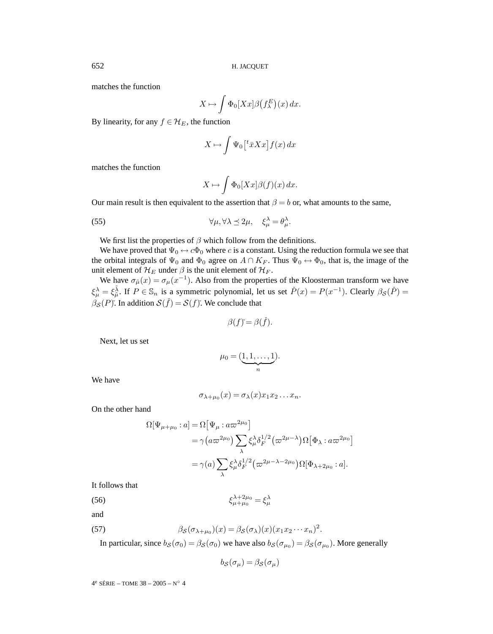matches the function

$$
X \mapsto \int \Phi_0[Xx] \beta(f_\lambda^E)(x) \, dx.
$$

By linearity, for any  $f \in \mathcal{H}_E$ , the function

$$
X \mapsto \int \Psi_0 \left[ {}^t \bar{x} X x \right] f(x) \, dx
$$

matches the function

$$
X \mapsto \int \Phi_0[Xx] \beta(f)(x) \, dx.
$$

Our main result is then equivalent to the assertion that  $\beta = b$  or, what amounts to the same,

(55) 
$$
\forall \mu, \forall \lambda \leq 2\mu, \quad \xi_{\mu}^{\lambda} = \theta_{\mu}^{\lambda}.
$$

We first list the properties of  $\beta$  which follow from the definitions.

We have proved that  $\Psi_0 \leftrightarrow c\Phi_0$  where c is a constant. Using the reduction formula we see that the orbital integrals of  $\Psi_0$  and  $\Phi_0$  agree on  $A \cap K_F$ . Thus  $\Psi_0 \leftrightarrow \Phi_0$ , that is, the image of the unit element of  $\mathcal{H}_E$  under  $\beta$  is the unit element of  $\mathcal{H}_F$ .

We have  $\sigma_{\mu}(x) = \sigma_{\mu}(x^{-1})$ . Also from the properties of the Kloosterman transform we have  $\xi_{\mu}^{\lambda} = \xi_{\mu}^{\tilde{\lambda}}$ . If  $P \in \mathbb{S}_n$  is a symmetric polynomial, let us set  $\check{P}(x) = P(x^{-1})$ . Clearly  $\beta_{\mathcal{S}}(\check{P}) =$  $\beta_S(P)$ . In addition  $S(\check{f}) = S(f)$ . We conclude that

$$
\beta(f) = \beta(\check{f}).
$$

Next, let us set

$$
\mu_0 = (\underbrace{1,1,\ldots,1}_{n}).
$$

We have

$$
\sigma_{\lambda+\mu_0}(x)=\sigma_{\lambda}(x)x_1x_2\ldots x_n.
$$

On the other hand

$$
\Omega[\Psi_{\mu+\mu_0}:a] = \Omega[\Psi_{\mu}:a\varpi^{2\mu_0}]
$$
  
=  $\gamma(a\varpi^{2\mu_0})\sum_{\lambda}\xi_{\mu}^{\lambda}\delta_F^{1/2}(\varpi^{2\mu-\lambda})\Omega[\Phi_{\lambda}:a\varpi^{2\mu_0}]$   
=  $\gamma(a)\sum_{\lambda}\xi_{\mu}^{\lambda}\delta_F^{1/2}(\varpi^{2\mu-\lambda-2\mu_0})\Omega[\Phi_{\lambda+2\mu_0}:a].$ 

It follows that

(56)  $\xi_{\mu+\mu_0}^{\lambda+2\mu_0} = \xi_{\mu}^{\lambda}$ 

and

(57) 
$$
\beta_{\mathcal{S}}(\sigma_{\lambda+\mu_0})(x) = \beta_{\mathcal{S}}(\sigma_{\lambda})(x)(x_1x_2\cdots x_n)^2.
$$

In particular, since  $b_S(\sigma_0) = \beta_S(\sigma_0)$  we have also  $b_S(\sigma_{\mu_0}) = \beta_S(\sigma_{\mu_0})$ . More generally

$$
b_{\mathcal{S}}(\sigma_{\mu}) = \beta_{\mathcal{S}}(\sigma_{\mu})
$$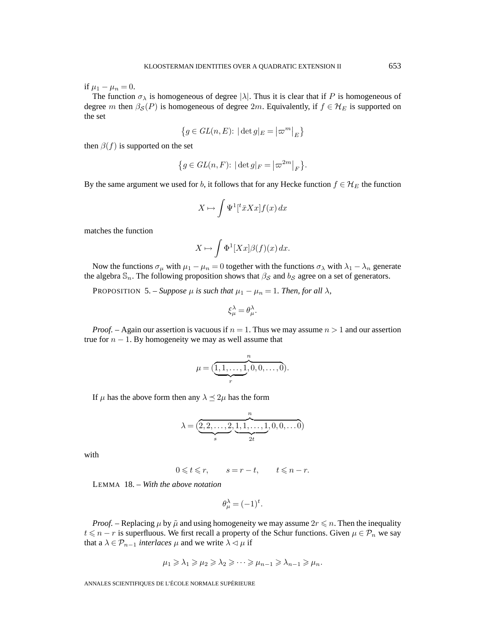if  $\mu_1 - \mu_n = 0$ .

The function  $\sigma_{\lambda}$  is homogeneous of degree  $|\lambda|$ . Thus it is clear that if P is homogeneous of degree m then  $\beta_{\mathcal{S}}(P)$  is homogeneous of degree 2m. Equivalently, if  $f \in \mathcal{H}_E$  is supported on the set

$$
\left\{ g \in GL(n, E) : |\det g|_E = |\varpi^m|_E \right\}
$$

then  $\beta(f)$  is supported on the set

$$
\{g \in GL(n, F) : |\det g|_F = |\varpi^{2m}|_F\}.
$$

By the same argument we used for b, it follows that for any Hecke function  $f \in \mathcal{H}_E$  the function

$$
X \mapsto \int \Psi^1[t\bar{x}Xx]f(x) \, dx
$$

matches the function

$$
X \mapsto \int \Phi^1[Xx] \beta(f)(x) \, dx.
$$

Now the functions  $\sigma_{\mu}$  with  $\mu_1 - \mu_n = 0$  together with the functions  $\sigma_{\lambda}$  with  $\lambda_1 - \lambda_n$  generate the algebra  $\mathbb{S}_n$ . The following proposition shows that  $\beta_{\mathcal{S}}$  and  $b_{\mathcal{S}}$  agree on a set of generators.

PROPOSITION 5. – *Suppose*  $\mu$  *is such that*  $\mu_1 - \mu_n = 1$ *. Then, for all*  $\lambda$ *,* 

$$
\xi_{\mu}^{\lambda}=\theta_{\mu}^{\lambda}.
$$

*Proof.* – Again our assertion is vacuous if  $n = 1$ . Thus we may assume  $n > 1$  and our assertion true for  $n - 1$ . By homogeneity we may as well assume that

$$
\mu = (\underbrace{1,1,\ldots,1}_{r},\underbrace{0,0,\ldots,0}_{r}).
$$

If  $\mu$  has the above form then any  $\lambda \preceq 2\mu$  has the form

$$
\lambda = (\underbrace{2,2,\ldots,2}_{s},\underbrace{1,1,\ldots,1}_{2t},0,0,\ldots 0)
$$

with

$$
0\leqslant t\leqslant r,\qquad s=r-t,\qquad t\leqslant n-r.
$$

LEMMA 18. – *With the above notation*

$$
\theta^\lambda_\mu=(-1)^t.
$$

*Proof.* – Replacing  $\mu$  by  $\tilde{\mu}$  and using homogeneity we may assume  $2r \leq n$ . Then the inequality  $t \le n - r$  is superfluous. We first recall a property of the Schur functions. Given  $\mu \in \mathcal{P}_n$  we say that a  $\lambda \in \mathcal{P}_{n-1}$  *interlaces*  $\mu$  and we write  $\lambda \leq \mu$  if

$$
\mu_1 \geqslant \lambda_1 \geqslant \mu_2 \geqslant \lambda_2 \geqslant \cdots \geqslant \mu_{n-1} \geqslant \lambda_{n-1} \geqslant \mu_n.
$$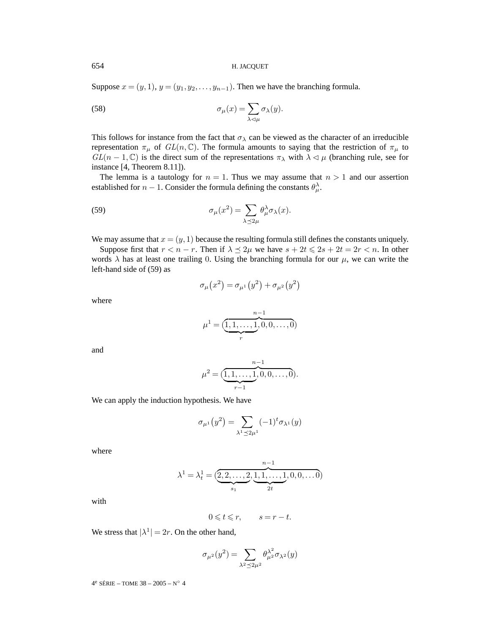654 H. JACQUET

Suppose  $x = (y, 1), y = (y_1, y_2, \dots, y_{n-1})$ . Then we have the branching formula.

(58) 
$$
\sigma_{\mu}(x) = \sum_{\lambda \lhd \mu} \sigma_{\lambda}(y).
$$

This follows for instance from the fact that  $\sigma_{\lambda}$  can be viewed as the character of an irreducible representation  $\pi_{\mu}$  of  $GL(n,\mathbb{C})$ . The formula amounts to saying that the restriction of  $\pi_{\mu}$  to  $GL(n-1,\mathbb{C})$  is the direct sum of the representations  $\pi_{\lambda}$  with  $\lambda \leq \mu$  (branching rule, see for instance [4, Theorem 8.11]).

The lemma is a tautology for  $n = 1$ . Thus we may assume that  $n > 1$  and our assertion established for  $n-1$ . Consider the formula defining the constants  $\theta_{\mu}^{\lambda}$ .

(59) 
$$
\sigma_{\mu}(x^2) = \sum_{\lambda \leq 2\mu} \theta_{\mu}^{\lambda} \sigma_{\lambda}(x).
$$

We may assume that  $x = (y, 1)$  because the resulting formula still defines the constants uniquely.

Suppose first that  $r < n - r$ . Then if  $\lambda \leq 2\mu$  we have  $s + 2t \leq 2s + 2t = 2r < n$ . In other words  $\lambda$  has at least one trailing 0. Using the branching formula for our  $\mu$ , we can write the left-hand side of (59) as

$$
\sigma_\mu\big(x^2\big) = \sigma_{\mu^1}\big(y^2\big) + \sigma_{\mu^2}\big(y^2\big)
$$

where

$$
\mu^{1} = (\underbrace{1, 1, \dots, 1}_{r}, 0, 0, \dots, 0)
$$

and

$$
\mu^{2} = (\underbrace{1, 1, \dots, 1}_{r-1}, 0, 0, \dots, 0).
$$

We can apply the induction hypothesis. We have

$$
\sigma_{\mu^1}(y^2) = \sum_{\lambda^1 \preceq 2\mu^1} (-1)^t \sigma_{\lambda^1}(y)
$$

where

$$
\lambda^{1} = \lambda_{t}^{1} = (\underbrace{2, 2, \dots, 2}_{s_{1}}, \underbrace{1, 1, \dots, 1}_{2t}, 0, 0, \dots 0)
$$

with

$$
0 \leqslant t \leqslant r, \qquad s = r - t.
$$

We stress that  $|\lambda^1| = 2r$ . On the other hand,

$$
\sigma_{\mu^2}(y^2) = \sum_{\lambda^2 \preceq 2\mu^2} \theta_{\mu^2}^{\lambda^2} \sigma_{\lambda^2}(y)
$$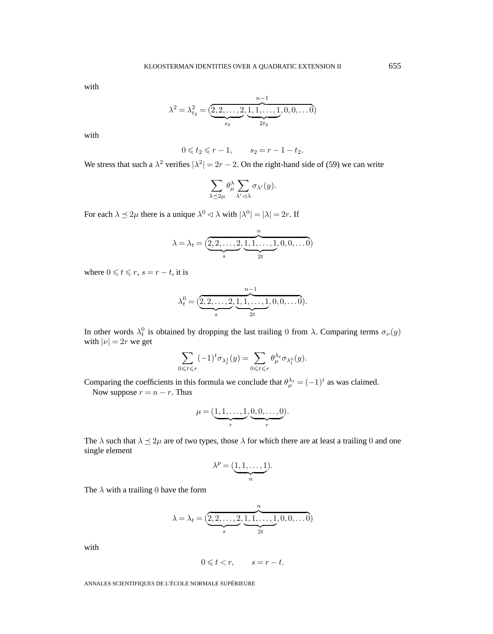with

$$
\lambda^{2} = \lambda_{t_{2}}^{2} = (\underbrace{2, 2, \dots, 2}_{s_{2}}, \underbrace{1, 1, \dots, 1}_{2t_{2}}, 0, 0, \dots 0)
$$

with

$$
0 \leq t_2 \leq r - 1
$$
,  $s_2 = r - 1 - t_2$ .

We stress that such a  $\lambda^2$  verifies  $|\lambda^2| = 2r - 2$ . On the right-hand side of (59) we can write

$$
\sum_{\lambda \preceq 2\mu} \theta_{\mu}^{\lambda} \sum_{\lambda' \lhd \lambda} \sigma_{\lambda'}(y).
$$

For each  $\lambda \leq 2\mu$  there is a unique  $\lambda^0 \leq \lambda$  with  $|\lambda^0| = |\lambda| = 2r$ . If

$$
\lambda = \lambda_t = (\underbrace{2, 2, \dots, 2}_{s}, \underbrace{1, 1, \dots, 1}_{2t}, 0, 0, \dots 0)
$$

where  $0 \leq t \leq r$ ,  $s = r - t$ , it is

$$
\lambda_t^0 = (\underbrace{2,2,\ldots,2}_{s}, \underbrace{1,1,\ldots,1}_{2t}, 0, 0, \ldots 0).
$$

In other words  $\lambda_t^0$  is obtained by dropping the last trailing 0 from  $\lambda$ . Comparing terms  $\sigma_{\nu}(y)$ with  $|\nu| = 2r$  we get

$$
\sum_{0\leqslant t\leqslant r}(-1)^{t}\sigma_{\lambda^{1}_{t}}(y)=\sum_{0\leqslant t\leqslant r}\theta_{\mu}^{\lambda_{t}}\sigma_{\lambda^{0}_{t}}(y).
$$

Comparing the coefficients in this formula we conclude that  $\theta_{\mu}^{\lambda_t} = (-1)^t$  as was claimed. Now suppose  $r = n - r$ . Thus

$$
\mu = (\underbrace{1,1,\ldots,1}_{r},\underbrace{0,0,\ldots,0}_{r}).
$$

The  $\lambda$  such that  $\lambda \leq 2\mu$  are of two types, those  $\lambda$  for which there are at least a trailing 0 and one single element

$$
\lambda^p = (\underbrace{1,1,\ldots,1}_{n}).
$$

The  $\lambda$  with a trailing 0 have the form

$$
\lambda = \lambda_t = (\underbrace{2, 2, \dots, 2}_{s}, \underbrace{1, 1, \dots, 1}_{2t}, 0, 0, \dots 0)
$$

with

$$
0 \leqslant t < r, \qquad s = r - t.
$$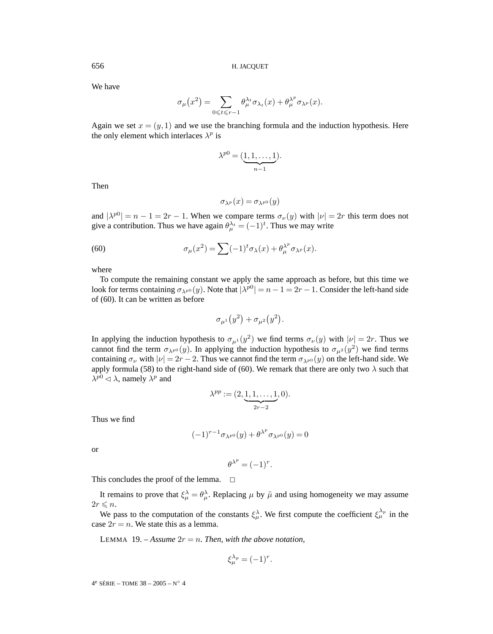We have

$$
\sigma_{\mu}(x^2) = \sum_{0 \leqslant t \leqslant r-1} \theta_{\mu}^{\lambda_t} \sigma_{\lambda_t}(x) + \theta_{\mu}^{\lambda^p} \sigma_{\lambda^p}(x).
$$

Again we set  $x = (y, 1)$  and we use the branching formula and the induction hypothesis. Here the only element which interlaces  $\lambda^p$  is

$$
\lambda^{p0} = (\underbrace{1,1,\ldots,1}_{n-1}).
$$

Then

$$
\sigma_{\lambda^p}(x)=\sigma_{\lambda^{p0}}(y)
$$

and  $|\lambda^{p0}| = n - 1 = 2r - 1$ . When we compare terms  $\sigma_{\nu}(y)$  with  $|\nu| = 2r$  this term does not give a contribution. Thus we have again  $\theta_{\mu}^{\lambda_t} = (-1)^t$ . Thus we may write

(60) 
$$
\sigma_{\mu}(x^2) = \sum (-1)^t \sigma_{\lambda}(x) + \theta_{\mu}^{\lambda^p} \sigma_{\lambda^p}(x).
$$

where

To compute the remaining constant we apply the same approach as before, but this time we look for terms containing  $\sigma_{\lambda^{p0}}(y)$ . Note that  $|\lambda^{p0}| = n - 1 = 2r - 1$ . Consider the left-hand side of (60). It can be written as before

$$
\sigma_{\mu^1}(y^2) + \sigma_{\mu^2}(y^2).
$$

In applying the induction hypothesis to  $\sigma_{\mu^1}(y^2)$  we find terms  $\sigma_{\nu}(y)$  with  $|\nu| = 2r$ . Thus we cannot find the term  $\sigma_{\lambda^{p_0}}(y)$ . In applying the induction hypothesis to  $\sigma_{\mu^2}(y^2)$  we find terms containing  $\sigma_{\nu}$  with  $|\nu| = 2r - 2$ . Thus we cannot find the term  $\sigma_{\lambda^{p0}}(y)$  on the left-hand side. We apply formula (58) to the right-hand side of (60). We remark that there are only two  $\lambda$  such that  $\lambda^{p0} \lhd \lambda$ , namely  $\lambda^p$  and

$$
\lambda^{pp} := (2, \underbrace{1,1,\ldots,1}_{2r-2},0).
$$

Thus we find

$$
(-1)^{r-1}\sigma_{\lambda^{p_0}}(y)+\theta^{\lambda^p}\sigma_{\lambda^{p_0}}(y)=0
$$

or

$$
\theta^{\lambda^p} = (-1)^r.
$$

This concludes the proof of the lemma.  $\Box$ 

It remains to prove that  $\xi^{\lambda}_{\mu} = \theta^{\lambda}_{\mu}$ . Replacing  $\mu$  by  $\tilde{\mu}$  and using homogeneity we may assume  $2r \leqslant n$ .

We pass to the computation of the constants  $\xi_\mu^\lambda$ . We first compute the coefficient  $\xi_\mu^{\lambda_p}$  in the case  $2r = n$ . We state this as a lemma.

LEMMA 19. – Assume  $2r = n$ . Then, with the above notation,

$$
\xi_{\mu}^{\lambda_p} = (-1)^r.
$$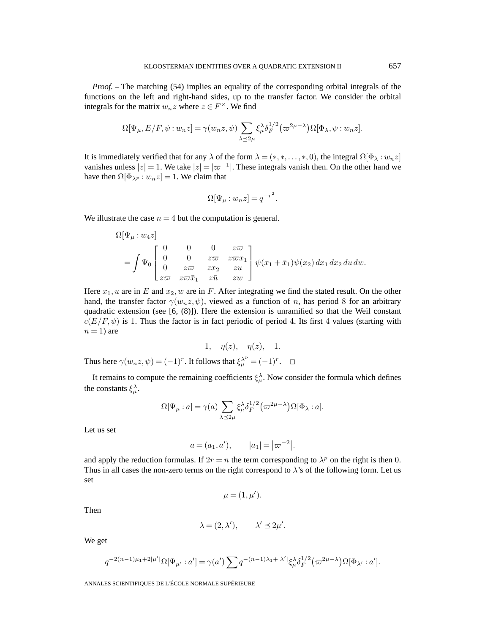*Proof.* – The matching (54) implies an equality of the corresponding orbital integrals of the functions on the left and right-hand sides, up to the transfer factor. We consider the orbital integrals for the matrix  $w_nz$  where  $z \in F^{\times}$ . We find

$$
\Omega[\Psi_{\mu}, E/F, \psi : w_n z] = \gamma(w_n z, \psi) \sum_{\lambda \preceq 2\mu} \xi_{\mu}^{\lambda} \delta_F^{1/2} (\varpi^{2\mu - \lambda}) \Omega[\Phi_{\lambda}, \psi : w_n z].
$$

It is immediately verified that for any  $\lambda$  of the form  $\lambda = (*, *, \dots, *, 0)$ , the integral  $\Omega[\Phi_{\lambda} : w_n z]$ vanishes unless  $|z| = 1$ . We take  $|z| = |\varpi^{-1}|$ . These integrals vanish then. On the other hand we have then  $\Omega[\Phi_{\lambda^p}: w_n z] = 1$ . We claim that

$$
\Omega[\Psi_{\mu}:w_{n}z] = q^{-r^{2}}.
$$

We illustrate the case  $n = 4$  but the computation is general.

$$
\Omega[\Psi_{\mu}: w_{4}z] \n= \int \Psi_{0} \begin{bmatrix}\n0 & 0 & 0 & z\varpi \\
0 & 0 & z\varpi & z\varpi x_{1} \\
0 & z\varpi & zx_{2} & zu \\
z\varpi & z\varpi\bar{x}_{1} & z\bar{u} & zw\n\end{bmatrix} \psi(x_{1} + \bar{x}_{1})\psi(x_{2}) dx_{1} dx_{2} du dw.
$$

Here  $x_1, u$  are in E and  $x_2, w$  are in F. After integrating we find the stated result. On the other hand, the transfer factor  $\gamma(w_nz,\psi)$ , viewed as a function of n, has period 8 for an arbitrary quadratic extension (see [6, (8)]). Here the extension is unramified so that the Weil constant  $c(E/F, \psi)$  is 1. Thus the factor is in fact periodic of period 4. Its first 4 values (starting with  $n = 1$ ) are

$$
1, \quad \eta(z), \quad \eta(z), \quad 1.
$$
  

$$
\gamma(w_n z, \psi) = (-1)^r.
$$
 It follows that  $\xi_{\mu}^{\lambda^p} = (-1)^r.$   $\Box$ 

It remains to compute the remaining coefficients  $\xi^{\lambda}_{\mu}$ . Now consider the formula which defines the constants  $\xi^{\lambda}_{\mu}$ .

$$
\Omega[\Psi_{\mu}:a] = \gamma(a) \sum_{\lambda \preceq 2\mu} \xi_{\mu}^{\lambda} \delta_F^{1/2} (\varpi^{2\mu-\lambda}) \Omega[\Phi_{\lambda}:a].
$$

Let us set

Thus here  $\gamma$ 

$$
a = (a_1, a'), \qquad |a_1| = |\varpi^{-2}|.
$$

and apply the reduction formulas. If  $2r = n$  the term corresponding to  $\lambda^p$  on the right is then 0. Thus in all cases the non-zero terms on the right correspond to  $\lambda$ 's of the following form. Let us set

$$
\mu = (1, \mu').
$$

Then

$$
\lambda = (2, \lambda'), \qquad \lambda' \le 2\mu'.
$$

We get

$$
q^{-2(n-1)\mu_1+2|\mu'|}\Omega[\Psi_{\mu'}:a']=\gamma(a')\sum q^{-(n-1)\lambda_1+|\lambda'|}\xi_\mu^\lambda\delta_F^{1/2}\big(\varpi^{2\mu-\lambda}\big)\Omega[\Phi_{\lambda'}:a'].
$$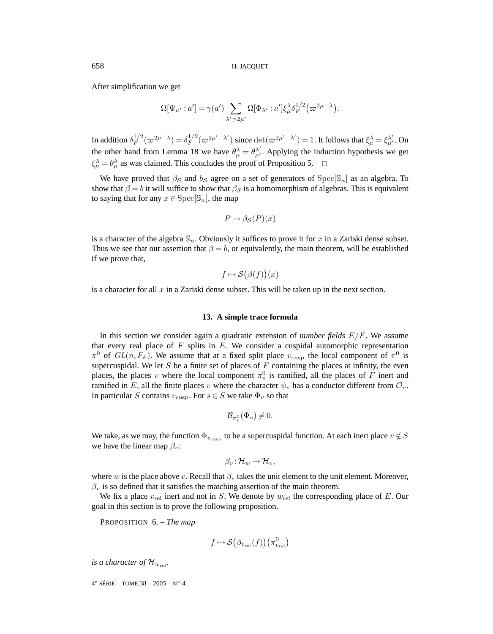After simplification we get

$$
\Omega[\Psi_{\mu'}:a']=\gamma(a')\sum_{\lambda'\preceq 2\mu'}\Omega[\Phi_{\lambda'}:a']\xi_{\mu}^{\lambda}\delta_F^{1/2}(\varpi^{2\mu-\lambda}).
$$

In addition  $\delta_F^{1/2}(\varpi^{2\mu-\lambda}) = \delta_F^{1/2}(\varpi^{2\mu'-\lambda'})$  since  $\det(\varpi^{2\mu'-\lambda'}) = 1$ . It follows that  $\xi_\mu^\lambda = \xi_{\mu'}^{\lambda'}$ . On the other hand from Lemma 18 we have  $\theta_{\mu}^{\lambda} = \theta_{\mu'}^{\lambda'}$ . Applying the induction hypothesis we get  $\xi^{\lambda}_{\mu} = \theta^{\lambda}_{\mu}$  as was claimed. This concludes the proof of Proposition 5.  $\Box$ 

We have proved that  $\beta_{\mathcal{S}}$  and  $b_{\mathcal{S}}$  agree on a set of generators of Spec[S<sub>n</sub>] as an algebra. To show that  $\beta = b$  it will suffice to show that  $\beta_{\mathcal{S}}$  is a homomorphism of algebras. This is equivalent to saying that for any  $x \in \text{Spec}[\mathbb{S}_n]$ , the map

$$
P \mapsto \beta_{\mathcal{S}}(P)(x)
$$

is a character of the algebra  $\mathbb{S}_n$ . Obviously it suffices to prove it for x in a Zariski dense subset. Thus we see that our assertion that  $\beta = b$ , or equivalently, the main theorem, will be established if we prove that,

$$
f \mapsto \mathcal{S}(\beta(f))(x)
$$

is a character for all  $x$  in a Zariski dense subset. This will be taken up in the next section.

#### **13. A simple trace formula**

In this section we consider again a quadratic extension of *number fields* E/F. We assume that every real place of  $F$  splits in  $E$ . We consider a cuspidal automorphic representation  $\pi^0$  of  $GL(n, F_\mathbb{A})$ . We assume that at a fixed split place  $v_{\text{cusp}}$  the local component of  $\pi^0$  is supercuspidal. We let  $S$  be a finite set of places of  $F$  containing the places at infinity, the even places, the places v where the local component  $\pi_v^0$  is ramified, all the places of F inert and ramified in E, all the finite places v where the character  $\psi_v$  has a conductor different from  $\mathcal{O}_v$ . In particular S contains  $v_{\text{cusp}}$ . For  $s \in S$  we take  $\Phi_v$  so that

$$
\mathcal{B}_{\pi^0_v}(\Phi_v) \neq 0.
$$

We take, as we may, the function  $\Phi_{v_{\text{cusp}}}$  to be a supercuspidal function. At each inert place  $v \notin S$ we have the linear map  $\beta_v$ :

$$
\beta_v:\mathcal{H}_w\to\mathcal{H}_v,
$$

where w is the place above v. Recall that  $\beta_v$  takes the unit element to the unit element. Moreover,  $\beta_v$  is so defined that it satisfies the matching assertion of the main theorem.

We fix a place  $v_{\text{rel}}$  inert and not in S. We denote by  $w_{\text{rel}}$  the corresponding place of E. Our goal in this section is to prove the following proposition.

PROPOSITION 6. – *The map*

$$
f \mapsto \mathcal{S}\big(\beta_{v_{\text{rel}}}(f)\big)\big(\pi_{v_{\text{rel}}}^0\big)
$$

*is a character of*  $\mathcal{H}_{w_{\text{rel}}}$ *.*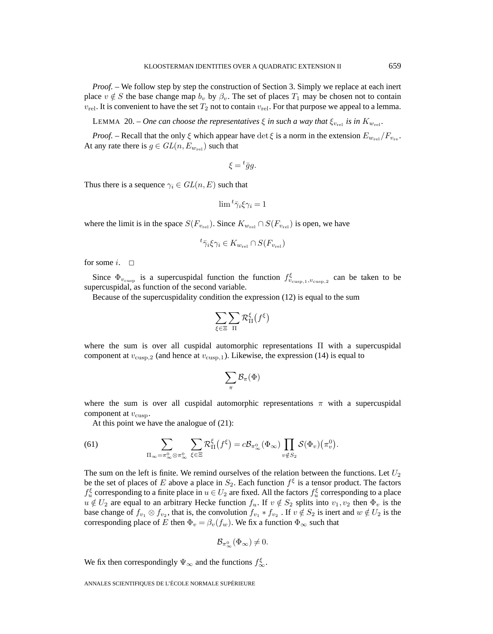*Proof.* – We follow step by step the construction of Section 3. Simply we replace at each inert place  $v \notin S$  the base change map  $b_v$  by  $\beta_v$ . The set of places  $T_1$  may be chosen not to contain  $v_{\text{rel}}$ . It is convenient to have the set  $T_2$  not to contain  $v_{\text{rel}}$ . For that purpose we appeal to a lemma.

**LEMMA** 20. – *One can choose the representatives*  $\xi$  *in such a way that*  $\xi_{v_{\text{rel}}}$  *is in*  $K_{w_{\text{rel}}}$ *.* 

*Proof.* – Recall that the only  $\xi$  which appear have det  $\xi$  is a norm in the extension  $E_{w_{rel}}/F_{v_{re}}$ . At any rate there is  $g \in GL(n, E_{w_{rel}})$  such that

$$
\xi = {}^t \bar{g}g.
$$

Thus there is a sequence  $\gamma_i \in GL(n, E)$  such that

$$
\lim{}^{t}\bar{\gamma}_{i}\xi\gamma_{i}=1
$$

where the limit is in the space  $S(F_{v_{\text{rel}}})$ . Since  $K_{w_{\text{rel}}} \cap S(F_{v_{\text{rel}}})$  is open, we have

$$
{}^t\bar{\gamma}_i \xi \gamma_i \in K_{w_{\text{rel}}} \cap S(F_{v_{\text{rel}}})
$$

for some  $i$ .  $\Box$ 

Since  $\Phi_{v_{\text{cusp}}}$  is a supercuspidal function the function  $f_{v_{\text{cusp},1},v_{\text{cusp},2}}^{\xi}$  can be taken to be supercuspidal, as function of the second variable.

Because of the supercuspidality condition the expression (12) is equal to the sum

$$
\sum_{\xi\in\Xi}\sum_{\Pi}\mathcal{R}^{\xi}_{\Pi}\big(f^{\xi}\big)
$$

where the sum is over all cuspidal automorphic representations Π with a supercuspidal component at  $v_{\text{cusp},2}$  (and hence at  $v_{\text{cusp},1}$ ). Likewise, the expression (14) is equal to

$$
\sum_{\pi} \mathcal{B}_{\pi}(\Phi)
$$

where the sum is over all cuspidal automorphic representations  $\pi$  with a supercuspidal component at  $v_{\text{cusp}}$ .

At this point we have the analogue of (21):

(61) 
$$
\sum_{\Pi_{\infty}=\pi_{\infty}^{0}\otimes\pi_{\infty}^{0}}\sum_{\xi\in\Xi}\mathcal{R}_{\Pi}^{\xi}(f^{\xi})=c\mathcal{B}_{\pi_{\infty}^{0}}(\Phi_{\infty})\prod_{v\notin S_{2}}\mathcal{S}(\Phi_{v})(\pi_{v}^{0}).
$$

The sum on the left is finite. We remind ourselves of the relation between the functions. Let  $U_2$ be the set of places of E above a place in  $S_2$ . Each function  $f^{\xi}$  is a tensor product. The factors  $f_u^{\xi}$  corresponding to a finite place in  $u \in U_2$  are fixed. All the factors  $f_u^{\xi}$  corresponding to a place  $u \notin U_2$  are equal to an arbitrary Hecke function  $f_u$ . If  $v \notin S_2$  splits into  $v_1, v_2$  then  $\Phi_v$  is the base change of  $f_{v_1} \otimes f_{v_2}$ , that is, the convolution  $f_{v_1} * f_{v_2}$ . If  $v \notin S_2$  is inert and  $w \notin U_2$  is the corresponding place of E then  $\Phi_v = \beta_v(f_w)$ . We fix a function  $\Phi_\infty$  such that

$$
\mathcal{B}_{\pi^0_\infty}(\Phi_\infty)\neq 0.
$$

We fix then correspondingly  $\Psi_{\infty}$  and the functions  $f_{\infty}^{\xi}$ .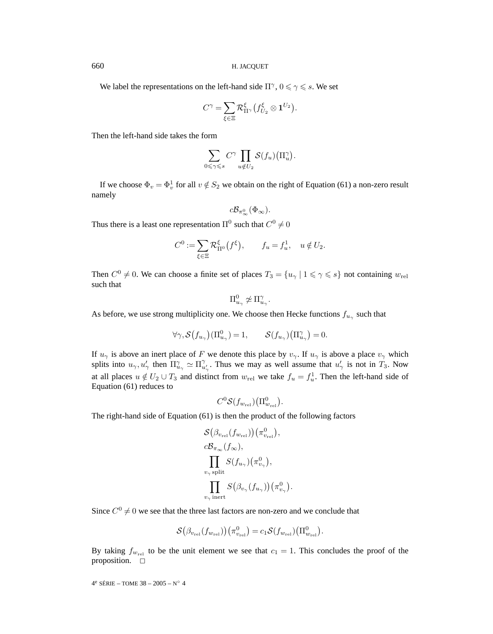We label the representations on the left-hand side  $\Pi^{\gamma}$ ,  $0 \le \gamma \le s$ . We set

$$
C^{\gamma} = \sum_{\xi \in \Xi} \mathcal{R}_{\Pi^{\gamma}}^{\xi} \big( f_{U_{2}}^{\xi} \otimes \mathbf{1}^{U_{2}} \big)
$$

.

Then the left-hand side takes the form

$$
\sum_{0 \leq \gamma \leq s} C^{\gamma} \prod_{u \notin U_2} \mathcal{S}(f_u) \big(\Pi_u^{\gamma}\big).
$$

If we choose  $\Phi_v = \Phi_v^1$  for all  $v \notin S_2$  we obtain on the right of Equation (61) a non-zero result namely

$$
c\mathcal{B}_{\pi^0_\infty}(\Phi_\infty).
$$

Thus there is a least one representation  $\Pi^0$  such that  $C^0 \neq 0$ 

$$
C^0 := \sum_{\xi \in \Xi} \mathcal{R}^{\xi}_{\Pi^0}(f^{\xi}), \qquad f_u = f^1_u, \quad u \notin U_2.
$$

Then  $C^0 \neq 0$ . We can choose a finite set of places  $T_3 = \{u_\gamma \mid 1 \leq \gamma \leq s\}$  not containing  $w_{rel}$ such that

$$
\Pi^0_{u_\gamma} \not\simeq \Pi^\gamma_{u_\gamma}.
$$

As before, we use strong multiplicity one. We choose then Hecke functions  $f_{u_{\gamma}}$  such that

$$
\forall \gamma, \mathcal{S}(f_{u_{\gamma}})(\Pi_{u_{\gamma}}^0) = 1, \qquad \mathcal{S}(f_{u_{\gamma}})(\Pi_{u_{\gamma}}^{\gamma}) = 0.
$$

If  $u_{\gamma}$  is above an inert place of F we denote this place by  $v_{\gamma}$ . If  $u_{\gamma}$  is above a place  $v_{\gamma}$  which splits into  $u_{\gamma}, u_{\gamma}'$  then  $\Pi_{u_{\gamma}}^{\gamma} \simeq \Pi_{u_{\gamma}}^{\gamma}$ . Thus we may as well assume that  $u_{\gamma}'$  is not in  $T_3$ . Now at all places  $u \notin U_2 \cup T_3$  and distinct from  $w_{rel}$  we take  $f_u = f_u^1$ . Then the left-hand side of Equation (61) reduces to

$$
C^0\mathcal{S}(f_{w_{\text{rel}}})\big(\Pi^0_{w_{\text{rel}}}\big).
$$

The right-hand side of Equation (61) is then the product of the following factors

$$
\mathcal{S}(\beta_{v_{\text{rel}}}(f_{w_{\text{rel}}}))(\pi_{v_{\text{rel}}}^0),
$$
  
\n
$$
c\mathcal{B}_{\pi_{\infty}}(f_{\infty}),
$$
  
\n
$$
\prod_{v_{\gamma} \text{ split}} \mathcal{S}(f_{u_{\gamma}})(\pi_{v_{\gamma}}^0),
$$
  
\n
$$
\prod_{v_{\gamma} \text{ inert}} \mathcal{S}(\beta_{v_{\gamma}}(f_{u_{\gamma}}))(\pi_{v_{\gamma}}^0).
$$

Since  $C^0 \neq 0$  we see that the three last factors are non-zero and we conclude that

$$
\mathcal{S}(\beta_{v_{\text{rel}}}(f_{w_{\text{rel}}}))(\pi_{v_{\text{rel}}}^0) = c_1 \mathcal{S}(f_{w_{\text{rel}}})(\Pi_{w_{\text{rel}}}^0).
$$

By taking  $f_{w_{rel}}$  to be the unit element we see that  $c_1 = 1$ . This concludes the proof of the proposition.  $\square$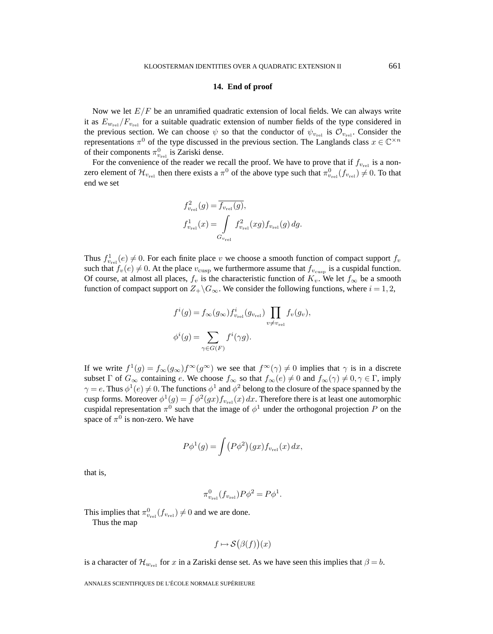#### **14. End of proof**

Now we let  $E/F$  be an unramified quadratic extension of local fields. We can always write it as  $E_{w_{\text{rel}}} / F_{v_{\text{rel}}}$  for a suitable quadratic extension of number fields of the type considered in the previous section. We can choose  $\psi$  so that the conductor of  $\psi_{v_{\text{rel}}}$  is  $\mathcal{O}_{v_{\text{rel}}}$ . Consider the representations  $\pi^0$  of the type discussed in the previous section. The Langlands class  $x \in \mathbb{C}^{\times n}$ of their components  $\pi_{v_{\text{rel}}}^{0}$  is Zariski dense.

For the convenience of the reader we recall the proof. We have to prove that if  $f_{v_{\text{rel}}}$  is a nonzero element of  $\mathcal{H}_{v_{\rm rel}}$  then there exists a  $\pi^0$  of the above type such that  $\pi_{v_{\rm rel}}^0(f_{v_{\rm rel}}) \neq 0$ . To that end we set

$$
f_{v_{\text{rel}}}^2(g) = \overline{f_{v_{\text{rel}}}(g)},
$$
  

$$
f_{v_{\text{rel}}}^1(x) = \int_{G_{v_{\text{rel}}}} f_{v_{\text{rel}}}^2(xg) f_{v_{\text{rel}}}(g) dg.
$$

Thus  $f_{v_{rel}}^1(e) \neq 0$ . For each finite place v we choose a smooth function of compact support  $f_v$ such that  $f_v(e) \neq 0$ . At the place  $v_{\text{cusp}}$  we furthermore assume that  $f_{v_{\text{cusp}}}$  is a cuspidal function. Of course, at almost all places,  $f_v$  is the characteristic function of  $K_v$ . We let  $f_{\infty}$  be a smooth function of compact support on  $Z_+\backslash G_\infty$ . We consider the following functions, where  $i = 1, 2$ ,

$$
f^{i}(g) = f_{\infty}(g_{\infty}) f^{i}_{v_{\text{rel}}}(g_{v_{\text{rel}}}) \prod_{v \neq v_{\text{rel}}} f_{v}(g_{v}),
$$
  

$$
\phi^{i}(g) = \sum_{\gamma \in G(F)} f^{i}(\gamma g).
$$

If we write  $f^1(g) = f_{\infty}(g_{\infty})f^{\infty}(g^{\infty})$  we see that  $f^{\infty}(\gamma) \neq 0$  implies that  $\gamma$  is in a discrete subset  $\Gamma$  of  $G_{\infty}$  containing e. We choose  $f_{\infty}$  so that  $f_{\infty}(e) \neq 0$  and  $f_{\infty}(\gamma) \neq 0, \gamma \in \Gamma$ , imply  $\gamma = e$ . Thus  $\phi^1(e) \neq 0$ . The functions  $\phi^1$  and  $\phi^2$  belong to the closure of the space spanned by the cusp forms. Moreover  $\phi^1(g) = \int \phi^2(gx) f_{v_{\text{rel}}}(x) dx$ . Therefore there is at least one automorphic cuspidal representation  $\pi^0$  such that the image of  $\phi^1$  under the orthogonal projection P on the space of  $\pi^0$  is non-zero. We have

$$
P\phi^1(g) = \int (P\phi^2)(gx) f_{v_{\text{rel}}}(x) dx,
$$

that is,

$$
\pi_{v_{\rm rel}}^0(f_{v_{\rm rel}})P\phi^2 = P\phi^1.
$$

This implies that  $\pi_{v_{\text{rel}}}^{0}(f_{v_{\text{rel}}}) \neq 0$  and we are done.

Thus the map

$$
f \mapsto \mathcal{S}(\beta(f))(x)
$$

is a character of  $\mathcal{H}_{w_{rel}}$  for x in a Zariski dense set. As we have seen this implies that  $\beta = b$ .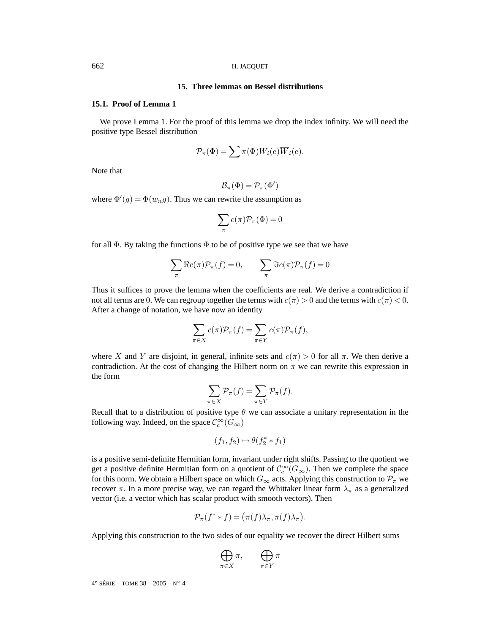#### 662 H. JACQUET

#### **15. Three lemmas on Bessel distributions**

#### **15.1. Proof of Lemma 1**

We prove Lemma 1. For the proof of this lemma we drop the index infinity. We will need the positive type Bessel distribution

$$
\mathcal{P}_{\pi}(\Phi) = \sum \pi(\Phi) W_i(e) \overline{W}_i(e).
$$

Note that

$$
\mathcal{B}_{\pi}(\Phi) = \mathcal{P}_{\pi}(\Phi')
$$

where  $\Phi'(g) = \Phi(w_n g)$ . Thus we can rewrite the assumption as

$$
\sum_{\pi} c(\pi) \mathcal{P}_{\pi}(\Phi) = 0
$$

for all  $\Phi$ . By taking the functions  $\Phi$  to be of positive type we see that we have

$$
\sum_{\pi} \Re c(\pi) \mathcal{P}_{\pi}(f) = 0, \qquad \sum_{\pi} \Im c(\pi) \mathcal{P}_{\pi}(f) = 0
$$

Thus it suffices to prove the lemma when the coefficients are real. We derive a contradiction if not all terms are 0. We can regroup together the terms with  $c(\pi) > 0$  and the terms with  $c(\pi) < 0$ . After a change of notation, we have now an identity

$$
\sum_{\pi \in X} c(\pi) \mathcal{P}_{\pi}(f) = \sum_{\pi \in Y} c(\pi) \mathcal{P}_{\pi}(f),
$$

where X and Y are disjoint, in general, infinite sets and  $c(\pi) > 0$  for all  $\pi$ . We then derive a contradiction. At the cost of changing the Hilbert norm on  $\pi$  we can rewrite this expression in the form

$$
\sum_{\pi \in X} \mathcal{P}_{\pi}(f) = \sum_{\pi \in Y} \mathcal{P}_{\pi}(f).
$$

Recall that to a distribution of positive type  $\theta$  we can associate a unitary representation in the following way. Indeed, on the space  $\mathcal{C}_c^{\infty}(G_{\infty})$ 

$$
(f_1,f_2)\mapsto \theta(f_2^**f_1)
$$

is a positive semi-definite Hermitian form, invariant under right shifts. Passing to the quotient we get a positive definite Hermitian form on a quotient of  $\mathcal{C}_c^{\infty}(G_{\infty})$ . Then we complete the space for this norm. We obtain a Hilbert space on which  $G_{\infty}$  acts. Applying this construction to  $\mathcal{P}_{\pi}$  we recover π. In a more precise way, we can regard the Whittaker linear form  $λ_π$  as a generalized vector (i.e. a vector which has scalar product with smooth vectors). Then

$$
\mathcal{P}_{\pi}(f^* * f) = (\pi(f)\lambda_{\pi}, \pi(f)\lambda_{\pi}).
$$

Applying this construction to the two sides of our equality we recover the direct Hilbert sums

$$
\bigoplus_{\pi \in X} \pi, \qquad \bigoplus_{\pi \in Y} \pi
$$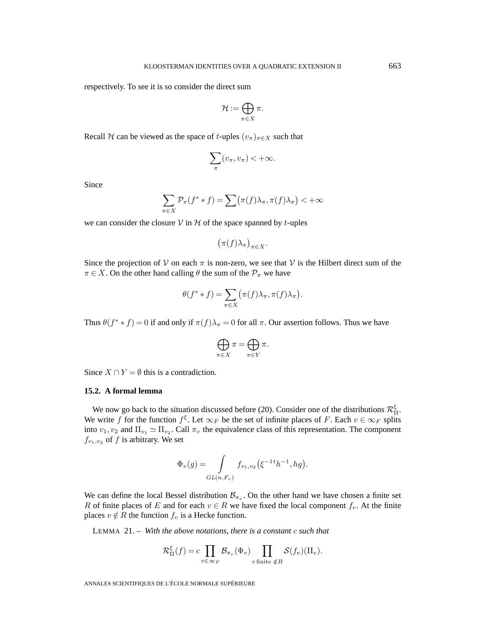respectively. To see it is so consider the direct sum

$$
\mathcal{H}:=\bigoplus_{\pi\in X}\pi.
$$

Recall H can be viewed as the space of t-uples  $(v_\pi)_{\pi \in X}$  such that

$$
\sum_{\pi} (v_{\pi}, v_{\pi}) < +\infty.
$$

Since

$$
\sum_{\pi \in X} \mathcal{P}_{\pi}(f^* * f) = \sum (\pi(f)\lambda_{\pi}, \pi(f)\lambda_{\pi}) < +\infty
$$

we can consider the closure  $V$  in  $H$  of the space spanned by t-uples

$$
\big(\pi(f)\lambda_{\pi}\big)_{\pi\in X}.
$$

Since the projection of V on each  $\pi$  is non-zero, we see that V is the Hilbert direct sum of the  $\pi \in X$ . On the other hand calling  $\theta$  the sum of the  $\mathcal{P}_{\pi}$  we have

$$
\theta(f^* * f) = \sum_{\pi \in X} \bigl( \pi(f) \lambda_\pi, \pi(f) \lambda_\pi \bigr).
$$

Thus  $\theta(f^* * f) = 0$  if and only if  $\pi(f)\lambda_\pi = 0$  for all  $\pi$ . Our assertion follows. Thus we have

$$
\bigoplus_{\pi \in X} \pi = \bigoplus_{\pi \in Y} \pi.
$$

Since  $X \cap Y = \emptyset$  this is a contradiction.

#### **15.2. A formal lemma**

We now go back to the situation discussed before (20). Consider one of the distributions  $\mathcal{R}_{\Pi}^{\xi}$ . We write f for the function  $f^{\xi}$ . Let  $\infty_F$  be the set of infinite places of F. Each  $v \in \infty_F$  splits into  $v_1, v_2$  and  $\Pi_{v_1} \simeq \Pi_{v_2}$ . Call  $\pi_v$  the equivalence class of this representation. The component  $f_{v_1,v_2}$  of f is arbitrary. We set

$$
\Phi_v(g) = \int_{GL(n,F_v)} f_{v_1,v_2}(\xi^{-1}h^{-1},hg).
$$

We can define the local Bessel distribution  $B_{\pi_v}$ . On the other hand we have chosen a finite set R of finite places of E and for each  $v \in R$  we have fixed the local component  $f_v$ . At the finite places  $v \notin R$  the function  $f_v$  is a Hecke function.

LEMMA 21. – *With the above notations, there is a constant* c *such that*

$$
\mathcal{R}^{\xi}_{\Pi}(f) = c \prod_{v \in \infty_F} \mathcal{B}_{\pi_v}(\Phi_v) \prod_{v \text{ finite } \notin R} \mathcal{S}(f_v)(\Pi_v).
$$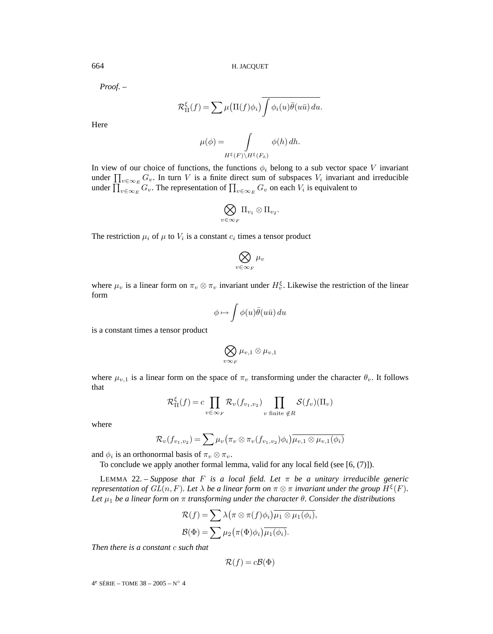*Proof. –*

$$
\mathcal{R}^{\xi}_{\Pi}(f) = \sum \mu(\Pi(f)\phi_i) \int \phi_i(u)\overline{\theta}(u\overline{u}) du.
$$

Here

$$
\mu(\phi) = \int\limits_{H^{\xi}(F)\backslash H^{\xi}(F_{\mathbb{A}})} \phi(h) \, dh.
$$

In view of our choice of functions, the functions  $\phi_i$  belong to a sub vector space V invariant under  $\prod_{v \in \infty} G_v$ . In turn V is a finite direct sum of subspaces  $V_i$  invariant and irreducible under  $\prod_{v\in \infty_E} G_v.$  The representation of  $\prod_{v\in \infty_E} G_v$  on each  $V_i$  is equivalent to

$$
\bigotimes_{v\in\infty_F}\Pi_{v_1}\otimes\Pi_{v_2}.
$$

The restriction  $\mu_i$  of  $\mu$  to  $V_i$  is a constant  $c_i$  times a tensor product

$$
\bigotimes_{v\in\infty_F}\mu_v
$$

where  $\mu_v$  is a linear form on  $\pi_v \otimes \pi_v$  invariant under  $H_v^{\xi}$ . Likewise the restriction of the linear form

$$
\phi \mapsto \int \phi(u)\bar{\theta}(u\bar{u}) du
$$

is a constant times a tensor product

$$
\bigotimes_{v \infty_F} \mu_{v,1} \otimes \mu_{v,1}
$$

where  $\mu_{v,1}$  is a linear form on the space of  $\pi_v$  transforming under the character  $\theta_v$ . It follows that

$$
\mathcal{R}_{\Pi}^{\xi}(f) = c \prod_{v \in \infty_F} \mathcal{R}_v(f_{v_1, v_2}) \prod_{v \text{ finite } \notin R} \mathcal{S}(f_v)(\Pi_v)
$$

where

$$
\mathcal{R}_{v}(f_{v_1,v_2})=\sum \mu_v(\pi_v\otimes \pi_v(f_{v_1,v_2})\phi_i)\overline{\mu_{v,1}\otimes \mu_{v,1}(\phi_i)}
$$

and  $\phi_i$  is an orthonormal basis of  $\pi_v \otimes \pi_v$ .

To conclude we apply another formal lemma, valid for any local field (see [6, (7)]).

LEMMA 22. – *Suppose that* F *is a local field. Let*  $\pi$  *be a unitary irreducible generic representation of*  $GL(n, F)$ *. Let*  $\lambda$  *be a linear form on*  $\pi \otimes \pi$  *invariant under the group*  $H^{\xi}(F)$ *. Let* µ<sup>1</sup> *be a linear form on* π *transforming under the character* θ*. Consider the distributions*

$$
\mathcal{R}(f) = \sum \lambda (\pi \otimes \pi(f)\phi_i) \overline{\mu_1 \otimes \mu_1(\phi_i)},
$$
  

$$
\mathcal{B}(\Phi) = \sum \mu_2(\pi(\Phi)\phi_i) \overline{\mu_1(\phi_i)}.
$$

*Then there is a constant* c *such that*

$$
\mathcal{R}(f) = c\mathcal{B}(\Phi)
$$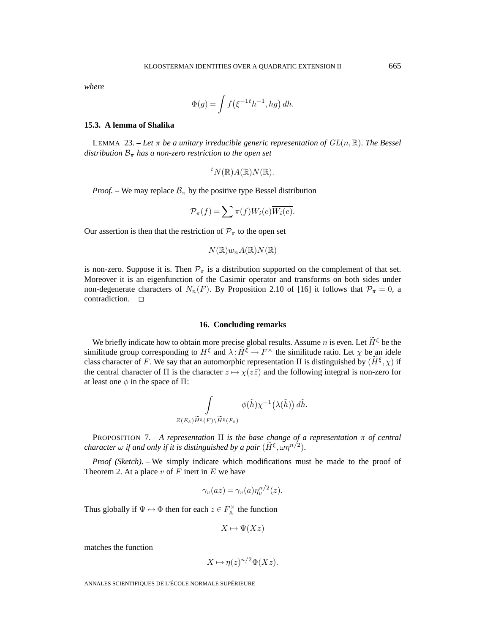*where*

$$
\Phi(g) = \int f(\xi^{-1}h^{-1}, hg) dh.
$$

#### **15.3. A lemma of Shalika**

LEMMA 23. – Let  $\pi$  be a unitary irreducible generic representation of  $GL(n,\mathbb{R})$ . The Bessel *distribution*  $B<sub>\pi</sub>$  *has a non-zero restriction to the open set* 

$$
{}^tN(\mathbb{R})A(\mathbb{R})N(\mathbb{R}).
$$

*Proof.* – We may replace  $B<sub>\pi</sub>$  by the positive type Bessel distribution

$$
\mathcal{P}_{\pi}(f) = \sum \pi(f) W_i(e) \overline{W_i(e)}.
$$

Our assertion is then that the restriction of  $\mathcal{P}_{\pi}$  to the open set

$$
N(\mathbb{R})w_nA(\mathbb{R})N(\mathbb{R})
$$

is non-zero. Suppose it is. Then  $\mathcal{P}_{\pi}$  is a distribution supported on the complement of that set. Moreover it is an eigenfunction of the Casimir operator and transforms on both sides under non-degenerate characters of  $N_n(F)$ . By Proposition 2.10 of [16] it follows that  $\mathcal{P}_{\pi} = 0$ , a contradiction.  $\square$ 

#### **16. Concluding remarks**

We briefly indicate how to obtain more precise global results. Assume *n* is even. Let  $\widetilde{H}^{\xi}$  be the similitude group corresponding to  $H^{\xi}$  and  $\lambda: \widetilde{H}^{\xi} \to F^{\times}$  the similitude ratio. Let  $\chi$  be an idele class character of F. We say that an automorphic representation  $\Pi$  is distinguished by  $(H^{\xi}, \chi)$  if the central character of  $\Pi$  is the character  $z \mapsto \chi(z\overline{z})$  and the following integral is non-zero for at least one  $\phi$  in the space of  $\Pi$ :

$$
\int\limits_{Z(E_{\mathbb{A}})\widetilde{H}^{\xi}(F)\backslash\widetilde{H}^{\xi}(F_{\mathbb{A}})}\phi(\tilde{h})\chi^{-1}\big(\lambda(\tilde{h})\big)\,d\tilde{h}.
$$

PROPOSITION 7. – *A representation* Π *is the base change of a representation* π *of central character*  $\omega$  *if and only if it is distinguished by a pair*  $(\widetilde{H}^{\xi}, \omega \eta^{n/2})$ *.* 

*Proof (Sketch).* – We simply indicate which modifications must be made to the proof of Theorem 2. At a place  $v$  of  $F$  inert in  $E$  we have

$$
\gamma_v(az) = \gamma_v(a)\eta_v^{n/2}(z).
$$

Thus globally if  $\Psi \leftrightarrow \Phi$  then for each  $z \in F_A^\times$  the function

$$
X \mapsto \Psi(Xz)
$$

matches the function

$$
X \mapsto \eta(z)^{n/2} \Phi(Xz).
$$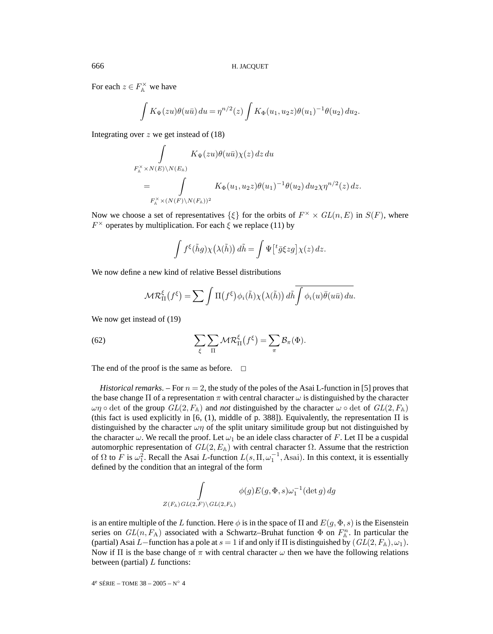For each  $z \in F_A^\times$  we have

$$
\int K_{\Psi}(zu)\theta(u\bar{u}) du = \eta^{n/2}(z) \int K_{\Phi}(u_1, u_2 z)\theta(u_1)^{-1}\theta(u_2) du_2.
$$

Integrating over  $z$  we get instead of  $(18)$ 

$$
\int_{F_{\mathbb{A}}^{\times} \times N(E) \backslash N(E_{\mathbb{A}})} K_{\Psi}(zu) \theta(u\bar{u}) \chi(z) dz du
$$
  
= 
$$
\int_{F_{\mathbb{A}}^{\times} \times (N(F) \backslash N(F_{\mathbb{A}}))^2} K_{\Phi}(u_1, u_2 z) \theta(u_1)^{-1} \theta(u_2) du_2 \chi \eta^{n/2}(z) dz.
$$

Now we choose a set of representatives  $\{\xi\}$  for the orbits of  $F^{\times} \times GL(n, E)$  in  $S(F)$ , where  $F^{\times}$  operates by multiplication. For each  $\xi$  we replace (11) by

$$
\int f^{\xi}(\tilde{h}g)\chi(\lambda(\tilde{h})) d\tilde{h} = \int \Psi \left[{}^{t}\bar{g}\xi zg\right] \chi(z) dz.
$$

We now define a new kind of relative Bessel distributions

$$
\mathcal{MR}_{\Pi}^{\xi}(f^{\xi}) = \sum \int \Pi(f^{\xi}) \phi_i(\tilde{h}) \chi(\lambda(\tilde{h})) d\tilde{h} \overline{\int \phi_i(u) \overline{\theta}(u\overline{u}) du}.
$$

We now get instead of (19)

(62) 
$$
\sum_{\xi} \sum_{\Pi} \mathcal{MR}_{\Pi}^{\xi}(f^{\xi}) = \sum_{\pi} \mathcal{B}_{\pi}(\Phi).
$$

The end of the proof is the same as before.  $\Box$ 

*Historical remarks.* – For  $n = 2$ , the study of the poles of the Asai L-function in [5] proves that the base change  $\Pi$  of a representation  $\pi$  with central character  $\omega$  is distinguished by the character  $\omega \eta \circ \det$  of the group  $GL(2, F_\mathbb{A})$  and *not* distinguished by the character  $\omega \circ \det$  of  $GL(2, F_\mathbb{A})$ (this fact is used explicitly in [6, (1), middle of p. 388]). Equivalently, the representation  $\Pi$  is distinguished by the character  $\omega\eta$  of the split unitary similitude group but not distinguished by the character  $\omega$ . We recall the proof. Let  $\omega_1$  be an idele class character of F. Let  $\Pi$  be a cuspidal automorphic representation of  $GL(2, E<sub>A</sub>)$  with central character  $\Omega$ . Assume that the restriction of  $\Omega$  to F is  $\omega_1^2$ . Recall the Asai L-function  $L(s, \Pi, \omega_1^{-1},$  Asai). In this context, it is essentially defined by the condition that an integral of the form

$$
\int\limits_{Z(F_\mathbb{A})\,GL(2,F)\backslash\,GL(2,F_\mathbb{A})}\phi(g)E(g,\Phi,s)\omega_1^{-1}(\det g)\,dg
$$

is an entire multiple of the L function. Here  $\phi$  is in the space of  $\Pi$  and  $E(g, \Phi, s)$  is the Eisenstein series on  $GL(n, F_A)$  associated with a Schwartz–Bruhat function  $\Phi$  on  $F_A^n$ . In particular the (partial) Asai L–function has a pole at  $s = 1$  if and only if  $\Pi$  is distinguished by  $(GL(2, F<sub>A</sub>), \omega_1)$ . Now if  $\Pi$  is the base change of  $\pi$  with central character  $\omega$  then we have the following relations between (partial)  $L$  functions:

4e SÉRIE – TOME 38 – 2005 – N◦ 4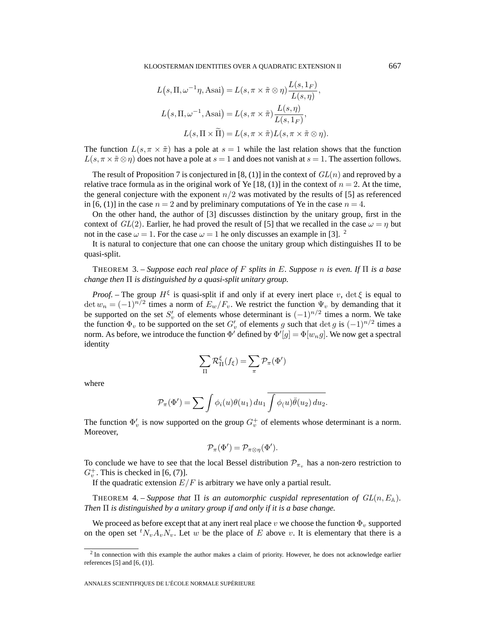$$
L(s, \Pi, \omega^{-1}\eta, \text{Asai}) = L(s, \pi \times \tilde{\pi} \otimes \eta) \frac{L(s, 1_F)}{L(s, \eta)},
$$
  

$$
L(s, \Pi, \omega^{-1}, \text{Asai}) = L(s, \pi \times \tilde{\pi}) \frac{L(s, \eta)}{L(s, 1_F)},
$$
  

$$
L(s, \Pi \times \tilde{\Pi}) = L(s, \pi \times \tilde{\pi}) L(s, \pi \times \tilde{\pi} \otimes \eta).
$$

The function  $L(s, \pi \times \tilde{\pi})$  has a pole at  $s = 1$  while the last relation shows that the function  $L(s, \pi \times \tilde{\pi} \otimes \eta)$  does not have a pole at  $s = 1$  and does not vanish at  $s = 1$ . The assertion follows.

The result of Proposition 7 is conjectured in [8, (1)] in the context of  $GL(n)$  and reproved by a relative trace formula as in the original work of Ye [18, (1)] in the context of  $n = 2$ . At the time, the general conjecture with the exponent  $n/2$  was motivated by the results of [5] as referenced in [6, (1)] in the case  $n = 2$  and by preliminary computations of Ye in the case  $n = 4$ .

On the other hand, the author of [3] discusses distinction by the unitary group, first in the context of  $GL(2)$ . Earlier, he had proved the result of [5] that we recalled in the case  $\omega = \eta$  but not in the case  $\omega = 1$ . For the case  $\omega = 1$  he only discusses an example in [3]. <sup>2</sup>

It is natural to conjecture that one can choose the unitary group which distinguishes Π to be quasi-split.

THEOREM 3. – *Suppose each real place of* F *splits in* E*. Suppose* n *is even. If* Π *is a base change then* Π *is distinguished by a quasi-split unitary group.*

*Proof.* – The group  $H^{\xi}$  is quasi-split if and only if at every inert place v,  $\det \xi$  is equal to det  $w_n = (-1)^{n/2}$  times a norm of  $E_w/F_v$ . We restrict the function  $\Psi_v$  by demanding that it be supported on the set  $S'_v$  of elements whose determinant is  $(-1)^{n/2}$  times a norm. We take the function  $\Phi_v$  to be supported on the set  $G'_v$  of elements g such that  $\det g$  is  $(-1)^{n/2}$  times a norm. As before, we introduce the function  $\Phi'$  defined by  $\Phi'[g] = \Phi[w_n g]$ . We now get a spectral identity

$$
\sum_{\Pi} \mathcal{R}_{\Pi}^{\xi}(f_{\xi}) = \sum_{\pi} \mathcal{P}_{\pi}(\Phi')
$$

where

$$
\mathcal{P}_{\pi}(\Phi') = \sum \int \phi_i(u)\theta(u_1) du_1 \int \phi_i(u)\overline{\theta}(u_2) du_2.
$$

The function  $\Phi'_v$  is now supported on the group  $G_v^+$  of elements whose determinant is a norm. Moreover,

$$
\mathcal{P}_{\pi}(\Phi') = \mathcal{P}_{\pi \otimes \eta}(\Phi').
$$

To conclude we have to see that the local Bessel distribution  $\mathcal{P}_{\pi_v}$  has a non-zero restriction to  $G_v^+$ . This is checked in [6, (7)].

If the quadratic extension  $E/F$  is arbitrary we have only a partial result.

THEOREM 4. – *Suppose that*  $\Pi$  *is an automorphic cuspidal representation of*  $GL(n, E_A)$ *. Then* Π *is distinguished by a unitary group if and only if it is a base change.*

We proceed as before except that at any inert real place v we choose the function  $\Phi_v$  supported on the open set  ${}^t N_v A_v N_v$ . Let w be the place of E above v. It is elementary that there is a

<sup>&</sup>lt;sup>2</sup> In connection with this example the author makes a claim of priority. However, he does not acknowledge earlier references  $[5]$  and  $[6, (1)]$ .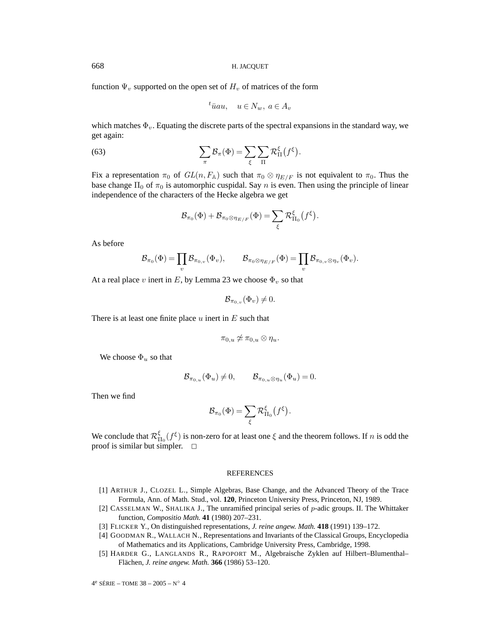function  $\Psi_v$  supported on the open set of  $H_v$  of matrices of the form

$$
{}^t\bar{u}au, \quad u \in N_w, \ a \in A_v
$$

which matches  $\Phi_{\nu}$ . Equating the discrete parts of the spectral expansions in the standard way, we get again:

(63) 
$$
\sum_{\pi} \mathcal{B}_{\pi}(\Phi) = \sum_{\xi} \sum_{\Pi} \mathcal{R}_{\Pi}^{\xi}(f^{\xi}).
$$

Fix a representation  $\pi_0$  of  $GL(n, F_\mathbb{A})$  such that  $\pi_0 \otimes \eta_{E/F}$  is not equivalent to  $\pi_0$ . Thus the base change  $\Pi_0$  of  $\pi_0$  is automorphic cuspidal. Say n is even. Then using the principle of linear independence of the characters of the Hecke algebra we get

$$
\mathcal{B}_{\pi_0}(\Phi) + \mathcal{B}_{\pi_0 \otimes \eta_{E/F}}(\Phi) = \sum_{\xi} \mathcal{R}^{\xi}_{\Pi_0}(f^{\xi}).
$$

As before

$$
{\mathcal B}_{\pi_0}(\Phi)=\prod_v{\mathcal B}_{\pi_{0,v}}(\Phi_v),\qquad {\mathcal B}_{\pi_0\otimes \eta_{E/F}}(\Phi)=\prod_v{\mathcal B}_{\pi_{0,v}\otimes \eta_v}(\Phi_v).
$$

At a real place v inert in E, by Lemma 23 we choose  $\Phi_v$  so that

$$
\mathcal{B}_{\pi_{0,v}}(\Phi_v) \neq 0.
$$

There is at least one finite place  $u$  inert in  $E$  such that

$$
\pi_{0,u}\not\simeq\pi_{0,u}\otimes\eta_u
$$

We choose  $\Phi_u$  so that

$$
\mathcal{B}_{\pi_{0,u}}(\Phi_u) \neq 0, \qquad \mathcal{B}_{\pi_{0,u}\otimes \eta_u}(\Phi_u) = 0.
$$

Then we find

$$
\mathcal{B}_{\pi_0}(\Phi) = \sum_{\xi} \mathcal{R}^{\xi}_{\Pi_0}(f^{\xi}).
$$

We conclude that  $\mathcal{R}^{\xi}_{\Pi_0}(f^{\xi})$  is non-zero for at least one  $\xi$  and the theorem follows. If n is odd the proof is similar but simpler.  $\Box$ 

#### REFERENCES

- [1] ARTHUR J., CLOZEL L., Simple Algebras, Base Change, and the Advanced Theory of the Trace Formula, Ann. of Math. Stud., vol. **120**, Princeton University Press, Princeton, NJ, 1989.
- [2] CASSELMAN W., SHALIKA J., The unramified principal series of p-adic groups. II. The Whittaker function, *Compositio Math.* **41** (1980) 207–231.
- [3] FLICKER Y., On distinguished representations, *J. reine angew. Math.* **418** (1991) 139–172.
- [4] GOODMAN R., WALLACH N., Representations and Invariants of the Classical Groups, Encyclopedia of Mathematics and its Applications, Cambridge University Press, Cambridge, 1998.
- [5] HARDER G., LANGLANDS R., RAPOPORT M., Algebraische Zyklen auf Hilbert–Blumenthal– Flächen, *J. reine angew. Math.* **366** (1986) 53–120.